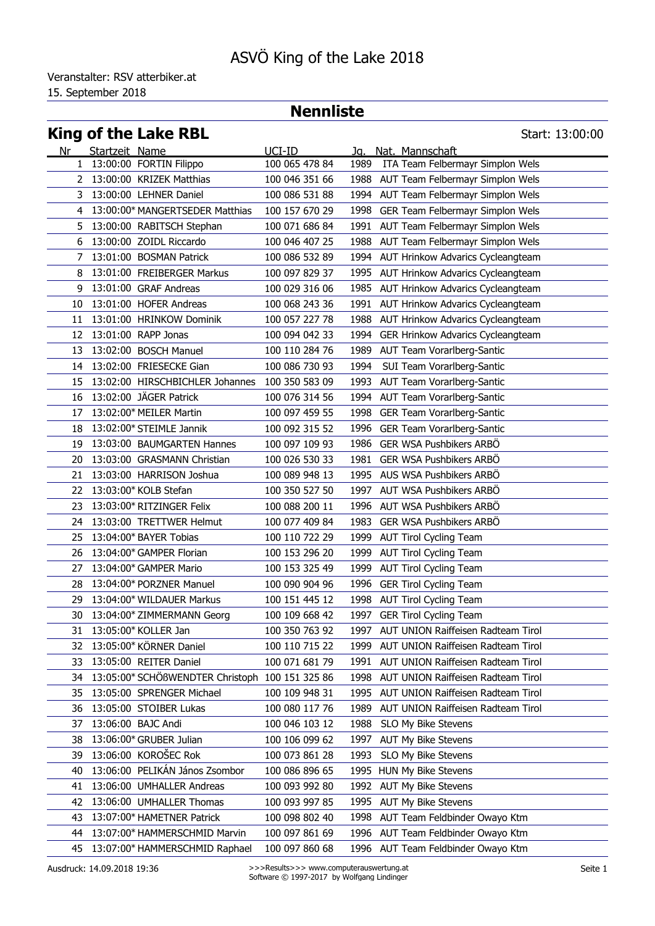# ASVÖ King of the Lake 2018

15. September 2018 Veranstalter: RSV atterbiker.at

# **Nennliste**

|    | King of the Lake RBL                            |                |      | Start: 13:00:00                         |
|----|-------------------------------------------------|----------------|------|-----------------------------------------|
|    | Nr Startzeit Name                               | UCI-ID         | Ja.  | Nat. Mannschaft                         |
|    | 1 13:00:00 FORTIN Filippo                       | 100 065 478 84 | 1989 | ITA Team Felbermayr Simplon Wels        |
|    | 2 13:00:00 KRIZEK Matthias                      | 100 046 351 66 |      | 1988 AUT Team Felbermayr Simplon Wels   |
| 3  | 13:00:00 LEHNER Daniel                          | 100 086 531 88 |      | 1994 AUT Team Felbermayr Simplon Wels   |
| 4  | 13:00:00* MANGERTSEDER Matthias                 | 100 157 670 29 | 1998 | GER Team Felbermayr Simplon Wels        |
| 5  | 13:00:00 RABITSCH Stephan                       | 100 071 686 84 |      | 1991 AUT Team Felbermayr Simplon Wels   |
| 6  | 13:00:00 ZOIDL Riccardo                         | 100 046 407 25 |      | 1988 AUT Team Felbermayr Simplon Wels   |
|    | 7 13:01:00 BOSMAN Patrick                       | 100 086 532 89 |      | 1994 AUT Hrinkow Advarics Cycleangteam  |
| 8  | 13:01:00 FREIBERGER Markus                      | 100 097 829 37 |      | 1995 AUT Hrinkow Advarics Cycleangteam  |
| 9  | 13:01:00 GRAF Andreas                           | 100 029 316 06 |      | 1985 AUT Hrinkow Advarics Cycleangteam  |
| 10 | 13:01:00 HOFER Andreas                          | 100 068 243 36 |      | 1991 AUT Hrinkow Advarics Cycleangteam  |
| 11 | 13:01:00 HRINKOW Dominik                        | 100 057 227 78 |      | 1988 AUT Hrinkow Advarics Cycleangteam  |
| 12 | 13:01:00 RAPP Jonas                             | 100 094 042 33 | 1994 | GER Hrinkow Advarics Cycleangteam       |
| 13 | 13:02:00 BOSCH Manuel                           | 100 110 284 76 |      | 1989 AUT Team Vorarlberg-Santic         |
| 14 | 13:02:00 FRIESECKE Gian                         | 100 086 730 93 | 1994 | SUI Team Vorarlberg-Santic              |
| 15 | 13:02:00 HIRSCHBICHLER Johannes                 | 100 350 583 09 | 1993 | AUT Team Vorarlberg-Santic              |
| 16 | 13:02:00 JÄGER Patrick                          | 100 076 314 56 |      | 1994 AUT Team Vorarlberg-Santic         |
| 17 | 13:02:00* MEILER Martin                         | 100 097 459 55 |      | 1998 GER Team Vorarlberg-Santic         |
| 18 | 13:02:00* STEIMLE Jannik                        | 100 092 315 52 | 1996 | GER Team Vorarlberg-Santic              |
| 19 | 13:03:00 BAUMGARTEN Hannes                      | 100 097 109 93 | 1986 | GER WSA Pushbikers ARBÖ                 |
| 20 | 13:03:00 GRASMANN Christian                     | 100 026 530 33 | 1981 | GER WSA Pushbikers ARBÖ                 |
| 21 | 13:03:00 HARRISON Joshua                        | 100 089 948 13 | 1995 | AUS WSA Pushbikers ARBÖ                 |
| 22 | 13:03:00* KOLB Stefan                           | 100 350 527 50 |      | 1997 AUT WSA Pushbikers ARBÖ            |
| 23 | 13:03:00* RITZINGER Felix                       | 100 088 200 11 |      | 1996 AUT WSA Pushbikers ARBÖ            |
| 24 | 13:03:00 TRETTWER Helmut                        | 100 077 409 84 | 1983 | GER WSA Pushbikers ARBÖ                 |
| 25 | 13:04:00* BAYER Tobias                          | 100 110 722 29 | 1999 | AUT Tirol Cycling Team                  |
| 26 | 13:04:00* GAMPER Florian                        | 100 153 296 20 | 1999 | AUT Tirol Cycling Team                  |
| 27 | 13:04:00* GAMPER Mario                          | 100 153 325 49 |      | 1999 AUT Tirol Cycling Team             |
| 28 | 13:04:00* PORZNER Manuel                        | 100 090 904 96 | 1996 | <b>GER Tirol Cycling Team</b>           |
| 29 | 13:04:00* WILDAUER Markus                       | 100 151 445 12 | 1998 | <b>AUT Tirol Cycling Team</b>           |
| 30 | 13:04:00* ZIMMERMANN Georg                      | 100 109 668 42 |      | 1997 GER Tirol Cycling Team             |
| 31 | 13:05:00* KOLLER Jan                            | 100 350 763 92 |      | 1997 AUT UNION Raiffeisen Radteam Tirol |
| 32 | 13:05:00* KÖRNER Daniel                         | 100 110 715 22 | 1999 | AUT UNION Raiffeisen Radteam Tirol      |
| 33 | 13:05:00 REITER Daniel                          | 100 071 681 79 |      | 1991 AUT UNION Raiffeisen Radteam Tirol |
| 34 | 13:05:00* SCHÖßWENDTER Christoph 100 151 325 86 |                | 1998 | AUT UNION Raiffeisen Radteam Tirol      |
| 35 | 13:05:00 SPRENGER Michael                       | 100 109 948 31 | 1995 | AUT UNION Raiffeisen Radteam Tirol      |
| 36 | 13:05:00 STOIBER Lukas                          | 100 080 117 76 | 1989 | AUT UNION Raiffeisen Radteam Tirol      |
| 37 | 13:06:00 BAJC Andi                              | 100 046 103 12 | 1988 | SLO My Bike Stevens                     |
| 38 | 13:06:00* GRUBER Julian                         | 100 106 099 62 |      | 1997 AUT My Bike Stevens                |
| 39 | 13:06:00 KOROŠEC Rok                            | 100 073 861 28 | 1993 | SLO My Bike Stevens                     |
| 40 | 13:06:00 PELIKÁN János Zsombor                  | 100 086 896 65 |      | 1995 HUN My Bike Stevens                |
| 41 | 13:06:00 UMHALLER Andreas                       | 100 093 992 80 |      | 1992 AUT My Bike Stevens                |
| 42 | 13:06:00 UMHALLER Thomas                        | 100 093 997 85 |      | 1995 AUT My Bike Stevens                |
| 43 | 13:07:00* HAMETNER Patrick                      | 100 098 802 40 | 1998 | AUT Team Feldbinder Owayo Ktm           |
| 44 | 13:07:00* HAMMERSCHMID Marvin                   | 100 097 861 69 |      | 1996 AUT Team Feldbinder Owayo Ktm      |
| 45 | 13:07:00* HAMMERSCHMID Raphael                  | 100 097 860 68 |      | 1996 AUT Team Feldbinder Owayo Ktm      |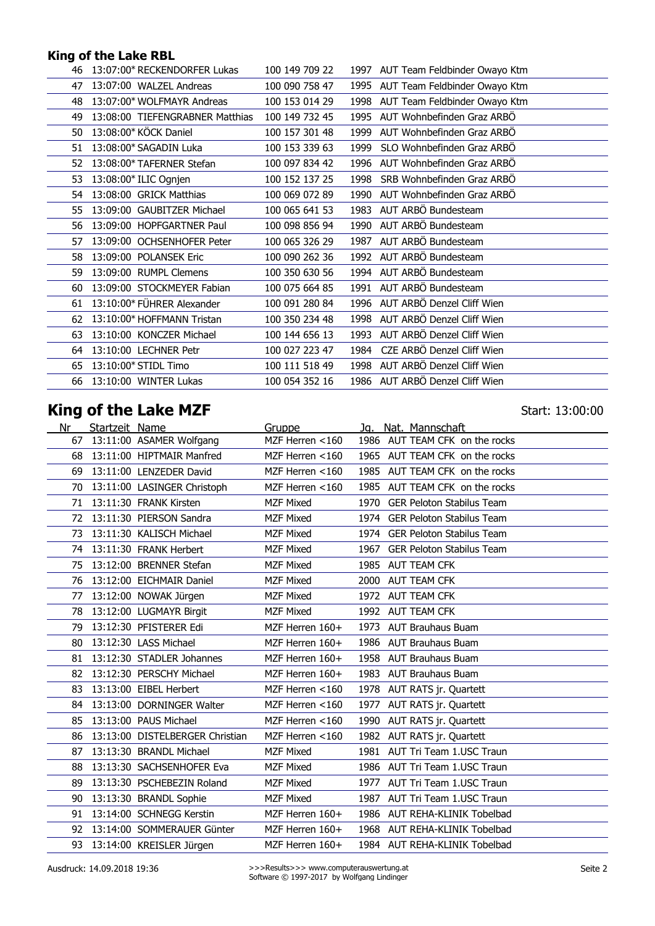#### **King of the Lake RBL**

| 46 | 13:07:00* RECKENDORFER Lukas    | 100 149 709 22 |      | 1997 AUT Team Feldbinder Owayo Ktm |
|----|---------------------------------|----------------|------|------------------------------------|
| 47 | 13:07:00 WALZEL Andreas         | 100 090 758 47 |      | 1995 AUT Team Feldbinder Owayo Ktm |
| 48 | 13:07:00* WOLFMAYR Andreas      | 100 153 014 29 |      | 1998 AUT Team Feldbinder Owayo Ktm |
| 49 | 13:08:00 TIEFENGRABNER Matthias | 100 149 732 45 | 1995 | AUT Wohnbefinden Graz ARBÖ         |
| 50 | 13:08:00* KÖCK Daniel           | 100 157 301 48 | 1999 | AUT Wohnbefinden Graz ARBÖ         |
| 51 | 13:08:00* SAGADIN Luka          | 100 153 339 63 | 1999 | SLO Wohnbefinden Graz ARBÖ         |
| 52 | 13:08:00* TAFERNER Stefan       | 100 097 834 42 | 1996 | AUT Wohnbefinden Graz ARBÖ         |
| 53 | 13:08:00* ILIC Ognjen           | 100 152 137 25 | 1998 | SRB Wohnbefinden Graz ARBO         |
| 54 | 13:08:00 GRICK Matthias         | 100 069 072 89 | 1990 | AUT Wohnbefinden Graz ARBÖ         |
| 55 | 13:09:00 GAUBITZER Michael      | 100 065 641 53 | 1983 | AUT ARBÖ Bundesteam                |
| 56 | 13:09:00 HOPFGARTNER Paul       | 100 098 856 94 |      | 1990 AUT ARBÖ Bundesteam           |
| 57 | 13:09:00 OCHSENHOFER Peter      | 100 065 326 29 | 1987 | AUT ARBÖ Bundesteam                |
| 58 | 13:09:00 POLANSEK Eric          | 100 090 262 36 |      | 1992 AUT ARBÖ Bundesteam           |
| 59 | 13:09:00 RUMPL Clemens          | 100 350 630 56 |      | 1994 AUT ARBÖ Bundesteam           |
| 60 | 13:09:00 STOCKMEYER Fabian      | 100 075 664 85 |      | 1991 AUT ARBÖ Bundesteam           |
| 61 | 13:10:00* FÜHRER Alexander      | 100 091 280 84 | 1996 | AUT ARBÖ Denzel Cliff Wien         |
| 62 | 13:10:00* HOFFMANN Tristan      | 100 350 234 48 | 1998 | AUT ARBÖ Denzel Cliff Wien         |
| 63 | 13:10:00 KONCZER Michael        | 100 144 656 13 | 1993 | AUT ARBÖ Denzel Cliff Wien         |
|    | 64 13:10:00 LECHNER Petr        | 100 027 223 47 | 1984 | CZE ARBÖ Denzel Cliff Wien         |
| 65 | 13:10:00* STIDL Timo            | 100 111 518 49 | 1998 | AUT ARBÖ Denzel Cliff Wien         |
| 66 | 13:10:00 WINTER Lukas           | 100 054 352 16 |      | 1986 AUT ARBÖ Denzel Cliff Wien    |
|    |                                 |                |      |                                    |

# **King of the Lake MZF**

| Nr | Startzeit Name |                                 | Gruppe             | Ja.  | Nat. Mannschaft                  |
|----|----------------|---------------------------------|--------------------|------|----------------------------------|
| 67 |                | 13:11:00 ASAMER Wolfgang        | MZF Herren $<$ 160 |      | 1986 AUT TEAM CFK on the rocks   |
| 68 |                | 13:11:00 HIPTMAIR Manfred       | MZF Herren $<$ 160 |      | 1965 AUT TEAM CFK on the rocks   |
| 69 |                | 13:11:00 LENZEDER David         | MZF Herren $<$ 160 |      | 1985 AUT TEAM CFK on the rocks   |
| 70 |                | 13:11:00 LASINGER Christoph     | MZF Herren <160    |      | 1985 AUT TEAM CFK on the rocks   |
|    |                | 71 13:11:30 FRANK Kirsten       | <b>MZF Mixed</b>   |      | 1970 GER Peloton Stabilus Team   |
| 72 |                | 13:11:30 PIERSON Sandra         | <b>MZF Mixed</b>   | 1974 | <b>GER Peloton Stabilus Team</b> |
| 73 |                | 13:11:30 KALISCH Michael        | <b>MZF Mixed</b>   |      | 1974 GER Peloton Stabilus Team   |
| 74 |                | 13:11:30 FRANK Herbert          | <b>MZF Mixed</b>   | 1967 | <b>GER Peloton Stabilus Team</b> |
| 75 |                | 13:12:00 BRENNER Stefan         | <b>MZF Mixed</b>   |      | 1985 AUT TEAM CFK                |
| 76 |                | 13:12:00 EICHMAIR Daniel        | <b>MZF Mixed</b>   |      | 2000 AUT TEAM CFK                |
| 77 |                | 13:12:00 NOWAK Jürgen           | <b>MZF Mixed</b>   |      | 1972 AUT TEAM CFK                |
| 78 |                | 13:12:00 LUGMAYR Birgit         | <b>MZF Mixed</b>   |      | 1992 AUT TEAM CFK                |
| 79 |                | 13:12:30 PFISTERER Edi          | MZF Herren 160+    | 1973 | <b>AUT Brauhaus Buam</b>         |
| 80 |                | 13:12:30 LASS Michael           | MZF Herren 160+    | 1986 | <b>AUT Brauhaus Buam</b>         |
| 81 |                | 13:12:30 STADLER Johannes       | MZF Herren 160+    | 1958 | <b>AUT Brauhaus Buam</b>         |
| 82 |                | 13:12:30 PERSCHY Michael        | MZF Herren 160+    |      | 1983 AUT Brauhaus Buam           |
| 83 |                | 13:13:00 EIBEL Herbert          | MZF Herren $<$ 160 |      | 1978 AUT RATS jr. Quartett       |
| 84 |                | 13:13:00 DORNINGER Walter       | MZF Herren $<$ 160 | 1977 | AUT RATS jr. Quartett            |
| 85 |                | 13:13:00 PAUS Michael           | MZF Herren $<$ 160 | 1990 | AUT RATS jr. Quartett            |
| 86 |                | 13:13:00 DISTELBERGER Christian | MZF Herren $<$ 160 |      | 1982 AUT RATS jr. Quartett       |
| 87 |                | 13:13:30 BRANDL Michael         | <b>MZF Mixed</b>   |      | 1981 AUT Tri Team 1.USC Traun    |
| 88 |                | 13:13:30 SACHSENHOFER Eva       | <b>MZF Mixed</b>   |      | 1986 AUT Tri Team 1.USC Traun    |
| 89 |                | 13:13:30 PSCHEBEZIN Roland      | <b>MZF Mixed</b>   |      | 1977 AUT Tri Team 1.USC Traun    |
| 90 |                | 13:13:30 BRANDL Sophie          | <b>MZF Mixed</b>   | 1987 | AUT Tri Team 1.USC Traun         |
| 91 |                | 13:14:00 SCHNEGG Kerstin        | MZF Herren 160+    |      | 1986 AUT REHA-KLINIK Tobelbad    |
| 92 |                | 13:14:00 SOMMERAUER Günter      | MZF Herren 160+    | 1968 | AUT REHA-KLINIK Tobelbad         |
| 93 |                | 13:14:00 KREISLER Jürgen        | MZF Herren 160+    |      | 1984 AUT REHA-KLINIK Tobelbad    |

Start: 13:00:00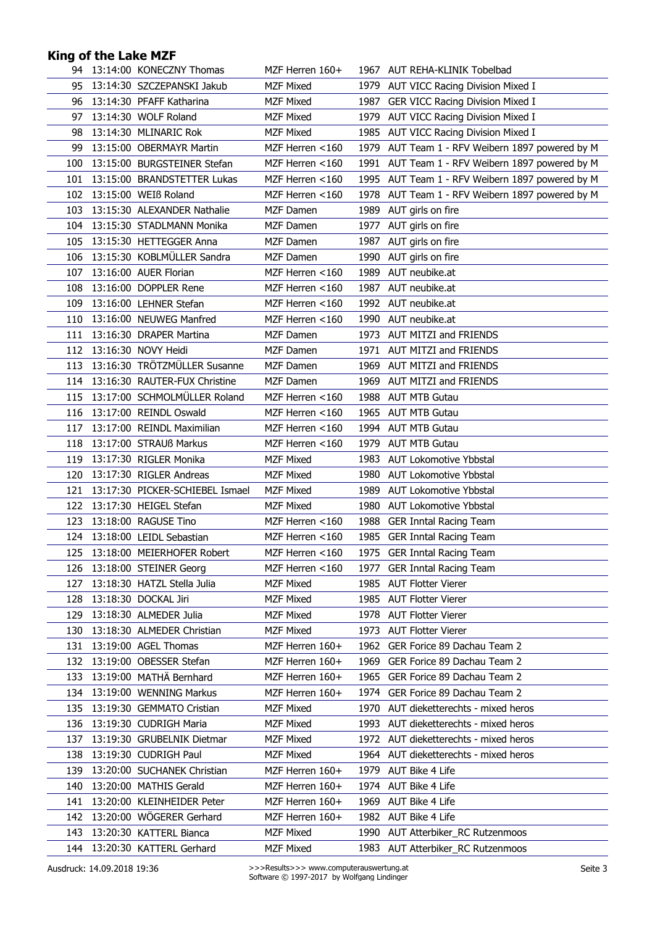| 94  | 13:14:00 KONECZNY Thomas                        | MZF Herren 160+                     |              | 1967 AUT REHA-KLINIK Tobelbad                              |
|-----|-------------------------------------------------|-------------------------------------|--------------|------------------------------------------------------------|
| 95  | 13:14:30 SZCZEPANSKI Jakub                      | <b>MZF Mixed</b>                    |              | 1979 AUT VICC Racing Division Mixed I                      |
| 96  | 13:14:30 PFAFF Katharina                        | <b>MZF Mixed</b>                    | 1987         | <b>GER VICC Racing Division Mixed I</b>                    |
| 97  | 13:14:30 WOLF Roland                            | MZF Mixed                           |              | 1979 AUT VICC Racing Division Mixed I                      |
| 98  | 13:14:30 MLINARIC Rok                           | <b>MZF Mixed</b>                    |              | 1985 AUT VICC Racing Division Mixed I                      |
| 99  | 13:15:00 OBERMAYR Martin                        | MZF Herren <160                     | 1979         | AUT Team 1 - RFV Weibern 1897 powered by M                 |
| 100 | 13:15:00 BURGSTEINER Stefan                     | MZF Herren <160                     |              | 1991 AUT Team 1 - RFV Weibern 1897 powered by M            |
| 101 | 13:15:00 BRANDSTETTER Lukas                     | MZF Herren <160                     |              | 1995 AUT Team 1 - RFV Weibern 1897 powered by M            |
| 102 | 13:15:00 WEIß Roland                            | MZF Herren <160                     |              | 1978 AUT Team 1 - RFV Weibern 1897 powered by M            |
| 103 | 13:15:30 ALEXANDER Nathalie                     | MZF Damen                           | 1989         | AUT girls on fire                                          |
| 104 | 13:15:30 STADLMANN Monika                       | MZF Damen                           | 1977         | AUT girls on fire                                          |
| 105 | 13:15:30 HETTEGGER Anna                         | MZF Damen                           |              | 1987 AUT girls on fire                                     |
| 106 | 13:15:30 KOBLMÜLLER Sandra                      | MZF Damen                           |              | 1990 AUT girls on fire                                     |
| 107 | 13:16:00 AUER Florian                           | MZF Herren <160                     | 1989         | AUT neubike.at                                             |
| 108 | 13:16:00 DOPPLER Rene                           | MZF Herren <160                     | 1987         | AUT neubike.at                                             |
| 109 | 13:16:00 LEHNER Stefan                          | MZF Herren $<$ 160                  |              | 1992 AUT neubike.at                                        |
| 110 | 13:16:00 NEUWEG Manfred                         | MZF Herren <160                     |              | 1990 AUT neubike.at                                        |
|     | 111 13:16:30 DRAPER Martina                     | MZF Damen                           |              | 1973 AUT MITZI and FRIENDS                                 |
|     | 112 13:16:30 NOVY Heidi                         | MZF Damen                           |              | 1971 AUT MITZI and FRIENDS                                 |
| 113 | 13:16:30 TRÖTZMÜLLER Susanne                    | MZF Damen                           | 1969         | AUT MITZI and FRIENDS                                      |
| 114 | 13:16:30 RAUTER-FUX Christine                   | MZF Damen                           | 1969         | AUT MITZI and FRIENDS                                      |
| 115 | 13:17:00 SCHMOLMÜLLER Roland                    | MZF Herren <160                     |              | 1988 AUT MTB Gutau                                         |
|     | 116 13:17:00 REINDL Oswald                      | MZF Herren <160                     |              | 1965 AUT MTB Gutau                                         |
| 117 | 13:17:00 REINDL Maximilian                      | MZF Herren <160                     |              | 1994 AUT MTB Gutau                                         |
| 118 | 13:17:00 STRAUB Markus                          | MZF Herren <160                     | 1979         | <b>AUT MTB Gutau</b>                                       |
| 119 | 13:17:30 RIGLER Monika                          | <b>MZF Mixed</b>                    | 1983         | <b>AUT Lokomotive Ybbstal</b>                              |
| 120 | 13:17:30 RIGLER Andreas                         | <b>MZF Mixed</b>                    | 1980         | <b>AUT Lokomotive Ybbstal</b>                              |
| 121 | 13:17:30 PICKER-SCHIEBEL Ismael                 | <b>MZF Mixed</b>                    | 1989         | <b>AUT Lokomotive Ybbstal</b>                              |
|     | 122 13:17:30 HEIGEL Stefan                      | <b>MZF Mixed</b>                    |              | 1980 AUT Lokomotive Ybbstal                                |
| 123 | 13:18:00 RAGUSE Tino                            | MZF Herren <160                     | 1988         | <b>GER Inntal Racing Team</b>                              |
|     | 124 13:18:00 LEIDL Sebastian                    | MZF Herren <160                     |              | 1985 GER Inntal Racing Team                                |
|     | 125 13:18:00 MEIERHOFER Robert                  | MZF Herren <160                     |              | 1975 GER Inntal Racing Team                                |
|     | 126 13:18:00 STEINER Georg                      | MZF Herren <160                     |              | 1977 GER Inntal Racing Team                                |
| 127 | 13:18:30 HATZL Stella Julia                     | <b>MZF Mixed</b>                    |              | 1985 AUT Flotter Vierer                                    |
| 128 | 13:18:30 DOCKAL Jiri                            | <b>MZF Mixed</b>                    | 1985         | <b>AUT Flotter Vierer</b>                                  |
| 129 | 13:18:30 ALMEDER Julia                          |                                     | 1978         | <b>AUT Flotter Vierer</b>                                  |
|     |                                                 | MZF Mixed                           |              |                                                            |
| 130 | 13:18:30 ALMEDER Christian                      | <b>MZF Mixed</b><br>MZF Herren 160+ | 1973         | <b>AUT Flotter Vierer</b><br>GER Forice 89 Dachau Team 2   |
| 131 | 13:19:00 AGEL Thomas<br>13:19:00 OBESSER Stefan |                                     | 1962<br>1969 | GER Forice 89 Dachau Team 2                                |
| 132 | 13:19:00 MATHÄ Bernhard                         | MZF Herren 160+                     |              |                                                            |
| 133 |                                                 | MZF Herren 160+<br>MZF Herren 160+  | 1965         | GER Forice 89 Dachau Team 2<br>GER Forice 89 Dachau Team 2 |
| 134 | 13:19:00 WENNING Markus                         |                                     | 1974         |                                                            |
| 135 | 13:19:30 GEMMATO Cristian                       | <b>MZF Mixed</b>                    | 1970         | AUT dieketterechts - mixed heros                           |
| 136 | 13:19:30 CUDRIGH Maria                          | <b>MZF Mixed</b>                    | 1993         | AUT dieketterechts - mixed heros                           |
| 137 | 13:19:30 GRUBELNIK Dietmar                      | MZF Mixed                           | 1972         | AUT dieketterechts - mixed heros                           |
| 138 | 13:19:30 CUDRIGH Paul                           | <b>MZF Mixed</b>                    |              | 1964 AUT dieketterechts - mixed heros                      |
| 139 | 13:20:00 SUCHANEK Christian                     | MZF Herren 160+                     | 1979         | AUT Bike 4 Life                                            |
| 140 | 13:20:00 MATHIS Gerald                          | MZF Herren 160+                     | 1974         | AUT Bike 4 Life                                            |
| 141 | 13:20:00 KLEINHEIDER Peter                      | MZF Herren 160+                     | 1969         | AUT Bike 4 Life                                            |
| 142 | 13:20:00 WÖGERER Gerhard                        | MZF Herren 160+                     | 1982         | AUT Bike 4 Life                                            |
| 143 | 13:20:30 KATTERL Bianca                         | <b>MZF Mixed</b>                    | 1990         | AUT Atterbiker_RC Rutzenmoos                               |
|     | 144 13:20:30 KATTERL Gerhard                    | <b>MZF Mixed</b>                    |              | 1983 AUT Atterbiker_RC Rutzenmoos                          |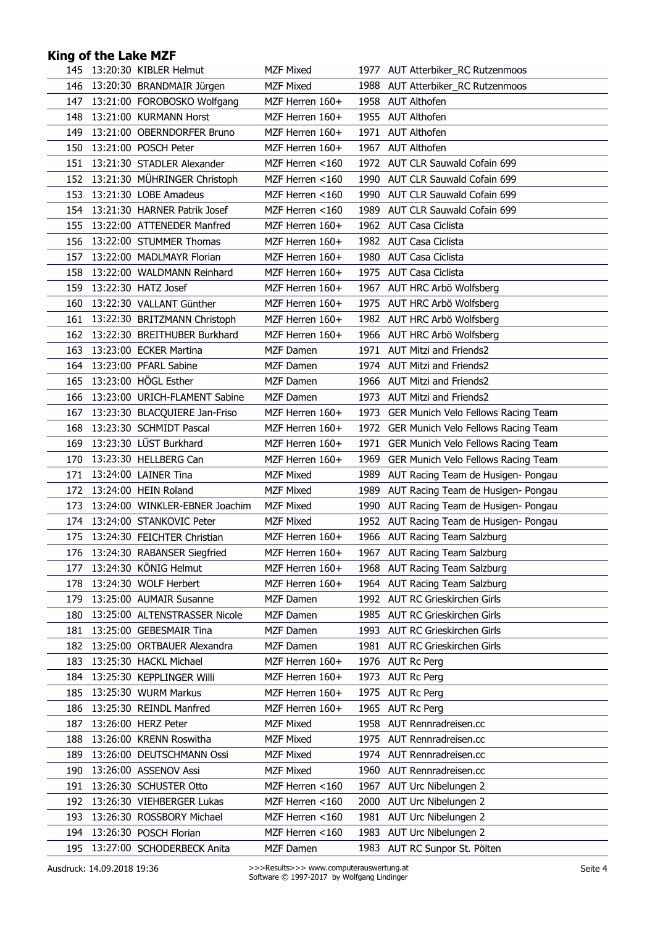| 145        | 13:20:30 KIBLER Helmut                              | <b>MZF Mixed</b>                    |              | 1977 AUT Atterbiker_RC Rutzenmoos        |
|------------|-----------------------------------------------------|-------------------------------------|--------------|------------------------------------------|
| 146        | 13:20:30 BRANDMAIR Jürgen                           | <b>MZF Mixed</b>                    |              | 1988 AUT Atterbiker_RC Rutzenmoos        |
| 147        | 13:21:00 FOROBOSKO Wolfgang                         | MZF Herren 160+                     |              | 1958 AUT Althofen                        |
| 148        | 13:21:00 KURMANN Horst                              | MZF Herren 160+                     |              | 1955 AUT Althofen                        |
| 149        | 13:21:00 OBERNDORFER Bruno                          | MZF Herren 160+                     |              | 1971 AUT Althofen                        |
| 150        | 13:21:00 POSCH Peter                                | MZF Herren 160+                     |              | 1967 AUT Althofen                        |
|            | 151 13:21:30 STADLER Alexander                      | MZF Herren $<$ 160                  |              | 1972 AUT CLR Sauwald Cofain 699          |
| 152        | 13:21:30 MÜHRINGER Christoph                        | MZF Herren $<$ 160                  | 1990         | AUT CLR Sauwald Cofain 699               |
| 153        | 13:21:30 LOBE Amadeus                               | MZF Herren $<$ 160                  |              | 1990 AUT CLR Sauwald Cofain 699          |
| 154        | 13:21:30 HARNER Patrik Josef                        | MZF Herren $<$ 160                  | 1989         | AUT CLR Sauwald Cofain 699               |
| 155        | 13:22:00 ATTENEDER Manfred                          | MZF Herren 160+                     |              | 1962 AUT Casa Ciclista                   |
| 156        | 13:22:00 STUMMER Thomas                             | MZF Herren 160+                     |              | 1982 AUT Casa Ciclista                   |
|            | 157 13:22:00 MADLMAYR Florian                       | MZF Herren 160+                     |              | 1980 AUT Casa Ciclista                   |
| 158        | 13:22:00 WALDMANN Reinhard                          | MZF Herren 160+                     |              | 1975 AUT Casa Ciclista                   |
| 159        | 13:22:30 HATZ Josef                                 | MZF Herren 160+                     |              | 1967 AUT HRC Arbö Wolfsberg              |
| 160        | 13:22:30 VALLANT Günther                            | MZF Herren 160+                     |              | 1975 AUT HRC Arbö Wolfsberg              |
| 161        | 13:22:30 BRITZMANN Christoph                        | MZF Herren 160+                     |              | 1982 AUT HRC Arbö Wolfsberg              |
|            | 162 13:22:30 BREITHUBER Burkhard                    | MZF Herren 160+                     |              | 1966 AUT HRC Arbö Wolfsberg              |
| 163        | 13:23:00 ECKER Martina                              | MZF Damen                           |              | 1971 AUT Mitzi and Friends2              |
| 164        | 13:23:00 PFARL Sabine                               | MZF Damen                           |              | 1974 AUT Mitzi and Friends2              |
| 165        | 13:23:00 HÖGL Esther                                | <b>MZF Damen</b>                    |              | 1966 AUT Mitzi and Friends2              |
| 166        | 13:23:00 URICH-FLAMENT Sabine                       | <b>MZF Damen</b>                    |              | 1973 AUT Mitzi and Friends2              |
| 167        | 13:23:30 BLACQUIERE Jan-Friso                       | MZF Herren 160+                     | 1973         | GER Munich Velo Fellows Racing Team      |
| 168        | 13:23:30 SCHMIDT Pascal                             | MZF Herren 160+                     |              | 1972 GER Munich Velo Fellows Racing Team |
| 169        | 13:23:30 LÜST Burkhard                              | MZF Herren 160+                     |              | 1971 GER Munich Velo Fellows Racing Team |
| 170        | 13:23:30 HELLBERG Can                               | MZF Herren 160+                     |              | 1969 GER Munich Velo Fellows Racing Team |
| 171        | 13:24:00 LAINER Tina                                | <b>MZF Mixed</b>                    | 1989         | AUT Racing Team de Husigen- Pongau       |
|            | 172 13:24:00 HEIN Roland                            | <b>MZF Mixed</b>                    | 1989         | AUT Racing Team de Husigen- Pongau       |
| 173        | 13:24:00 WINKLER-EBNER Joachim                      | MZF Mixed                           |              | 1990 AUT Racing Team de Husigen- Pongau  |
| 174        | 13:24:00 STANKOVIC Peter                            | <b>MZF Mixed</b>                    |              | 1952 AUT Racing Team de Husigen- Pongau  |
| 175        | 13:24:30 FEICHTER Christian                         | MZF Herren 160+                     |              | 1966 AUT Racing Team Salzburg            |
|            | 176 13:24:30 RABANSER Siegfried                     | MZF Herren 160+                     |              | 1967 AUT Racing Team Salzburg            |
| 177        | 13:24:30 KÖNIG Helmut                               | MZF Herren 160+                     |              | 1968 AUT Racing Team Salzburg            |
| 178        | 13:24:30 WOLF Herbert                               | MZF Herren 160+                     |              | 1964 AUT Racing Team Salzburg            |
| 179        | 13:25:00 AUMAIR Susanne                             | MZF Damen                           | 1992         | AUT RC Grieskirchen Girls                |
| 180        | 13:25:00 ALTENSTRASSER Nicole                       | MZF Damen                           | 1985         | AUT RC Grieskirchen Girls                |
| 181        | 13:25:00 GEBESMAIR Tina                             | MZF Damen                           | 1993         | AUT RC Grieskirchen Girls                |
| 182        | 13:25:00 ORTBAUER Alexandra                         | MZF Damen                           | 1981         | AUT RC Grieskirchen Girls                |
| 183        | 13:25:30 HACKL Michael                              | MZF Herren 160+                     |              | 1976 AUT Rc Perg                         |
| 184        | 13:25:30 KEPPLINGER Willi                           | MZF Herren 160+                     |              | 1973 AUT Rc Perg                         |
| 185        | 13:25:30 WURM Markus                                | MZF Herren 160+                     | 1975         | AUT Rc Perg                              |
|            | 13:25:30 REINDL Manfred                             |                                     |              |                                          |
| 186<br>187 | 13:26:00 HERZ Peter                                 | MZF Herren 160+<br><b>MZF Mixed</b> | 1965<br>1958 | AUT Rc Perg<br>AUT Rennradreisen.cc      |
| 188        | 13:26:00 KRENN Roswitha                             | <b>MZF Mixed</b>                    | 1975         | AUT Rennradreisen.cc                     |
| 189        | 13:26:00 DEUTSCHMANN Ossi                           | <b>MZF Mixed</b>                    | 1974         | AUT Rennradreisen.cc                     |
|            |                                                     |                                     |              |                                          |
| 190<br>191 | 13:26:00 ASSENOV Assi                               | <b>MZF Mixed</b><br>MZF Herren <160 | 1960         | AUT Rennradreisen.cc                     |
| 192        | 13:26:30 SCHUSTER Otto<br>13:26:30 VIEHBERGER Lukas | MZF Herren <160                     | 1967<br>2000 | AUT Urc Nibelungen 2                     |
|            |                                                     |                                     |              | AUT Urc Nibelungen 2                     |
| 193        | 13:26:30 ROSSBORY Michael                           | MZF Herren <160                     | 1981         | AUT Urc Nibelungen 2                     |
| 194        | 13:26:30 POSCH Florian                              | MZF Herren <160                     | 1983         | AUT Urc Nibelungen 2                     |
| 195        | 13:27:00 SCHODERBECK Anita                          | MZF Damen                           |              | 1983 AUT RC Sunpor St. Pölten            |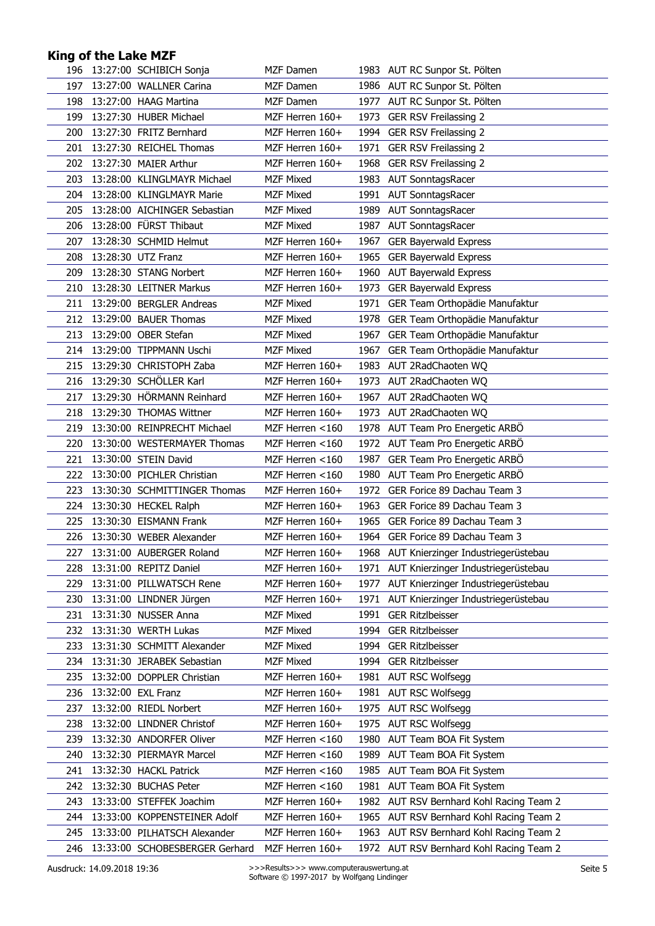| 196 | 13:27:00 SCHIBICH Sonja        | MZF Damen        |      | 1983 AUT RC Sunpor St. Pölten            |
|-----|--------------------------------|------------------|------|------------------------------------------|
| 197 | 13:27:00 WALLNER Carina        | MZF Damen        |      | 1986 AUT RC Sunpor St. Pölten            |
| 198 | 13:27:00 HAAG Martina          | MZF Damen        |      | 1977 AUT RC Sunpor St. Pölten            |
| 199 | 13:27:30 HUBER Michael         | MZF Herren 160+  | 1973 | <b>GER RSV Freilassing 2</b>             |
| 200 | 13:27:30 FRITZ Bernhard        | MZF Herren 160+  |      | 1994 GER RSV Freilassing 2               |
| 201 | 13:27:30 REICHEL Thomas        | MZF Herren 160+  | 1971 | <b>GER RSV Freilassing 2</b>             |
| 202 | 13:27:30 MAIER Arthur          | MZF Herren 160+  | 1968 | <b>GER RSV Freilassing 2</b>             |
| 203 | 13:28:00 KLINGLMAYR Michael    | <b>MZF Mixed</b> |      | 1983 AUT SonntagsRacer                   |
| 204 | 13:28:00 KLINGLMAYR Marie      | <b>MZF Mixed</b> |      | 1991 AUT SonntagsRacer                   |
| 205 | 13:28:00 AICHINGER Sebastian   | <b>MZF Mixed</b> | 1989 | AUT SonntagsRacer                        |
| 206 | 13:28:00 FÜRST Thibaut         | <b>MZF Mixed</b> | 1987 | <b>AUT SonntagsRacer</b>                 |
| 207 | 13:28:30 SCHMID Helmut         | MZF Herren 160+  | 1967 | <b>GER Bayerwald Express</b>             |
| 208 | 13:28:30 UTZ Franz             | MZF Herren 160+  | 1965 | <b>GER Bayerwald Express</b>             |
| 209 | 13:28:30 STANG Norbert         | MZF Herren 160+  |      | 1960 AUT Bayerwald Express               |
| 210 | 13:28:30 LEITNER Markus        | MZF Herren 160+  | 1973 | <b>GER Bayerwald Express</b>             |
| 211 | 13:29:00 BERGLER Andreas       | <b>MZF Mixed</b> |      | 1971 GER Team Orthopädie Manufaktur      |
| 212 | 13:29:00 BAUER Thomas          | <b>MZF Mixed</b> | 1978 | GER Team Orthopädie Manufaktur           |
| 213 | 13:29:00 OBER Stefan           | <b>MZF Mixed</b> | 1967 | GER Team Orthopädie Manufaktur           |
|     | 214 13:29:00 TIPPMANN Uschi    | MZF Mixed        | 1967 | GER Team Orthopädie Manufaktur           |
| 215 | 13:29:30 CHRISTOPH Zaba        | MZF Herren 160+  | 1983 | AUT 2RadChaoten WQ                       |
| 216 | 13:29:30 SCHÖLLER Karl         | MZF Herren 160+  |      | 1973 AUT 2RadChaoten WQ                  |
| 217 | 13:29:30 HÖRMANN Reinhard      | MZF Herren 160+  | 1967 | AUT 2RadChaoten WQ                       |
| 218 | 13:29:30 THOMAS Wittner        | MZF Herren 160+  | 1973 | AUT 2RadChaoten WQ                       |
| 219 | 13:30:00 REINPRECHT Michael    | MZF Herren <160  |      | 1978 AUT Team Pro Energetic ARBÖ         |
| 220 | 13:30:00 WESTERMAYER Thomas    | MZF Herren <160  |      | 1972 AUT Team Pro Energetic ARBO         |
| 221 | 13:30:00 STEIN David           | MZF Herren <160  | 1987 | GER Team Pro Energetic ARBO              |
| 222 | 13:30:00 PICHLER Christian     | MZF Herren <160  | 1980 | AUT Team Pro Energetic ARBO              |
| 223 | 13:30:30 SCHMITTINGER Thomas   | MZF Herren 160+  | 1972 | GER Forice 89 Dachau Team 3              |
| 224 | 13:30:30 HECKEL Ralph          | MZF Herren 160+  | 1963 | GER Forice 89 Dachau Team 3              |
| 225 | 13:30:30 EISMANN Frank         | MZF Herren 160+  | 1965 | GER Forice 89 Dachau Team 3              |
| 226 | 13:30:30 WEBER Alexander       | MZF Herren 160+  | 1964 | GER Forice 89 Dachau Team 3              |
| 227 | 13:31:00 AUBERGER Roland       | MZF Herren 160+  |      | 1968 AUT Knierzinger Industriegerüstebau |
| 228 | 13:31:00 REPITZ Daniel         | MZF Herren 160+  |      | 1971 AUT Knierzinger Industriegerüstebau |
| 229 | 13:31:00 PILLWATSCH Rene       | MZF Herren 160+  | 1977 | AUT Knierzinger Industriegerüstebau      |
| 230 | 13:31:00 LINDNER Jürgen        | MZF Herren 160+  |      | 1971 AUT Knierzinger Industriegerüstebau |
| 231 | 13:31:30 NUSSER Anna           | <b>MZF Mixed</b> | 1991 | <b>GER Ritzlbeisser</b>                  |
| 232 | 13:31:30 WERTH Lukas           | <b>MZF Mixed</b> | 1994 | <b>GER Ritzlbeisser</b>                  |
| 233 | 13:31:30 SCHMITT Alexander     | MZF Mixed        | 1994 | <b>GER Ritzlbeisser</b>                  |
| 234 | 13:31:30 JERABEK Sebastian     | MZF Mixed        | 1994 | <b>GER Ritzlbeisser</b>                  |
| 235 | 13:32:00 DOPPLER Christian     | MZF Herren 160+  | 1981 | <b>AUT RSC Wolfsegg</b>                  |
| 236 | 13:32:00 EXL Franz             | MZF Herren 160+  |      | 1981 AUT RSC Wolfsegg                    |
| 237 | 13:32:00 RIEDL Norbert         | MZF Herren 160+  |      | 1975 AUT RSC Wolfsegg                    |
| 238 | 13:32:00 LINDNER Christof      | MZF Herren 160+  |      | 1975 AUT RSC Wolfsegg                    |
| 239 | 13:32:30 ANDORFER Oliver       | MZF Herren <160  |      | 1980 AUT Team BOA Fit System             |
| 240 | 13:32:30 PIERMAYR Marcel       | MZF Herren <160  | 1989 | AUT Team BOA Fit System                  |
| 241 | 13:32:30 HACKL Patrick         | MZF Herren <160  |      | 1985 AUT Team BOA Fit System             |
| 242 | 13:32:30 BUCHAS Peter          | MZF Herren <160  |      | 1981 AUT Team BOA Fit System             |
| 243 | 13:33:00 STEFFEK Joachim       | MZF Herren 160+  |      | 1982 AUT RSV Bernhard Kohl Racing Team 2 |
| 244 | 13:33:00 KOPPENSTEINER Adolf   | MZF Herren 160+  |      | 1965 AUT RSV Bernhard Kohl Racing Team 2 |
| 245 | 13:33:00 PILHATSCH Alexander   | MZF Herren 160+  |      | 1963 AUT RSV Bernhard Kohl Racing Team 2 |
| 246 | 13:33:00 SCHOBESBERGER Gerhard | MZF Herren 160+  |      | 1972 AUT RSV Bernhard Kohl Racing Team 2 |
|     |                                |                  |      |                                          |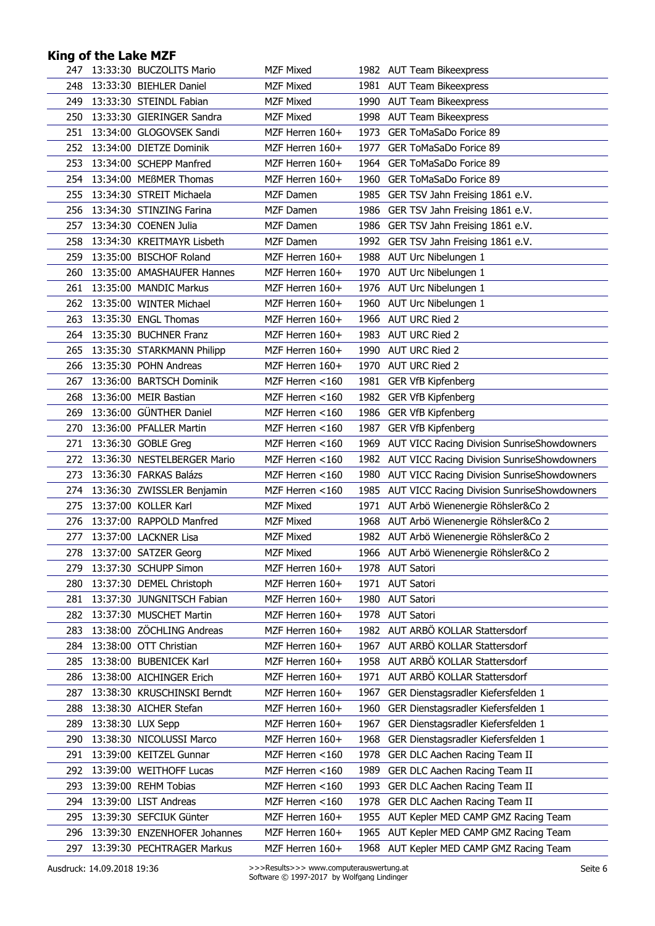| 247 | 13:33:30 BUCZOLITS Mario     | <b>MZF Mixed</b>   |      | 1982 AUT Team Bikeexpress                        |
|-----|------------------------------|--------------------|------|--------------------------------------------------|
| 248 | 13:33:30 BIEHLER Daniel      | <b>MZF Mixed</b>   |      | 1981 AUT Team Bikeexpress                        |
| 249 | 13:33:30 STEINDL Fabian      | <b>MZF Mixed</b>   |      | 1990 AUT Team Bikeexpress                        |
| 250 | 13:33:30 GIERINGER Sandra    | <b>MZF Mixed</b>   |      | 1998 AUT Team Bikeexpress                        |
| 251 | 13:34:00 GLOGOVSEK Sandi     | MZF Herren 160+    | 1973 | GER ToMaSaDo Forice 89                           |
| 252 | 13:34:00 DIETZE Dominik      | MZF Herren 160+    | 1977 | GER ToMaSaDo Forice 89                           |
| 253 | 13:34:00 SCHEPP Manfred      | MZF Herren 160+    | 1964 | GER ToMaSaDo Forice 89                           |
| 254 | 13:34:00 MEBMER Thomas       | MZF Herren 160+    | 1960 | GER ToMaSaDo Forice 89                           |
| 255 | 13:34:30 STREIT Michaela     | MZF Damen          |      | 1985 GER TSV Jahn Freising 1861 e.V.             |
| 256 | 13:34:30 STINZING Farina     | MZF Damen          |      | 1986 GER TSV Jahn Freising 1861 e.V.             |
| 257 | 13:34:30 COENEN Julia        | MZF Damen          |      | 1986 GER TSV Jahn Freising 1861 e.V.             |
| 258 | 13:34:30 KREITMAYR Lisbeth   | MZF Damen          |      | 1992 GER TSV Jahn Freising 1861 e.V.             |
| 259 | 13:35:00 BISCHOF Roland      | MZF Herren 160+    |      | 1988 AUT Urc Nibelungen 1                        |
| 260 | 13:35:00 AMASHAUFER Hannes   | MZF Herren 160+    |      | 1970 AUT Urc Nibelungen 1                        |
| 261 | 13:35:00 MANDIC Markus       | MZF Herren 160+    |      | 1976 AUT Urc Nibelungen 1                        |
| 262 | 13:35:00 WINTER Michael      | MZF Herren 160+    |      | 1960 AUT Urc Nibelungen 1                        |
| 263 | 13:35:30 ENGL Thomas         | MZF Herren 160+    |      | 1966 AUT URC Ried 2                              |
| 264 | 13:35:30 BUCHNER Franz       | MZF Herren 160+    |      | 1983 AUT URC Ried 2                              |
| 265 | 13:35:30 STARKMANN Philipp   | MZF Herren 160+    |      | 1990 AUT URC Ried 2                              |
| 266 | 13:35:30 POHN Andreas        | MZF Herren 160+    | 1970 | AUT URC Ried 2                                   |
| 267 | 13:36:00 BARTSCH Dominik     | MZF Herren $<$ 160 |      | 1981 GER VfB Kipfenberg                          |
| 268 | 13:36:00 MEIR Bastian        | MZF Herren <160    | 1982 | <b>GER VfB Kipfenberg</b>                        |
| 269 | 13:36:00 GÜNTHER Daniel      | MZF Herren <160    | 1986 | <b>GER VfB Kipfenberg</b>                        |
| 270 | 13:36:00 PFALLER Martin      | MZF Herren $<$ 160 | 1987 | <b>GER VfB Kipfenberg</b>                        |
| 271 | 13:36:30 GOBLE Greg          | MZF Herren <160    | 1969 | AUT VICC Racing Division SunriseShowdowners      |
| 272 | 13:36:30 NESTELBERGER Mario  | MZF Herren <160    |      | 1982 AUT VICC Racing Division SunriseShowdowners |
| 273 | 13:36:30 FARKAS Balázs       | MZF Herren <160    | 1980 | AUT VICC Racing Division SunriseShowdowners      |
| 274 | 13:36:30 ZWISSLER Benjamin   | MZF Herren <160    | 1985 | AUT VICC Racing Division SunriseShowdowners      |
| 275 | 13:37:00 KOLLER Karl         | <b>MZF Mixed</b>   |      | 1971 AUT Arbö Wienenergie Röhsler&Co 2           |
| 276 | 13:37:00 RAPPOLD Manfred     | <b>MZF Mixed</b>   |      | 1968 AUT Arbö Wienenergie Röhsler&Co 2           |
| 277 | 13:37:00 LACKNER Lisa        | <b>MZF Mixed</b>   |      | 1982 AUT Arbö Wienenergie Röhsler&Co 2           |
| 278 | 13:37:00 SATZER Georg        | MZF Mixed          |      | 1966 AUT Arbö Wienenergie Röhsler&Co 2           |
| 279 | 13:37:30 SCHUPP Simon        | MZF Herren 160+    |      | 1978 AUT Satori                                  |
| 280 | 13:37:30 DEMEL Christoph     | MZF Herren 160+    |      | 1971 AUT Satori                                  |
| 281 | 13:37:30 JUNGNITSCH Fabian   | MZF Herren 160+    | 1980 | <b>AUT Satori</b>                                |
| 282 | 13:37:30 MUSCHET Martin      | MZF Herren 160+    | 1978 | <b>AUT Satori</b>                                |
| 283 | 13:38:00 ZÖCHLING Andreas    | MZF Herren 160+    |      | 1982 AUT ARBÖ KOLLAR Stattersdorf                |
| 284 | 13:38:00 OTT Christian       | MZF Herren 160+    | 1967 | AUT ARBÖ KOLLAR Stattersdorf                     |
| 285 | 13:38:00 BUBENICEK Karl      | MZF Herren 160+    | 1958 | AUT ARBÖ KOLLAR Stattersdorf                     |
| 286 | 13:38:00 AICHINGER Erich     | MZF Herren 160+    |      | 1971 AUT ARBÖ KOLLAR Stattersdorf                |
| 287 | 13:38:30 KRUSCHINSKI Berndt  | MZF Herren 160+    | 1967 | GER Dienstagsradler Kiefersfelden 1              |
| 288 | 13:38:30 AICHER Stefan       | MZF Herren 160+    | 1960 | GER Dienstagsradler Kiefersfelden 1              |
| 289 | 13:38:30 LUX Sepp            | MZF Herren 160+    | 1967 | GER Dienstagsradler Kiefersfelden 1              |
| 290 | 13:38:30 NICOLUSSI Marco     | MZF Herren 160+    | 1968 | GER Dienstagsradler Kiefersfelden 1              |
| 291 | 13:39:00 KEITZEL Gunnar      | MZF Herren <160    | 1978 | GER DLC Aachen Racing Team II                    |
| 292 | 13:39:00 WEITHOFF Lucas      | MZF Herren <160    | 1989 | GER DLC Aachen Racing Team II                    |
| 293 | 13:39:00 REHM Tobias         | MZF Herren <160    | 1993 | GER DLC Aachen Racing Team II                    |
| 294 | 13:39:00 LIST Andreas        | MZF Herren <160    | 1978 | GER DLC Aachen Racing Team II                    |
| 295 | 13:39:30 SEFCIUK Günter      | MZF Herren 160+    | 1955 | AUT Kepler MED CAMP GMZ Racing Team              |
| 296 | 13:39:30 ENZENHOFER Johannes | MZF Herren 160+    | 1965 | AUT Kepler MED CAMP GMZ Racing Team              |
| 297 | 13:39:30 PECHTRAGER Markus   | MZF Herren 160+    |      | 1968 AUT Kepler MED CAMP GMZ Racing Team         |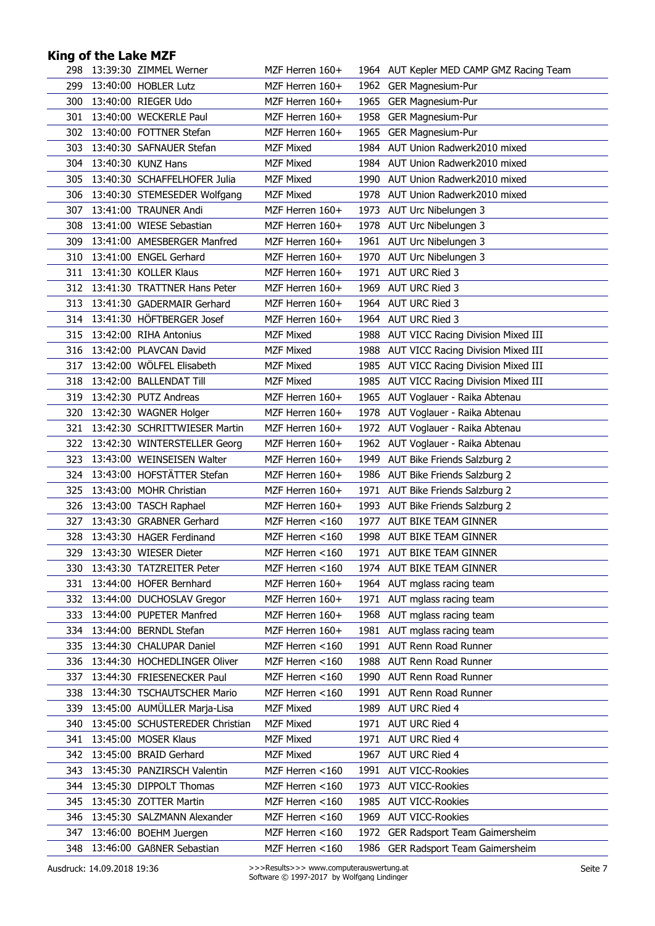| 298 | 13:39:30 ZIMMEL Werner           | MZF Herren 160+   |      | 1964 AUT Kepler MED CAMP GMZ Racing Team |
|-----|----------------------------------|-------------------|------|------------------------------------------|
| 299 | 13:40:00 HOBLER Lutz             | MZF Herren 160+   |      | 1962 GER Magnesium-Pur                   |
| 300 | 13:40:00 RIEGER Udo              | MZF Herren 160+   |      | 1965 GER Magnesium-Pur                   |
| 301 | 13:40:00 WECKERLE Paul           | MZF Herren 160+   | 1958 | GER Magnesium-Pur                        |
|     | 302 13:40:00 FOTTNER Stefan      | MZF Herren 160+   | 1965 | GER Magnesium-Pur                        |
| 303 | 13:40:30 SAFNAUER Stefan         | <b>MZF Mixed</b>  |      | 1984 AUT Union Radwerk2010 mixed         |
|     | 304 13:40:30 KUNZ Hans           | <b>MZF Mixed</b>  |      | 1984 AUT Union Radwerk2010 mixed         |
| 305 | 13:40:30 SCHAFFELHOFER Julia     | <b>MZF Mixed</b>  | 1990 | AUT Union Radwerk2010 mixed              |
|     | 306 13:40:30 STEMESEDER Wolfgang | <b>MZF Mixed</b>  |      | 1978 AUT Union Radwerk2010 mixed         |
| 307 | 13:41:00 TRAUNER Andi            | MZF Herren 160+   |      | 1973 AUT Urc Nibelungen 3                |
| 308 | 13:41:00 WIESE Sebastian         | MZF Herren 160+   |      | 1978 AUT Urc Nibelungen 3                |
| 309 | 13:41:00 AMESBERGER Manfred      | MZF Herren 160+   |      | 1961 AUT Urc Nibelungen 3                |
|     | 310 13:41:00 ENGEL Gerhard       | MZF Herren $160+$ |      | 1970 AUT Urc Nibelungen 3                |
|     | 311 13:41:30 KOLLER Klaus        | MZF Herren 160+   |      | 1971 AUT URC Ried 3                      |
|     | 312 13:41:30 TRATTNER Hans Peter | MZF Herren 160+   |      | 1969 AUT URC Ried 3                      |
| 313 | 13:41:30 GADERMAIR Gerhard       | MZF Herren 160+   |      | 1964 AUT URC Ried 3                      |
|     | 314 13:41:30 HÖFTBERGER Josef    | MZF Herren 160+   |      | 1964 AUT URC Ried 3                      |
|     | 315 13:42:00 RIHA Antonius       | <b>MZF Mixed</b>  |      | 1988 AUT VICC Racing Division Mixed III  |
|     | 316 13:42:00 PLAVCAN David       | MZF Mixed         |      | 1988 AUT VICC Racing Division Mixed III  |
|     | 317 13:42:00 WÖLFEL Elisabeth    | <b>MZF Mixed</b>  |      | 1985 AUT VICC Racing Division Mixed III  |
| 318 | 13:42:00 BALLENDAT Till          | <b>MZF Mixed</b>  |      | 1985 AUT VICC Racing Division Mixed III  |
|     | 319 13:42:30 PUTZ Andreas        | MZF Herren 160+   |      | 1965 AUT Voglauer - Raika Abtenau        |
| 320 | 13:42:30 WAGNER Holger           | MZF Herren 160+   |      | 1978 AUT Voglauer - Raika Abtenau        |
| 321 | 13:42:30 SCHRITTWIESER Martin    | MZF Herren 160+   |      | 1972 AUT Voglauer - Raika Abtenau        |
|     | 322 13:42:30 WINTERSTELLER Georg | MZF Herren 160+   |      | 1962 AUT Voglauer - Raika Abtenau        |
| 323 | 13:43:00 WEINSEISEN Walter       | MZF Herren 160+   |      | 1949 AUT Bike Friends Salzburg 2         |
| 324 | 13:43:00 HOFSTÄTTER Stefan       | MZF Herren 160+   |      | 1986 AUT Bike Friends Salzburg 2         |
| 325 | 13:43:00 MOHR Christian          | MZF Herren 160+   |      | 1971 AUT Bike Friends Salzburg 2         |
|     | 326 13:43:00 TASCH Raphael       | MZF Herren 160+   |      | 1993 AUT Bike Friends Salzburg 2         |
| 327 | 13:43:30 GRABNER Gerhard         | MZF Herren <160   |      | 1977 AUT BIKE TEAM GINNER                |
| 328 | 13:43:30 HAGER Ferdinand         | MZF Herren <160   |      | 1998 AUT BIKE TEAM GINNER                |
|     | 329 13:43:30 WIESER Dieter       | MZF Herren <160   |      | 1971 AUT BIKE TEAM GINNER                |
| 330 | 13:43:30 TATZREITER Peter        | MZF Herren <160   |      | 1974 AUT BIKE TEAM GINNER                |
| 331 | 13:44:00 HOFER Bernhard          | MZF Herren 160+   |      | 1964 AUT mglass racing team              |
| 332 | 13:44:00 DUCHOSLAV Gregor        | MZF Herren 160+   | 1971 | AUT mglass racing team                   |
| 333 | 13:44:00 PUPETER Manfred         | MZF Herren 160+   | 1968 | AUT mglass racing team                   |
| 334 | 13:44:00 BERNDL Stefan           | MZF Herren 160+   |      | 1981 AUT mglass racing team              |
| 335 | 13:44:30 CHALUPAR Daniel         | MZF Herren <160   | 1991 | AUT Renn Road Runner                     |
| 336 | 13:44:30 HOCHEDLINGER Oliver     | MZF Herren <160   | 1988 | AUT Renn Road Runner                     |
| 337 | 13:44:30 FRIESENECKER Paul       | MZF Herren <160   | 1990 | AUT Renn Road Runner                     |
| 338 | 13:44:30 TSCHAUTSCHER Mario      | MZF Herren <160   | 1991 | AUT Renn Road Runner                     |
| 339 | 13:45:00 AUMÜLLER Marja-Lisa     | <b>MZF Mixed</b>  | 1989 | AUT URC Ried 4                           |
| 340 | 13:45:00 SCHUSTEREDER Christian  | <b>MZF Mixed</b>  |      | 1971 AUT URC Ried 4                      |
| 341 | 13:45:00 MOSER Klaus             | <b>MZF Mixed</b>  | 1971 | AUT URC Ried 4                           |
| 342 | 13:45:00 BRAID Gerhard           | <b>MZF Mixed</b>  | 1967 | AUT URC Ried 4                           |
| 343 | 13:45:30 PANZIRSCH Valentin      | MZF Herren <160   | 1991 | <b>AUT VICC-Rookies</b>                  |
| 344 | 13:45:30 DIPPOLT Thomas          | MZF Herren <160   | 1973 | <b>AUT VICC-Rookies</b>                  |
| 345 | 13:45:30 ZOTTER Martin           | MZF Herren <160   | 1985 | <b>AUT VICC-Rookies</b>                  |
| 346 | 13:45:30 SALZMANN Alexander      | MZF Herren <160   | 1969 | <b>AUT VICC-Rookies</b>                  |
| 347 | 13:46:00 BOEHM Juergen           | MZF Herren <160   | 1972 | GER Radsport Team Gaimersheim            |
| 348 | 13:46:00 GABNER Sebastian        | MZF Herren <160   |      | 1986 GER Radsport Team Gaimersheim       |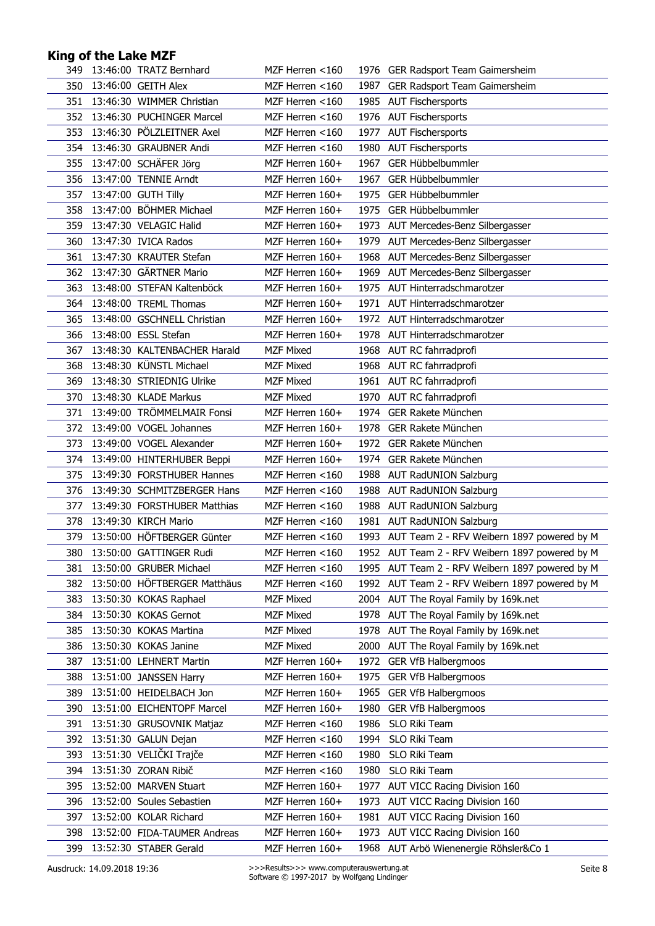| 349. | 13:46:00 TRATZ Bernhard       | MZF Herren <160    |      | 1976 GER Radsport Team Gaimersheim              |
|------|-------------------------------|--------------------|------|-------------------------------------------------|
| 350  | 13:46:00 GEITH Alex           | MZF Herren $<$ 160 | 1987 | GER Radsport Team Gaimersheim                   |
|      | 351 13:46:30 WIMMER Christian | MZF Herren $<$ 160 |      | 1985 AUT Fischersports                          |
| 352  | 13:46:30 PUCHINGER Marcel     | MZF Herren <160    |      | 1976 AUT Fischersports                          |
| 353  | 13:46:30 PÖLZLEITNER Axel     | MZF Herren <160    |      | 1977 AUT Fischersports                          |
| 354  | 13:46:30 GRAUBNER Andi        | MZF Herren <160    | 1980 | <b>AUT Fischersports</b>                        |
| 355  | 13:47:00 SCHÄFER Jörg         | MZF Herren 160+    | 1967 | GER Hübbelbummler                               |
| 356  | 13:47:00 TENNIE Arndt         | MZF Herren 160+    | 1967 | GER Hübbelbummler                               |
|      | 357 13:47:00 GUTH Tilly       | MZF Herren 160+    |      | 1975 GER Hübbelbummler                          |
| 358  | 13:47:00 BÖHMER Michael       | MZF Herren 160+    |      | 1975 GER Hübbelbummler                          |
| 359  | 13:47:30 VELAGIC Halid        | MZF Herren 160+    | 1973 | AUT Mercedes-Benz Silbergasser                  |
| 360  | 13:47:30 IVICA Rados          | MZF Herren 160+    | 1979 | AUT Mercedes-Benz Silbergasser                  |
|      | 361 13:47:30 KRAUTER Stefan   | MZF Herren 160+    |      | 1968 AUT Mercedes-Benz Silbergasser             |
|      | 362 13:47:30 GÄRTNER Mario    | MZF Herren 160+    | 1969 | AUT Mercedes-Benz Silbergasser                  |
| 363  | 13:48:00 STEFAN Kaltenböck    | MZF Herren 160+    |      | 1975 AUT Hinterradschmarotzer                   |
| 364. | 13:48:00 TREML Thomas         | MZF Herren 160+    |      | 1971 AUT Hinterradschmarotzer                   |
| 365  | 13:48:00 GSCHNELL Christian   | MZF Herren 160+    |      | 1972 AUT Hinterradschmarotzer                   |
|      | 366 13:48:00 ESSL Stefan      | MZF Herren 160+    |      | 1978 AUT Hinterradschmarotzer                   |
| 367  | 13:48:30 KALTENBACHER Harald  | <b>MZF Mixed</b>   | 1968 | AUT RC fahrradprofi                             |
| 368  | 13:48:30 KÜNSTL Michael       | <b>MZF Mixed</b>   |      | 1968 AUT RC fahrradprofi                        |
| 369  | 13:48:30 STRIEDNIG Ulrike     | <b>MZF Mixed</b>   |      | 1961 AUT RC fahrradprofi                        |
| 370  | 13:48:30 KLADE Markus         | <b>MZF Mixed</b>   |      | 1970 AUT RC fahrradprofi                        |
| 371  | 13:49:00 TRÖMMELMAIR Fonsi    | MZF Herren 160+    | 1974 | GER Rakete München                              |
| 372  | 13:49:00 VOGEL Johannes       | MZF Herren 160+    | 1978 | GER Rakete München                              |
| 373  | 13:49:00 VOGEL Alexander      | MZF Herren 160+    |      | 1972 GER Rakete München                         |
| 374  | 13:49:00 HINTERHUBER Beppi    | MZF Herren 160+    |      | 1974 GER Rakete München                         |
| 375  | 13:49:30 FORSTHUBER Hannes    | MZF Herren <160    | 1988 | <b>AUT RadUNION Salzburg</b>                    |
| 376  | 13:49:30 SCHMITZBERGER Hans   | MZF Herren <160    | 1988 | <b>AUT RadUNION Salzburg</b>                    |
| 377  | 13:49:30 FORSTHUBER Matthias  | MZF Herren <160    |      | 1988 AUT RadUNION Salzburg                      |
| 378  | 13:49:30 KIRCH Mario          | MZF Herren <160    |      | 1981 AUT RadUNION Salzburg                      |
| 379  | 13:50:00 HÖFTBERGER Günter    | MZF Herren <160    |      | 1993 AUT Team 2 - RFV Weibern 1897 powered by M |
| 380  | 13:50:00 GATTINGER Rudi       | MZF Herren $<$ 160 |      | 1952 AUT Team 2 - RFV Weibern 1897 powered by M |
| 381  | 13:50:00 GRUBER Michael       | MZF Herren <160    |      | 1995 AUT Team 2 - RFV Weibern 1897 powered by M |
| 382  | 13:50:00 HÖFTBERGER Matthäus  | MZF Herren <160    |      | 1992 AUT Team 2 - RFV Weibern 1897 powered by M |
| 383  | 13:50:30 KOKAS Raphael        | <b>MZF Mixed</b>   |      | 2004 AUT The Royal Family by 169k.net           |
| 384  | 13:50:30 KOKAS Gernot         | <b>MZF Mixed</b>   | 1978 | AUT The Royal Family by 169k.net                |
| 385  | 13:50:30 KOKAS Martina        | <b>MZF Mixed</b>   | 1978 | AUT The Royal Family by 169k.net                |
| 386  | 13:50:30 KOKAS Janine         | <b>MZF Mixed</b>   | 2000 | AUT The Royal Family by 169k.net                |
| 387  | 13:51:00 LEHNERT Martin       | MZF Herren 160+    |      | 1972 GER VfB Halbergmoos                        |
| 388  | 13:51:00 JANSSEN Harry        | MZF Herren 160+    | 1975 | <b>GER VfB Halbergmoos</b>                      |
| 389  | 13:51:00 HEIDELBACH Jon       | MZF Herren 160+    | 1965 | <b>GER VfB Halbergmoos</b>                      |
| 390  | 13:51:00 EICHENTOPF Marcel    | MZF Herren 160+    | 1980 | <b>GER VfB Halbergmoos</b>                      |
| 391  | 13:51:30 GRUSOVNIK Matjaz     | MZF Herren <160    | 1986 | SLO Riki Team                                   |
| 392  | 13:51:30 GALUN Dejan          | MZF Herren <160    | 1994 | SLO Riki Team                                   |
| 393  | 13:51:30 VELIČKI Trajče       | MZF Herren <160    | 1980 | SLO Riki Team                                   |
| 394  | 13:51:30 ZORAN Ribič          | MZF Herren <160    | 1980 | SLO Riki Team                                   |
| 395  | 13:52:00 MARVEN Stuart        | MZF Herren 160+    | 1977 | AUT VICC Racing Division 160                    |
| 396  | 13:52:00 Soules Sebastien     | MZF Herren 160+    | 1973 | AUT VICC Racing Division 160                    |
| 397  | 13:52:00 KOLAR Richard        | MZF Herren 160+    |      | 1981 AUT VICC Racing Division 160               |
| 398  | 13:52:00 FIDA-TAUMER Andreas  | MZF Herren 160+    | 1973 | AUT VICC Racing Division 160                    |
| 399  | 13:52:30 STABER Gerald        | MZF Herren 160+    |      | 1968 AUT Arbö Wienenergie Röhsler&Co 1          |
|      |                               |                    |      |                                                 |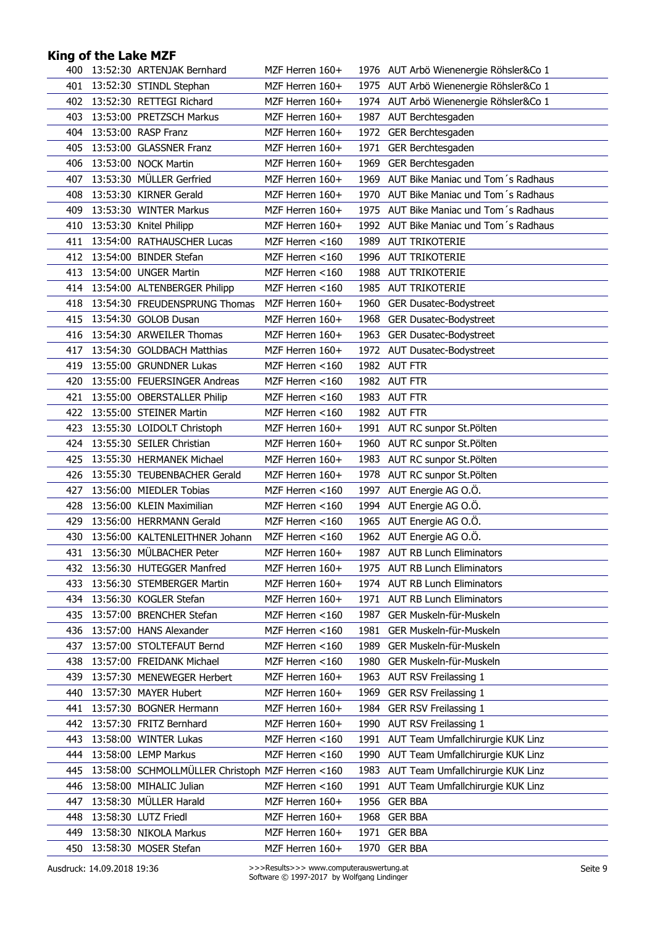| 400 | 13:52:30 ARTENJAK Bernhard                       | MZF Herren 160+    |      | 1976 AUT Arbö Wienenergie Röhsler&Co 1 |
|-----|--------------------------------------------------|--------------------|------|----------------------------------------|
| 401 | 13:52:30 STINDL Stephan                          | MZF Herren 160+    |      | 1975 AUT Arbö Wienenergie Röhsler&Co 1 |
| 402 | 13:52:30 RETTEGI Richard                         | MZF Herren 160+    |      | 1974 AUT Arbö Wienenergie Röhsler&Co 1 |
| 403 | 13:53:00 PRETZSCH Markus                         | MZF Herren 160+    |      | 1987 AUT Berchtesgaden                 |
| 404 | 13:53:00 RASP Franz                              | MZF Herren 160+    |      | 1972 GER Berchtesgaden                 |
| 405 | 13:53:00 GLASSNER Franz                          | MZF Herren 160+    |      | 1971 GER Berchtesgaden                 |
| 406 | 13:53:00 NOCK Martin                             | MZF Herren 160+    | 1969 | GER Berchtesgaden                      |
| 407 | 13:53:30 MÜLLER Gerfried                         | MZF Herren 160+    | 1969 | AUT Bike Maniac und Tom's Radhaus      |
| 408 | 13:53:30 KIRNER Gerald                           | MZF Herren 160+    |      | 1970 AUT Bike Maniac und Tom's Radhaus |
| 409 | 13:53:30 WINTER Markus                           | MZF Herren 160+    |      | 1975 AUT Bike Maniac und Tom's Radhaus |
| 410 | 13:53:30 Knitel Philipp                          | MZF Herren 160+    |      | 1992 AUT Bike Maniac und Tom's Radhaus |
| 411 | 13:54:00 RATHAUSCHER Lucas                       | MZF Herren <160    | 1989 | <b>AUT TRIKOTERIE</b>                  |
|     | 412 13:54:00 BINDER Stefan                       | MZF Herren <160    |      | 1996 AUT TRIKOTERIE                    |
| 413 | 13:54:00 UNGER Martin                            | MZF Herren <160    |      | 1988 AUT TRIKOTERIE                    |
| 414 | 13:54:00 ALTENBERGER Philipp                     | MZF Herren <160    |      | 1985 AUT TRIKOTERIE                    |
| 418 | 13:54:30 FREUDENSPRUNG Thomas                    | MZF Herren 160+    | 1960 | GER Dusatec-Bodystreet                 |
| 415 | 13:54:30 GOLOB Dusan                             | MZF Herren 160+    | 1968 | <b>GER Dusatec-Bodystreet</b>          |
| 416 | 13:54:30 ARWEILER Thomas                         | MZF Herren 160+    | 1963 | <b>GER Dusatec-Bodystreet</b>          |
| 417 | 13:54:30 GOLDBACH Matthias                       | MZF Herren 160+    |      | 1972 AUT Dusatec-Bodystreet            |
| 419 | 13:55:00 GRUNDNER Lukas                          | MZF Herren $<$ 160 |      | 1982 AUT FTR                           |
| 420 | 13:55:00 FEUERSINGER Andreas                     | MZF Herren <160    |      | 1982 AUT FTR                           |
| 421 | 13:55:00 OBERSTALLER Philip                      | MZF Herren <160    |      | 1983 AUT FTR                           |
| 422 | 13:55:00 STEINER Martin                          | MZF Herren <160    |      | 1982 AUT FTR                           |
| 423 | 13:55:30 LOIDOLT Christoph                       | MZF Herren 160+    |      | 1991 AUT RC sunpor St. Pölten          |
| 424 | 13:55:30 SEILER Christian                        | MZF Herren 160+    |      | 1960 AUT RC sunpor St. Pölten          |
| 425 | 13:55:30 HERMANEK Michael                        | MZF Herren 160+    |      | 1983 AUT RC sunpor St. Pölten          |
| 426 | 13:55:30 TEUBENBACHER Gerald                     | MZF Herren 160+    | 1978 | AUT RC sunpor St.Pölten                |
| 427 | 13:56:00 MIEDLER Tobias                          | MZF Herren <160    |      | 1997 AUT Energie AG O.Ö.               |
| 428 | 13:56:00 KLEIN Maximilian                        | MZF Herren <160    |      | 1994 AUT Energie AG O.O.               |
| 429 | 13:56:00 HERRMANN Gerald                         | MZF Herren <160    |      | 1965 AUT Energie AG O.Ö.               |
| 430 | 13:56:00 KALTENLEITHNER Johann                   | MZF Herren <160    |      | 1962 AUT Energie AG O.Ö.               |
| 431 | 13:56:30 MÜLBACHER Peter                         | MZF Herren 160+    |      | 1987 AUT RB Lunch Eliminators          |
| 432 | 13:56:30 HUTEGGER Manfred                        | MZF Herren 160+    |      | 1975 AUT RB Lunch Eliminators          |
| 433 | 13:56:30 STEMBERGER Martin                       | MZF Herren 160+    |      | 1974 AUT RB Lunch Eliminators          |
| 434 | 13:56:30 KOGLER Stefan                           | MZF Herren 160+    |      | 1971 AUT RB Lunch Eliminators          |
| 435 | 13:57:00 BRENCHER Stefan                         | MZF Herren <160    | 1987 | GER Muskeln-für-Muskeln                |
| 436 | 13:57:00 HANS Alexander                          | MZF Herren <160    | 1981 | GER Muskeln-für-Muskeln                |
| 437 | 13:57:00 STOLTEFAUT Bernd                        | MZF Herren <160    | 1989 | GER Muskeln-für-Muskeln                |
| 438 | 13:57:00 FREIDANK Michael                        | MZF Herren <160    | 1980 | GER Muskeln-für-Muskeln                |
| 439 | 13:57:30 MENEWEGER Herbert                       | MZF Herren 160+    | 1963 | AUT RSV Freilassing 1                  |
| 440 | 13:57:30 MAYER Hubert                            | MZF Herren 160+    | 1969 | <b>GER RSV Freilassing 1</b>           |
| 441 | 13:57:30 BOGNER Hermann                          | MZF Herren 160+    | 1984 | <b>GER RSV Freilassing 1</b>           |
| 442 | 13:57:30 FRITZ Bernhard                          | MZF Herren 160+    | 1990 | AUT RSV Freilassing 1                  |
| 443 | 13:58:00 WINTER Lukas                            | MZF Herren <160    | 1991 | AUT Team Umfallchirurgie KUK Linz      |
| 444 | 13:58:00 LEMP Markus                             | MZF Herren <160    | 1990 | AUT Team Umfallchirurgie KUK Linz      |
| 445 | 13:58:00 SCHMOLLMÜLLER Christoph MZF Herren <160 |                    | 1983 | AUT Team Umfallchirurgie KUK Linz      |
| 446 | 13:58:00 MIHALIC Julian                          | MZF Herren <160    | 1991 | AUT Team Umfallchirurgie KUK Linz      |
| 447 | 13:58:30 MÜLLER Harald                           | MZF Herren 160+    | 1956 | <b>GER BBA</b>                         |
| 448 | 13:58:30 LUTZ Friedl                             | MZF Herren 160+    | 1968 | <b>GER BBA</b>                         |
| 449 | 13:58:30 NIKOLA Markus                           | MZF Herren 160+    | 1971 | <b>GER BBA</b>                         |
| 450 | 13:58:30 MOSER Stefan                            | MZF Herren 160+    |      | 1970 GER BBA                           |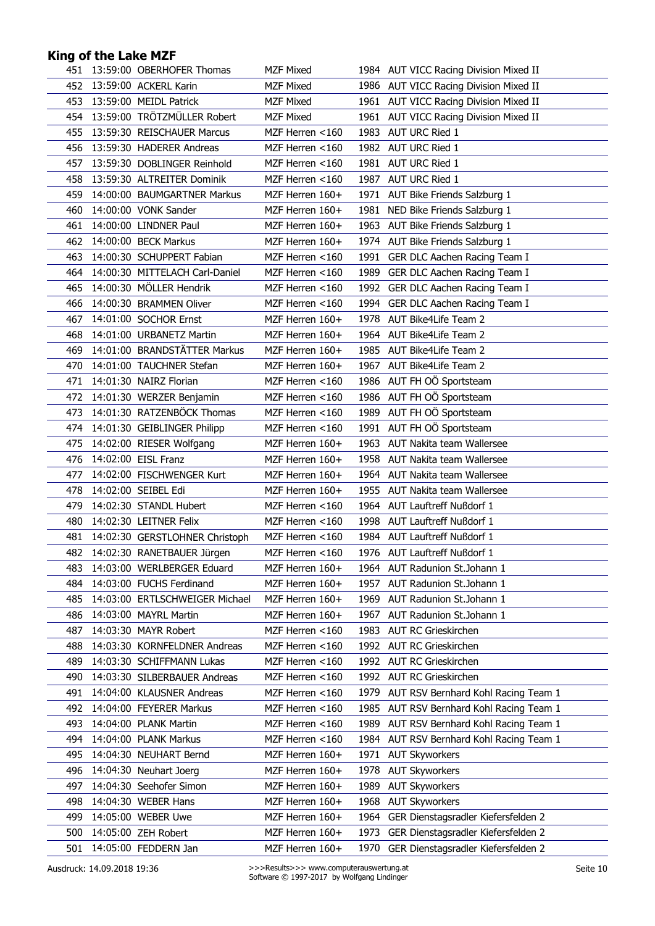|     | 451 13:59:00 OBERHOFER Thomas  | <b>MZF Mixed</b>   |      | 1984 AUT VICC Racing Division Mixed II   |
|-----|--------------------------------|--------------------|------|------------------------------------------|
| 452 | 13:59:00 ACKERL Karin          | <b>MZF Mixed</b>   |      | 1986 AUT VICC Racing Division Mixed II   |
| 453 | 13:59:00 MEIDL Patrick         | <b>MZF Mixed</b>   |      | 1961 AUT VICC Racing Division Mixed II   |
| 454 | 13:59:00 TRÖTZMÜLLER Robert    | <b>MZF Mixed</b>   |      | 1961 AUT VICC Racing Division Mixed II   |
| 455 | 13:59:30 REISCHAUER Marcus     | MZF Herren <160    |      | 1983 AUT URC Ried 1                      |
| 456 | 13:59:30 HADERER Andreas       | MZF Herren <160    |      | 1982 AUT URC Ried 1                      |
| 457 | 13:59:30 DOBLINGER Reinhold    | MZF Herren $<$ 160 |      | 1981 AUT URC Ried 1                      |
| 458 | 13:59:30 ALTREITER Dominik     | MZF Herren $<$ 160 | 1987 | AUT URC Ried 1                           |
| 459 | 14:00:00 BAUMGARTNER Markus    | MZF Herren $160+$  |      | 1971 AUT Bike Friends Salzburg 1         |
| 460 | 14:00:00 VONK Sander           | MZF Herren 160+    |      | 1981 NED Bike Friends Salzburg 1         |
| 461 | 14:00:00 LINDNER Paul          | MZF Herren 160+    |      | 1963 AUT Bike Friends Salzburg 1         |
|     | 462 14:00:00 BECK Markus       | MZF Herren 160+    |      | 1974 AUT Bike Friends Salzburg 1         |
| 463 | 14:00:30 SCHUPPERT Fabian      | MZF Herren <160    |      | 1991 GER DLC Aachen Racing Team I        |
| 464 | 14:00:30 MITTELACH Carl-Daniel | MZF Herren <160    | 1989 | GER DLC Aachen Racing Team I             |
| 465 | 14:00:30 MÖLLER Hendrik        | MZF Herren <160    |      | 1992 GER DLC Aachen Racing Team I        |
| 466 | 14:00:30 BRAMMEN Oliver        | MZF Herren <160    |      | 1994 GER DLC Aachen Racing Team I        |
| 467 | 14:01:00 SOCHOR Ernst          | MZF Herren 160+    |      | 1978 AUT Bike4Life Team 2                |
| 468 | 14:01:00 URBANETZ Martin       | MZF Herren 160+    |      | 1964 AUT Bike4Life Team 2                |
| 469 | 14:01:00 BRANDSTÄTTER Markus   | MZF Herren 160+    |      | 1985 AUT Bike4Life Team 2                |
| 470 | 14:01:00 TAUCHNER Stefan       | MZF Herren 160+    |      | 1967 AUT Bike4Life Team 2                |
| 471 | 14:01:30 NAIRZ Florian         | MZF Herren $<$ 160 |      | 1986 AUT FH OO Sportsteam                |
| 472 | 14:01:30 WERZER Benjamin       | MZF Herren <160    |      | 1986 AUT FH OÖ Sportsteam                |
| 473 | 14:01:30 RATZENBÖCK Thomas     | MZF Herren <160    |      | 1989 AUT FH OÖ Sportsteam                |
| 474 | 14:01:30 GEIBLINGER Philipp    | MZF Herren <160    |      | 1991 AUT FH OÖ Sportsteam                |
| 475 | 14:02:00 RIESER Wolfgang       | MZF Herren 160+    | 1963 | AUT Nakita team Wallersee                |
| 476 | 14:02:00 EISL Franz            | MZF Herren 160+    |      | 1958 AUT Nakita team Wallersee           |
| 477 | 14:02:00 FISCHWENGER Kurt      | MZF Herren 160+    |      | 1964 AUT Nakita team Wallersee           |
| 478 | 14:02:00 SEIBEL Edi            | MZF Herren 160+    |      | 1955 AUT Nakita team Wallersee           |
| 479 | 14:02:30 STANDL Hubert         | MZF Herren <160    |      | 1964 AUT Lauftreff Nußdorf 1             |
| 480 | 14:02:30 LEITNER Felix         | MZF Herren <160    |      | 1998 AUT Lauftreff Nußdorf 1             |
| 481 | 14:02:30 GERSTLOHNER Christoph | MZF Herren <160    |      | 1984 AUT Lauftreff Nußdorf 1             |
|     | 482 14:02:30 RANETBAUER Jürgen | MZF Herren <160    |      | 1976 AUT Lauftreff Nußdorf 1             |
| 483 | 14:03:00 WERLBERGER Eduard     | MZF Herren 160+    |      | 1964 AUT Radunion St. Johann 1           |
| 484 | 14:03:00 FUCHS Ferdinand       | MZF Herren 160+    | 1957 | AUT Radunion St.Johann 1                 |
| 485 | 14:03:00 ERTLSCHWEIGER Michael | MZF Herren 160+    | 1969 | AUT Radunion St.Johann 1                 |
| 486 | 14:03:00 MAYRL Martin          | MZF Herren 160+    | 1967 | AUT Radunion St.Johann 1                 |
| 487 | 14:03:30 MAYR Robert           | MZF Herren <160    | 1983 | <b>AUT RC Grieskirchen</b>               |
| 488 | 14:03:30 KORNFELDNER Andreas   | MZF Herren <160    | 1992 | <b>AUT RC Grieskirchen</b>               |
| 489 | 14:03:30 SCHIFFMANN Lukas      | MZF Herren <160    | 1992 | AUT RC Grieskirchen                      |
| 490 | 14:03:30 SILBERBAUER Andreas   | MZF Herren <160    |      | 1992 AUT RC Grieskirchen                 |
| 491 | 14:04:00 KLAUSNER Andreas      | MZF Herren <160    | 1979 | AUT RSV Bernhard Kohl Racing Team 1      |
| 492 | 14:04:00 FEYERER Markus        | MZF Herren <160    | 1985 | AUT RSV Bernhard Kohl Racing Team 1      |
| 493 | 14:04:00 PLANK Martin          | MZF Herren <160    | 1989 | AUT RSV Bernhard Kohl Racing Team 1      |
| 494 | 14:04:00 PLANK Markus          | MZF Herren <160    | 1984 | AUT RSV Bernhard Kohl Racing Team 1      |
| 495 | 14:04:30 NEUHART Bernd         | MZF Herren 160+    | 1971 | <b>AUT Skyworkers</b>                    |
| 496 | 14:04:30 Neuhart Joerg         | MZF Herren 160+    | 1978 | <b>AUT Skyworkers</b>                    |
| 497 | 14:04:30 Seehofer Simon        | MZF Herren 160+    | 1989 | <b>AUT Skyworkers</b>                    |
| 498 | 14:04:30 WEBER Hans            | MZF Herren 160+    | 1968 | <b>AUT Skyworkers</b>                    |
| 499 | 14:05:00 WEBER Uwe             | MZF Herren 160+    | 1964 | GER Dienstagsradler Kiefersfelden 2      |
| 500 | 14:05:00 ZEH Robert            | MZF Herren 160+    | 1973 | GER Dienstagsradler Kiefersfelden 2      |
| 501 | 14:05:00 FEDDERN Jan           | MZF Herren 160+    |      | 1970 GER Dienstagsradler Kiefersfelden 2 |
|     |                                |                    |      |                                          |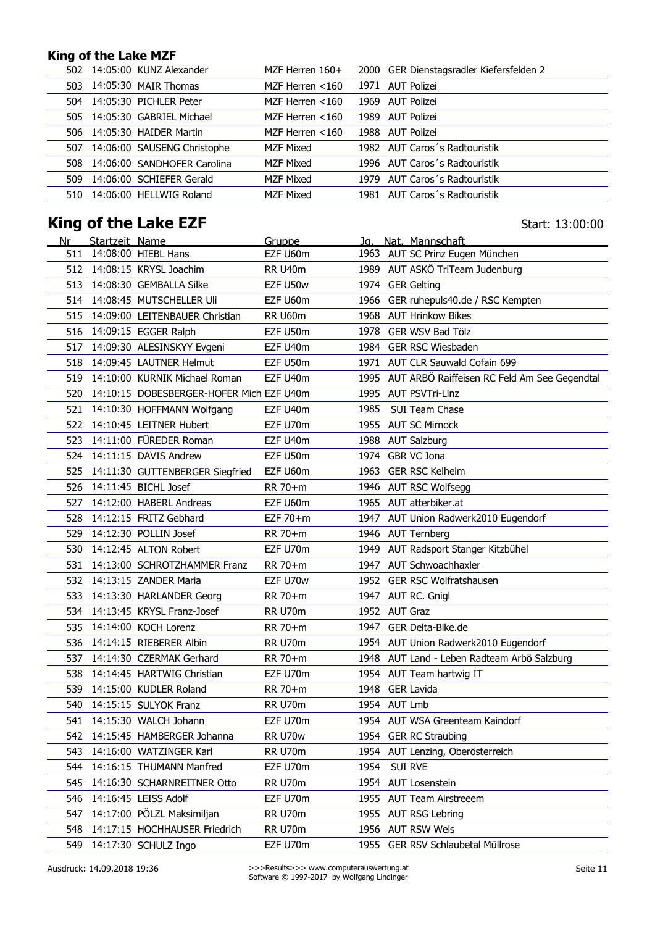|  | 502 14:05:00 KUNZ Alexander     | MZF Herren 160+    | 2000 GER Dienstagsradler Kiefersfelden 2 |
|--|---------------------------------|--------------------|------------------------------------------|
|  | 503 14:05:30 MAIR Thomas        | MZF Herren <160    | 1971 AUT Polizei                         |
|  | 504 14:05:30 PICHLER Peter      | MZF Herren $<$ 160 | 1969 AUT Polizei                         |
|  | 505 14:05:30 GABRIEL Michael    | MZF Herren $<$ 160 | 1989 AUT Polizei                         |
|  | 506 14:05:30 HAIDER Martin      | MZF Herren $<$ 160 | 1988 AUT Polizei                         |
|  | 507 14:06:00 SAUSENG Christophe | MZF Mixed          | 1982 AUT Caros's Radtouristik            |
|  | 508 14:06:00 SANDHOFER Carolina | <b>MZF Mixed</b>   | 1996 AUT Caros's Radtouristik            |
|  | 509 14:06:00 SCHIEFER Gerald    | <b>MZF Mixed</b>   | 1979 AUT Caros's Radtouristik            |
|  | 510 14:06:00 HELLWIG Roland     | <b>MZF Mixed</b>   | 1981 AUT Caros's Radtouristik            |

# **King of the Lake EZF**

Start: 13:00:00

| Nr   | Startzeit Name |                                          | Gruppe         | Ja.  | Nat. Mannschaft                                   |
|------|----------------|------------------------------------------|----------------|------|---------------------------------------------------|
| 511  |                | 14:08:00 HIEBL Hans                      | EZF U60m       |      | 1963 AUT SC Prinz Eugen München                   |
|      |                | 512 14:08:15 KRYSL Joachim               | <b>RR U40m</b> |      | 1989 AUT ASKÖ TriTeam Judenburg                   |
| 513  |                | 14:08:30 GEMBALLA Silke                  | EZF U50w       |      | 1974 GER Gelting                                  |
|      |                | 514 14:08:45 MUTSCHELLER Uli             | EZF U60m       | 1966 | GER ruhepuls40.de / RSC Kempten                   |
| 515  |                | 14:09:00 LEITENBAUER Christian           | RR U60m        | 1968 | <b>AUT Hrinkow Bikes</b>                          |
|      |                | 516 14:09:15 EGGER Ralph                 | EZF U50m       | 1978 | <b>GER WSV Bad Tölz</b>                           |
| 517. |                | 14:09:30 ALESINSKYY Evgeni               | EZF U40m       | 1984 | <b>GER RSC Wiesbaden</b>                          |
|      |                | 518 14:09:45 LAUTNER Helmut              | EZF U50m       |      | 1971 AUT CLR Sauwald Cofain 699                   |
| 519  |                | 14:10:00 KURNIK Michael Roman            | EZF U40m       |      | 1995 AUT ARBÖ Raiffeisen RC Feld Am See Gegendtal |
| 520  |                | 14:10:15 DOBESBERGER-HOFER Mich EZF U40m |                |      | 1995 AUT PSVTri-Linz                              |
| 521  |                | 14:10:30 HOFFMANN Wolfgang               | EZF U40m       | 1985 | <b>SUI Team Chase</b>                             |
|      |                | 522 14:10:45 LEITNER Hubert              | EZF U70m       |      | 1955 AUT SC Mirnock                               |
| 523  |                | 14:11:00 FÜREDER Roman                   | EZF U40m       | 1988 | <b>AUT Salzburg</b>                               |
|      |                | 524 14:11:15 DAVIS Andrew                | EZF U50m       | 1974 | GBR VC Jona                                       |
| 525  |                | 14:11:30 GUTTENBERGER Siegfried          | EZF U60m       | 1963 | <b>GER RSC Kelheim</b>                            |
| 526  |                | 14:11:45 BICHL Josef                     | RR 70+m        |      | 1946 AUT RSC Wolfsegg                             |
| 527  |                | 14:12:00 HABERL Andreas                  | EZF U60m       |      | 1965 AUT atterbiker.at                            |
| 528  |                | 14:12:15 FRITZ Gebhard                   | EZF $70+m$     |      | 1947 AUT Union Radwerk2010 Eugendorf              |
| 529  |                | 14:12:30 POLLIN Josef                    | RR 70+m        |      | 1946 AUT Ternberg                                 |
| 530  |                | 14:12:45 ALTON Robert                    | EZF U70m       |      | 1949 AUT Radsport Stanger Kitzbühel               |
| 531  |                | 14:13:00 SCHROTZHAMMER Franz             | RR 70+m        |      | 1947 AUT Schwoachhaxler                           |
|      |                | 532 14:13:15 ZANDER Maria                | EZF U70w       | 1952 | GER RSC Wolfratshausen                            |
| 533  |                | 14:13:30 HARLANDER Georg                 | RR 70+m        |      | 1947 AUT RC. Gnigl                                |
| 534  |                | 14:13:45 KRYSL Franz-Josef               | <b>RR U70m</b> |      | 1952 AUT Graz                                     |
| 535  |                | 14:14:00 KOCH Lorenz                     | RR 70+m        | 1947 | GER Delta-Bike.de                                 |
| 536  |                | 14:14:15 RIEBERER Albin                  | RR U70m        |      | 1954 AUT Union Radwerk2010 Eugendorf              |
| 537  |                | 14:14:30 CZERMAK Gerhard                 | RR 70+m        |      | 1948 AUT Land - Leben Radteam Arbö Salzburg       |
| 538  |                | 14:14:45 HARTWIG Christian               | EZF U70m       |      | 1954 AUT Team hartwig IT                          |
| 539  |                | 14:15:00 KUDLER Roland                   | RR 70+m        |      | 1948 GER Lavida                                   |
| 540  |                | 14:15:15 SULYOK Franz                    | RR U70m        |      | 1954 AUT Lmb                                      |
|      |                | 541 14:15:30 WALCH Johann                | EZF U70m       |      | 1954 AUT WSA Greenteam Kaindorf                   |
| 542. |                | 14:15:45 HAMBERGER Johanna               | RR U70w        |      | 1954 GER RC Straubing                             |
| 543  |                | 14:16:00 WATZINGER Karl                  | RR U70m        | 1954 | AUT Lenzing, Oberösterreich                       |
| 544  |                | 14:16:15 THUMANN Manfred                 | EZF U70m       | 1954 | SUI RVE                                           |
| 545  |                | 14:16:30 SCHARNREITNER Otto              | RR U70m        |      | 1954 AUT Losenstein                               |
| 546  |                | 14:16:45 LEISS Adolf                     | EZF U70m       | 1955 | <b>AUT Team Airstreeem</b>                        |
| 547  |                | 14:17:00 PÖLZL Maksimiljan               | RR U70m        |      | 1955 AUT RSG Lebring                              |
| 548  |                | 14:17:15 HOCHHAUSER Friedrich            | RR U70m        |      | 1956 AUT RSW Wels                                 |
| 549  |                | 14:17:30 SCHULZ Ingo                     | EZF U70m       |      | 1955 GER RSV Schlaubetal Müllrose                 |
|      |                |                                          |                |      |                                                   |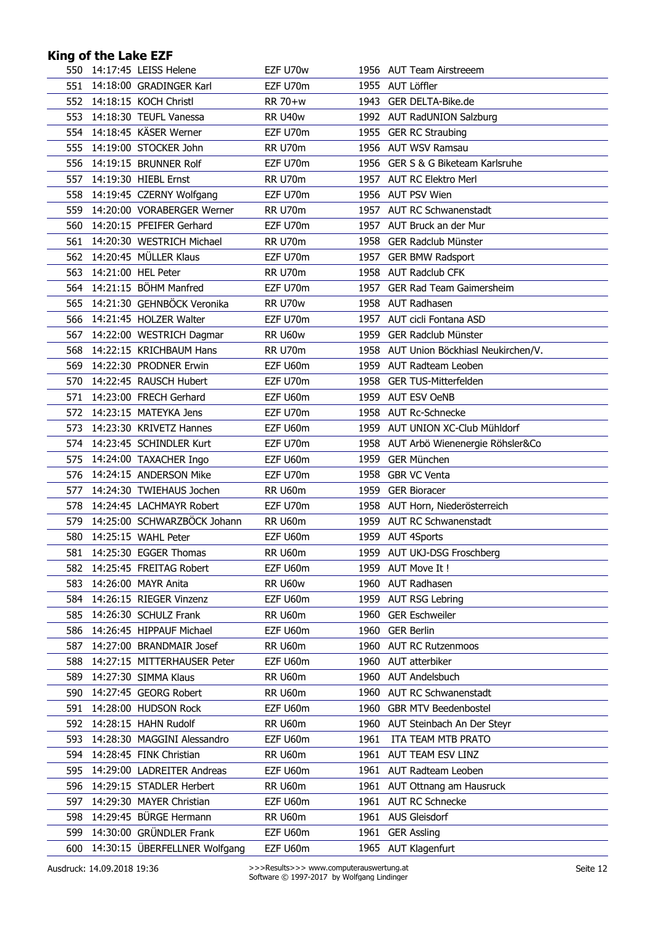|      | 550 14:17:45 LEISS Helene     | EZF U70w |      | 1956 AUT Team Airstreeem               |
|------|-------------------------------|----------|------|----------------------------------------|
| 551  | 14:18:00 GRADINGER Karl       | EZF U70m |      | 1955 AUT Löffler                       |
|      | 552 14:18:15 KOCH Christl     | RR 70+w  |      | 1943 GER DELTA-Bike.de                 |
| 553  | 14:18:30 TEUFL Vanessa        | RR U40w  |      | 1992 AUT RadUNION Salzburg             |
| 554  | 14:18:45 KÄSER Werner         | EZF U70m |      | 1955 GER RC Straubing                  |
|      | 555 14:19:00 STOCKER John     | RR U70m  |      | 1956 AUT WSV Ramsau                    |
|      | 556 14:19:15 BRUNNER Rolf     | EZF U70m |      | 1956 GER S & G Biketeam Karlsruhe      |
|      | 557 14:19:30 HIEBL Ernst      | RR U70m  |      | 1957 AUT RC Elektro Merl               |
|      | 558 14:19:45 CZERNY Wolfgang  | EZF U70m |      | 1956 AUT PSV Wien                      |
| 559  | 14:20:00 VORABERGER Werner    | RR U70m  |      | 1957 AUT RC Schwanenstadt              |
|      | 560 14:20:15 PFEIFER Gerhard  | EZF U70m |      | 1957 AUT Bruck an der Mur              |
|      | 561 14:20:30 WESTRICH Michael | RR U70m  |      | 1958 GER Radclub Münster               |
|      | 562 14:20:45 MÜLLER Klaus     | EZF U70m |      | 1957 GER BMW Radsport                  |
|      | 563 14:21:00 HEL Peter        | RR U70m  |      | 1958 AUT Radclub CFK                   |
|      | 564 14:21:15 BÖHM Manfred     | EZF U70m | 1957 | <b>GER Rad Team Gaimersheim</b>        |
| 565  | 14:21:30 GEHNBÖCK Veronika    | RR U70w  |      | 1958 AUT Radhasen                      |
|      | 566 14:21:45 HOLZER Walter    | EZF U70m |      | 1957 AUT cicli Fontana ASD             |
|      | 567 14:22:00 WESTRICH Dagmar  | RR U60w  | 1959 | <b>GER Radclub Münster</b>             |
| 568  | 14:22:15 KRICHBAUM Hans       | RR U70m  |      | 1958 AUT Union Böckhiasl Neukirchen/V. |
|      | 569 14:22:30 PRODNER Erwin    | EZF U60m |      | 1959 AUT Radteam Leoben                |
|      | 570 14:22:45 RAUSCH Hubert    | EZF U70m | 1958 | <b>GER TUS-Mitterfelden</b>            |
|      | 14:23:00 FRECH Gerhard        | EZF U60m | 1959 | <b>AUT ESV OeNB</b>                    |
| 571  |                               |          |      |                                        |
|      | 572 14:23:15 MATEYKA Jens     | EZF U70m |      | 1958 AUT Rc-Schnecke                   |
| 573  | 14:23:30 KRIVETZ Hannes       | EZF U60m |      | 1959 AUT UNION XC-Club Mühldorf        |
|      | 574 14:23:45 SCHINDLER Kurt   | EZF U70m |      | 1958 AUT Arbö Wienenergie Röhsler&Co   |
| 575  | 14:24:00 TAXACHER Ingo        | EZF U60m | 1959 | GER München                            |
| 576  | 14:24:15 ANDERSON Mike        | EZF U70m | 1958 | <b>GBR VC Venta</b>                    |
|      | 577 14:24:30 TWIEHAUS Jochen  | RR U60m  | 1959 | <b>GER Bioracer</b>                    |
|      | 578 14:24:45 LACHMAYR Robert  | EZF U70m |      | 1958 AUT Horn, Niederösterreich        |
| 579  | 14:25:00 SCHWARZBÖCK Johann   | RR U60m  |      | 1959 AUT RC Schwanenstadt              |
| 580  | 14:25:15 WAHL Peter           | EZF U60m |      | 1959 AUT 4Sports                       |
| 581  | 14:25:30 EGGER Thomas         | RR U60m  |      | 1959 AUT UKJ-DSG Froschberg            |
| 582  | 14:25:45 FREITAG Robert       | EZF U60m |      | 1959 AUT Move It !                     |
| 583  | 14:26:00 MAYR Anita           | RR U60w  | 1960 | <b>AUT Radhasen</b>                    |
| 584  | 14:26:15 RIEGER Vinzenz       | EZF U60m | 1959 | <b>AUT RSG Lebring</b>                 |
| 585  | 14:26:30 SCHULZ Frank         | RR U60m  | 1960 | <b>GER Eschweiler</b>                  |
| 586  | 14:26:45 HIPPAUF Michael      | EZF U60m | 1960 | <b>GER Berlin</b>                      |
| 587  | 14:27:00 BRANDMAIR Josef      | RR U60m  | 1960 | <b>AUT RC Rutzenmoos</b>               |
| 588  | 14:27:15 MITTERHAUSER Peter   | EZF U60m | 1960 | AUT atterbiker                         |
| 589  | 14:27:30 SIMMA Klaus          | RR U60m  | 1960 | <b>AUT Andelsbuch</b>                  |
| 590  | 14:27:45 GEORG Robert         | RR U60m  | 1960 | <b>AUT RC Schwanenstadt</b>            |
| 591  | 14:28:00 HUDSON Rock          | EZF U60m | 1960 | <b>GBR MTV Beedenbostel</b>            |
| 592. | 14:28:15 HAHN Rudolf          | RR U60m  | 1960 | AUT Steinbach An Der Steyr             |
| 593  | 14:28:30 MAGGINI Alessandro   | EZF U60m | 1961 | ITA TEAM MTB PRATO                     |
| 594  | 14:28:45 FINK Christian       | RR U60m  |      | 1961 AUT TEAM ESV LINZ                 |
| 595  | 14:29:00 LADREITER Andreas    | EZF U60m | 1961 | AUT Radteam Leoben                     |
| 596  | 14:29:15 STADLER Herbert      | RR U60m  |      | 1961 AUT Ottnang am Hausruck           |
| 597  | 14:29:30 MAYER Christian      | EZF U60m |      | 1961 AUT RC Schnecke                   |
| 598  | 14:29:45 BÜRGE Hermann        | RR U60m  | 1961 | <b>AUS Gleisdorf</b>                   |
| 599  | 14:30:00 GRÜNDLER Frank       | EZF U60m | 1961 | <b>GER Assling</b>                     |
| 600  | 14:30:15 ÜBERFELLNER Wolfgang | EZF U60m |      | 1965 AUT Klagenfurt                    |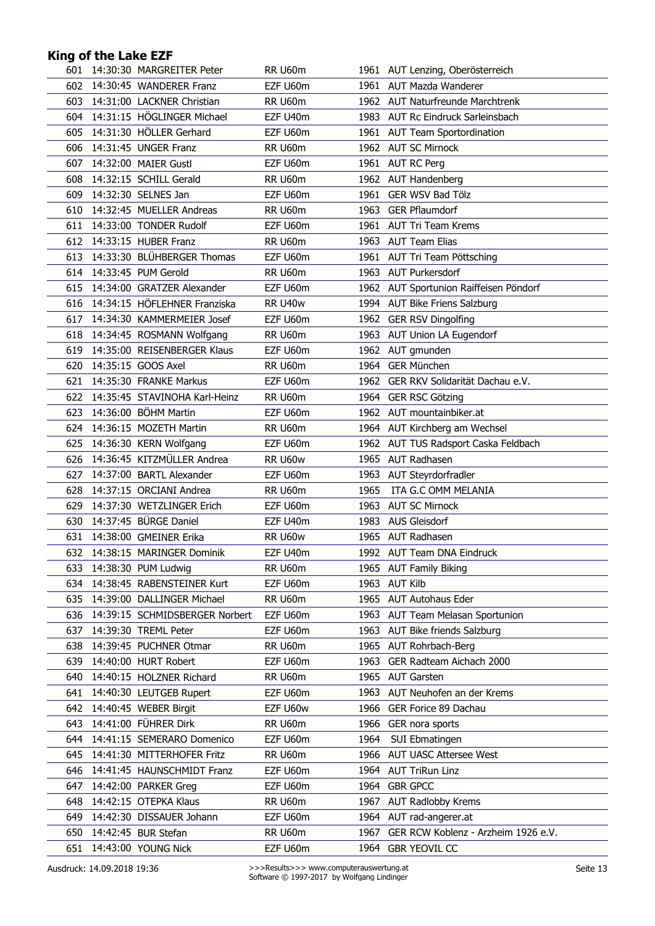|     | 601 14:30:30 MARGREITER Peter  | <b>RR U60m</b> |      | 1961 AUT Lenzing, Oberösterreich       |
|-----|--------------------------------|----------------|------|----------------------------------------|
| 602 | 14:30:45 WANDERER Franz        | EZF U60m       |      | 1961 AUT Mazda Wanderer                |
| 603 | 14:31:00 LACKNER Christian     | <b>RR U60m</b> |      | 1962 AUT Naturfreunde Marchtrenk       |
| 604 | 14:31:15 HÖGLINGER Michael     | EZF U40m       |      | 1983 AUT Rc Eindruck Sarleinsbach      |
| 605 | 14:31:30 HÖLLER Gerhard        | EZF U60m       |      | 1961 AUT Team Sportordination          |
| 606 | 14:31:45 UNGER Franz           | <b>RR U60m</b> |      | 1962 AUT SC Mirnock                    |
| 607 | 14:32:00 MAIER Gustl           | EZF U60m       |      | 1961 AUT RC Perg                       |
| 608 | 14:32:15 SCHILL Gerald         | RR U60m        |      | 1962 AUT Handenberg                    |
| 609 | 14:32:30 SELNES Jan            | EZF U60m       |      | 1961 GER WSV Bad Tölz                  |
| 610 | 14:32:45 MUELLER Andreas       | RR U60m        | 1963 | <b>GER Pflaumdorf</b>                  |
| 611 | 14:33:00 TONDER Rudolf         | EZF U60m       |      | 1961 AUT Tri Team Krems                |
|     | 612 14:33:15 HUBER Franz       | <b>RR U60m</b> |      | 1963 AUT Team Elias                    |
| 613 | 14:33:30 BLÜHBERGER Thomas     | EZF U60m       |      | 1961 AUT Tri Team Pöttsching           |
|     | 614 14:33:45 PUM Gerold        | RR U60m        |      | 1963 AUT Purkersdorf                   |
| 615 | 14:34:00 GRATZER Alexander     | EZF U60m       |      | 1962 AUT Sportunion Raiffeisen Pöndorf |
| 616 | 14:34:15 HÖFLEHNER Franziska   | RR U40w        |      | 1994 AUT Bike Friens Salzburg          |
|     | 617 14:34:30 KAMMERMEIER Josef | EZF U60m       | 1962 | <b>GER RSV Dingolfing</b>              |
|     | 618 14:34:45 ROSMANN Wolfgang  | <b>RR U60m</b> |      | 1963 AUT Union LA Eugendorf            |
| 619 | 14:35:00 REISENBERGER Klaus    | EZF U60m       |      | 1962 AUT gmunden                       |
| 620 | 14:35:15 GOOS Axel             | <b>RR U60m</b> |      | 1964 GER München                       |
| 621 | 14:35:30 FRANKE Markus         | EZF U60m       |      | 1962 GER RKV Solidarität Dachau e.V.   |
| 622 | 14:35:45 STAVINOHA Karl-Heinz  | RR U60m        |      | 1964 GER RSC Götzing                   |
| 623 | 14:36:00 BÖHM Martin           | EZF U60m       |      | 1962 AUT mountainbiker.at              |
|     | 624 14:36:15 MOZETH Martin     | <b>RR U60m</b> |      | 1964 AUT Kirchberg am Wechsel          |
| 625 | 14:36:30 KERN Wolfgang         | EZF U60m       |      | 1962 AUT TUS Radsport Caska Feldbach   |
| 626 | 14:36:45 KITZMÜLLER Andrea     | RR U60w        |      | 1965 AUT Radhasen                      |
| 627 | 14:37:00 BARTL Alexander       | EZF U60m       | 1963 | AUT Steyrdorfradler                    |
| 628 | 14:37:15 ORCIANI Andrea        | RR U60m        | 1965 | ITA G.C OMM MELANIA                    |
| 629 | 14:37:30 WETZLINGER Erich      | EZF U60m       |      | 1963 AUT SC Mirnock                    |
| 630 | 14:37:45 BÜRGE Daniel          | EZF U40m       | 1983 | <b>AUS Gleisdorf</b>                   |
| 631 | 14:38:00 GMEINER Erika         | RR U60w        |      | 1965 AUT Radhasen                      |
|     | 632 14:38:15 MARINGER Dominik  | EZF U40m       |      | 1992 AUT Team DNA Eindruck             |
| 633 | 14:38:30 PUM Ludwig            | RR U60m        |      | 1965 AUT Family Biking                 |
| 634 | 14:38:45 RABENSTEINER Kurt     | EZF U60m       | 1963 | <b>AUT Kilb</b>                        |
| 635 | 14:39:00 DALLINGER Michael     | RR U60m        | 1965 | <b>AUT Autohaus Eder</b>               |
| 636 | 14:39:15 SCHMIDSBERGER Norbert | EZF U60m       | 1963 | AUT Team Melasan Sportunion            |
| 637 | 14:39:30 TREML Peter           | EZF U60m       | 1963 | AUT Bike friends Salzburg              |
| 638 | 14:39:45 PUCHNER Otmar         | RR U60m        |      | 1965 AUT Rohrbach-Berg                 |
| 639 | 14:40:00 HURT Robert           | EZF U60m       | 1963 | GER Radteam Aichach 2000               |
| 640 | 14:40:15 HOLZNER Richard       | RR U60m        | 1965 | <b>AUT Garsten</b>                     |
| 641 | 14:40:30 LEUTGEB Rupert        | EZF U60m       | 1963 | AUT Neuhofen an der Krems              |
| 642 | 14:40:45 WEBER Birgit          | EZF U60w       | 1966 | GER Forice 89 Dachau                   |
| 643 | 14:41:00 FÜHRER Dirk           | RR U60m        | 1966 | GER nora sports                        |
| 644 | 14:41:15 SEMERARO Domenico     | EZF U60m       | 1964 | SUI Ebmatingen                         |
| 645 | 14:41:30 MITTERHOFER Fritz     | RR U60m        | 1966 | <b>AUT UASC Attersee West</b>          |
| 646 | 14:41:45 HAUNSCHMIDT Franz     | EZF U60m       | 1964 | <b>AUT TriRun Linz</b>                 |
| 647 | 14:42:00 PARKER Greg           | EZF U60m       | 1964 | <b>GBR GPCC</b>                        |
| 648 | 14:42:15 OTEPKA Klaus          | RR U60m        | 1967 | <b>AUT Radlobby Krems</b>              |
| 649 | 14:42:30 DISSAUER Johann       | EZF U60m       | 1964 | AUT rad-angerer.at                     |
| 650 | 14:42:45 BUR Stefan            | RR U60m        | 1967 | GER RCW Koblenz - Arzheim 1926 e.V.    |
|     | 651 14:43:00 YOUNG Nick        | EZF U60m       |      | 1964 GBR YEOVIL CC                     |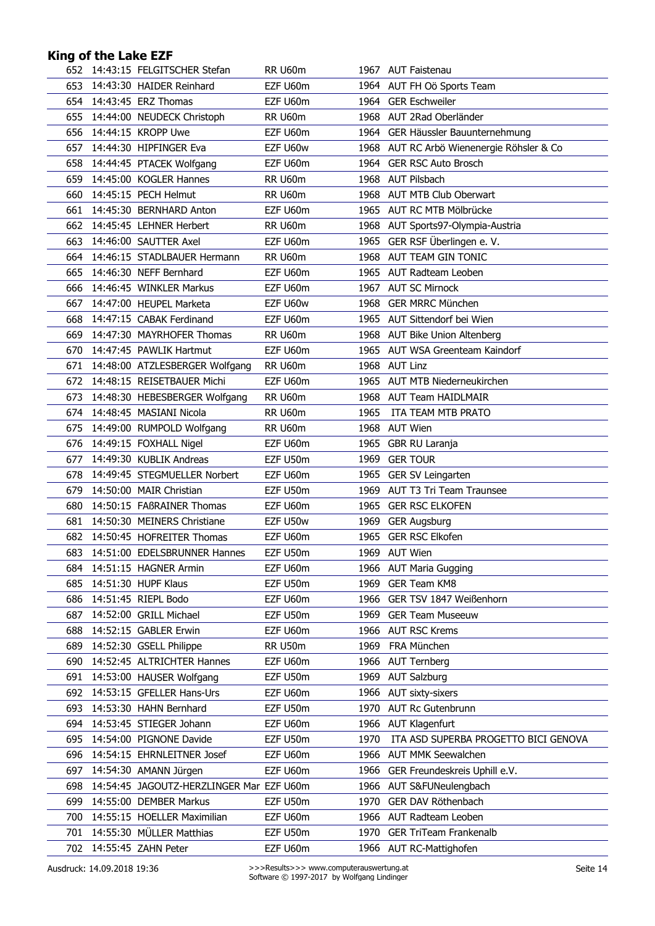| 652 | 14:43:15 FELGITSCHER Stefan              | <b>RR U60m</b> |      | 1967 AUT Faistenau                        |
|-----|------------------------------------------|----------------|------|-------------------------------------------|
| 653 | 14:43:30 HAIDER Reinhard                 | EZF U60m       |      | 1964 AUT FH Oö Sports Team                |
|     | 654 14:43:45 ERZ Thomas                  | EZF U60m       |      | 1964 GER Eschweiler                       |
| 655 | 14:44:00 NEUDECK Christoph               | RR U60m        |      | 1968 AUT 2Rad Oberländer                  |
| 656 | 14:44:15 KROPP Uwe                       | EZF U60m       |      | 1964 GER Häussler Bauunternehmung         |
| 657 | 14:44:30 HIPFINGER Eva                   | EZF U60w       |      | 1968 AUT RC Arbö Wienenergie Röhsler & Co |
| 658 | 14:44:45 PTACEK Wolfgang                 | EZF U60m       |      | 1964 GER RSC Auto Brosch                  |
| 659 | 14:45:00 KOGLER Hannes                   | RR U60m        |      | 1968 AUT Pilsbach                         |
| 660 | 14:45:15 PECH Helmut                     | <b>RR U60m</b> |      | 1968 AUT MTB Club Oberwart                |
|     | 661 14:45:30 BERNHARD Anton              | EZF U60m       |      | 1965 AUT RC MTB Mölbrücke                 |
| 662 | 14:45:45 LEHNER Herbert                  | RR U60m        | 1968 | AUT Sports97-Olympia-Austria              |
| 663 | 14:46:00 SAUTTER Axel                    | EZF U60m       |      | 1965 GER RSF Überlingen e. V.             |
| 664 | 14:46:15 STADLBAUER Hermann              | RR U60m        |      | 1968 AUT TEAM GIN TONIC                   |
| 665 | 14:46:30 NEFF Bernhard                   | EZF U60m       |      | 1965 AUT Radteam Leoben                   |
| 666 | 14:46:45 WINKLER Markus                  | EZF U60m       |      | 1967 AUT SC Mirnock                       |
| 667 | 14:47:00 HEUPEL Marketa                  | EZF U60w       | 1968 | <b>GER MRRC München</b>                   |
| 668 | 14:47:15 CABAK Ferdinand                 | EZF U60m       |      | 1965 AUT Sittendorf bei Wien              |
| 669 | 14:47:30 MAYRHOFER Thomas                | RR U60m        |      | 1968 AUT Bike Union Altenberg             |
| 670 | 14:47:45 PAWLIK Hartmut                  | EZF U60m       |      | 1965 AUT WSA Greenteam Kaindorf           |
| 671 | 14:48:00 ATZLESBERGER Wolfgang           | RR U60m        | 1968 | <b>AUT Linz</b>                           |
|     | 672 14:48:15 REISETBAUER Michi           | EZF U60m       |      | 1965 AUT MTB Niederneukirchen             |
| 673 | 14:48:30 HEBESBERGER Wolfgang            | RR U60m        |      | 1968 AUT Team HAIDLMAIR                   |
| 674 | 14:48:45 MASIANI Nicola                  | <b>RR U60m</b> | 1965 | ITA TEAM MTB PRATO                        |
|     |                                          |                |      |                                           |
| 675 | 14:49:00 RUMPOLD Wolfgang                | <b>RR U60m</b> |      | 1968 AUT Wien                             |
|     | 676 14:49:15 FOXHALL Nigel               | EZF U60m       | 1965 | GBR RU Laranja                            |
| 677 | 14:49:30 KUBLIK Andreas                  | EZF U50m       | 1969 | <b>GER TOUR</b>                           |
| 678 | 14:49:45 STEGMUELLER Norbert             | EZF U60m       | 1965 | GER SV Leingarten                         |
| 679 | 14:50:00 MAIR Christian                  | EZF U50m       | 1969 | AUT T3 Tri Team Traunsee                  |
| 680 | 14:50:15 FABRAINER Thomas                | EZF U60m       | 1965 | <b>GER RSC ELKOFEN</b>                    |
| 681 | 14:50:30 MEINERS Christiane              | EZF U50w       | 1969 | <b>GER Augsburg</b>                       |
| 682 | 14:50:45 HOFREITER Thomas                | EZF U60m       | 1965 | <b>GER RSC Elkofen</b>                    |
| 683 | 14:51:00 EDELSBRUNNER Hannes             | EZF U50m       |      | 1969 AUT Wien                             |
| 684 | 14:51:15 HAGNER Armin                    | EZF U60m       |      | 1966 AUT Maria Gugging                    |
| 685 | 14:51:30 HUPF Klaus                      | EZF U50m       | 1969 | GER Team KM8                              |
| 686 | 14:51:45 RIEPL Bodo                      | EZF U60m       | 1966 | GER TSV 1847 Weißenhorn                   |
| 687 | 14:52:00 GRILL Michael                   | EZF U50m       | 1969 | <b>GER Team Museeuw</b>                   |
| 688 | 14:52:15 GABLER Erwin                    | EZF U60m       | 1966 | <b>AUT RSC Krems</b>                      |
| 689 | 14:52:30 GSELL Philippe                  | RR U50m        | 1969 | FRA München                               |
| 690 | 14:52:45 ALTRICHTER Hannes               | EZF U60m       | 1966 | <b>AUT Ternberg</b>                       |
| 691 | 14:53:00 HAUSER Wolfgang                 | EZF U50m       | 1969 | <b>AUT Salzburg</b>                       |
| 692 | 14:53:15 GFELLER Hans-Urs                | EZF U60m       | 1966 | AUT sixty-sixers                          |
| 693 | 14:53:30 HAHN Bernhard                   | EZF U50m       | 1970 | <b>AUT Rc Gutenbrunn</b>                  |
| 694 | 14:53:45 STIEGER Johann                  | EZF U60m       | 1966 | <b>AUT Klagenfurt</b>                     |
| 695 | 14:54:00 PIGNONE Davide                  | EZF U50m       | 1970 | ITA ASD SUPERBA PROGETTO BICI GENOVA      |
| 696 | 14:54:15 EHRNLEITNER Josef               | EZF U60m       | 1966 | <b>AUT MMK Seewalchen</b>                 |
| 697 | 14:54:30 AMANN Jürgen                    | EZF U60m       | 1966 | GER Freundeskreis Uphill e.V.             |
| 698 | 14:54:45 JAGOUTZ-HERZLINGER Mar EZF U60m |                | 1966 | AUT S&FUNeulengbach                       |
| 699 | 14:55:00 DEMBER Markus                   | EZF U50m       | 1970 | GER DAV Röthenbach                        |
| 700 | 14:55:15 HOELLER Maximilian              | EZF U60m       | 1966 | AUT Radteam Leoben                        |
| 701 | 14:55:30 MÜLLER Matthias                 | EZF U50m       | 1970 | <b>GER TriTeam Frankenalb</b>             |
| 702 | 14:55:45 ZAHN Peter                      | EZF U60m       |      | 1966 AUT RC-Mattighofen                   |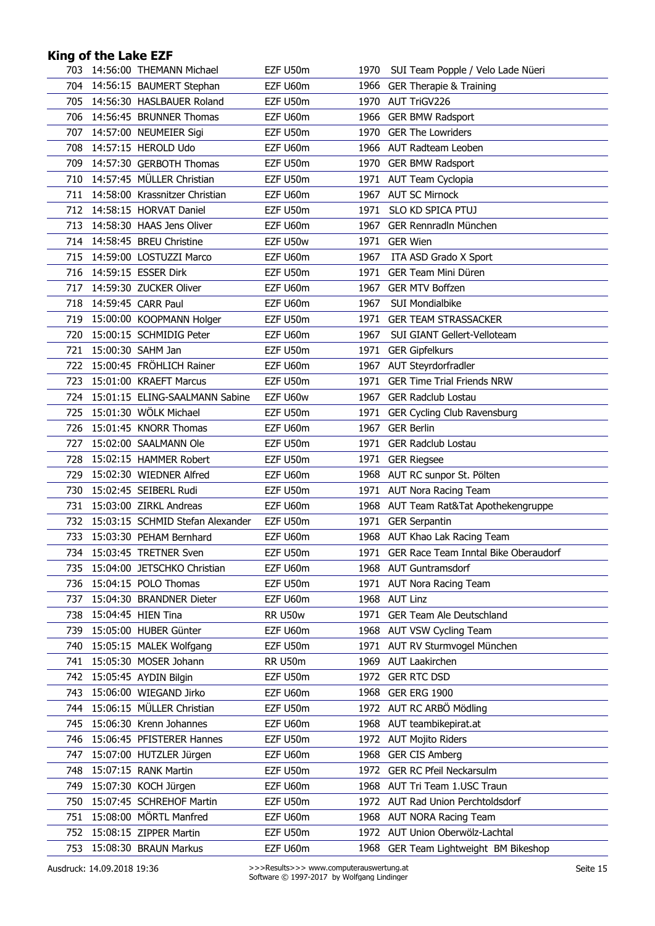| 703  | 14:56:00 THEMANN Michael           | EZF U50m |      | 1970 SUI Team Popple / Velo Lade Nüeri    |
|------|------------------------------------|----------|------|-------------------------------------------|
|      | 704 14:56:15 BAUMERT Stephan       | EZF U60m |      | 1966 GER Therapie & Training              |
| 705  | 14:56:30 HASLBAUER Roland          | EZF U50m |      | 1970 AUT TriGV226                         |
| 706  | 14:56:45 BRUNNER Thomas            | EZF U60m |      | 1966 GER BMW Radsport                     |
| 707  | 14:57:00 NEUMEIER Sigi             | EZF U50m | 1970 | <b>GER The Lowriders</b>                  |
| 708  | 14:57:15 HEROLD Udo                | EZF U60m |      | 1966 AUT Radteam Leoben                   |
| 709  | 14:57:30 GERBOTH Thomas            | EZF U50m |      | 1970 GER BMW Radsport                     |
| 710  | 14:57:45 MÜLLER Christian          | EZF U50m |      | 1971 AUT Team Cyclopia                    |
|      | 711 14:58:00 Krassnitzer Christian | EZF U60m |      | 1967 AUT SC Mirnock                       |
| 712  | 14:58:15 HORVAT Daniel             | EZF U50m | 1971 | SLO KD SPICA PTUJ                         |
| 713  | 14:58:30 HAAS Jens Oliver          | EZF U60m | 1967 | GER Rennradln München                     |
|      | 714 14:58:45 BREU Christine        | EZF U50w |      | 1971 GER Wien                             |
| 715  | 14:59:00 LOSTUZZI Marco            | EZF U60m | 1967 | ITA ASD Grado X Sport                     |
| 716  | 14:59:15 ESSER Dirk                | EZF U50m |      | 1971 GER Team Mini Düren                  |
| 717  | 14:59:30 ZUCKER Oliver             | EZF U60m | 1967 | <b>GER MTV Boffzen</b>                    |
| 718  | 14:59:45 CARR Paul                 | EZF U60m | 1967 | <b>SUI Mondialbike</b>                    |
| 719  | 15:00:00 KOOPMANN Holger           | EZF U50m | 1971 | <b>GER TEAM STRASSACKER</b>               |
| 720  | 15:00:15 SCHMIDIG Peter            | EZF U60m | 1967 | <b>SUI GIANT Gellert-Velloteam</b>        |
| 721  | 15:00:30 SAHM Jan                  | EZF U50m | 1971 | <b>GER Gipfelkurs</b>                     |
|      | 722 15:00:45 FRÖHLICH Rainer       | EZF U60m |      | 1967 AUT Steyrdorfradler                  |
| 723  | 15:01:00 KRAEFT Marcus             | EZF U50m | 1971 | <b>GER Time Trial Friends NRW</b>         |
| 724. | 15:01:15 ELING-SAALMANN Sabine     | EZF U60w | 1967 | <b>GER Radclub Lostau</b>                 |
| 725  | 15:01:30 WÖLK Michael              | EZF U50m |      | 1971 GER Cycling Club Ravensburg          |
| 726  | 15:01:45 KNORR Thomas              | EZF U60m | 1967 | <b>GER Berlin</b>                         |
|      | 727 15:02:00 SAALMANN Ole          | EZF U50m |      | 1971 GER Radclub Lostau                   |
| 728  | 15:02:15 HAMMER Robert             | EZF U50m |      | 1971 GER Riegsee                          |
| 729  | 15:02:30 WIEDNER Alfred            | EZF U60m |      | 1968 AUT RC sunpor St. Pölten             |
| 730  | 15:02:45 SEIBERL Rudi              | EZF U50m |      | 1971 AUT Nora Racing Team                 |
|      | 731 15:03:00 ZIRKL Andreas         | EZF U60m |      | 1968 AUT Team Rat&Tat Apothekengruppe     |
| 732. | 15:03:15 SCHMID Stefan Alexander   | EZF U50m |      | 1971 GER Serpantin                        |
| 733  | 15:03:30 PEHAM Bernhard            | EZF U60m |      | 1968 AUT Khao Lak Racing Team             |
|      | 734 15:03:45 TRETNER Sven          | EZF U50m |      | 1971 GER Race Team Inntal Bike Oberaudorf |
| 735  | 15:04:00 JETSCHKO Christian        | EZF U60m |      | 1968 AUT Guntramsdorf                     |
| 736  | 15:04:15 POLO Thomas               | EZF U50m | 1971 | AUT Nora Racing Team                      |
| 737  | 15:04:30 BRANDNER Dieter           | EZF U60m | 1968 | <b>AUT Linz</b>                           |
| 738  | 15:04:45 HIEN Tina                 | RR U50w  | 1971 | GER Team Ale Deutschland                  |
| 739  | 15:05:00 HUBER Günter              | EZF U60m | 1968 | <b>AUT VSW Cycling Team</b>               |
| 740  | 15:05:15 MALEK Wolfgang            | EZF U50m | 1971 | AUT RV Sturmvogel München                 |
| 741  | 15:05:30 MOSER Johann              | RR U50m  | 1969 | AUT Laakirchen                            |
| 742  | 15:05:45 AYDIN Bilgin              | EZF U50m | 1972 | <b>GER RTC DSD</b>                        |
| 743. | 15:06:00 WIEGAND Jirko             | EZF U60m | 1968 | <b>GER ERG 1900</b>                       |
| 744  | 15:06:15 MÜLLER Christian          | EZF U50m | 1972 | AUT RC ARBÖ Mödling                       |
| 745  | 15:06:30 Krenn Johannes            | EZF U60m |      | 1968 AUT teambikepirat.at                 |
| 746  | 15:06:45 PFISTERER Hannes          | EZF U50m | 1972 | <b>AUT Mojito Riders</b>                  |
| 747  | 15:07:00 HUTZLER Jürgen            | EZF U60m | 1968 | <b>GER CIS Amberg</b>                     |
| 748  | 15:07:15 RANK Martin               | EZF U50m | 1972 | <b>GER RC Pfeil Neckarsulm</b>            |
| 749  | 15:07:30 KOCH Jürgen               | EZF U60m | 1968 | AUT Tri Team 1.USC Traun                  |
| 750  | 15:07:45 SCHREHOF Martin           | EZF U50m | 1972 | AUT Rad Union Perchtoldsdorf              |
| 751  | 15:08:00 MÖRTL Manfred             | EZF U60m | 1968 | <b>AUT NORA Racing Team</b>               |
| 752  | 15:08:15 ZIPPER Martin             | EZF U50m | 1972 | AUT Union Oberwölz-Lachtal                |
| 753  | 15:08:30 BRAUN Markus              | EZF U60m | 1968 | GER Team Lightweight BM Bikeshop          |
|      |                                    |          |      |                                           |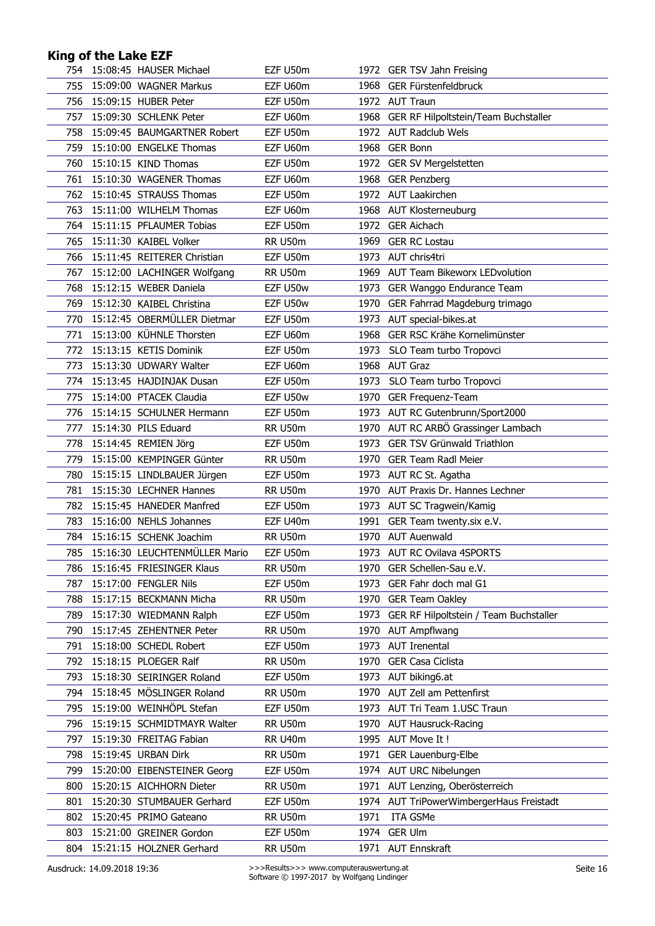| 754 | 15:08:45 HAUSER Michael       | EZF U50m       |      | 1972 GER TSV Jahn Freising               |
|-----|-------------------------------|----------------|------|------------------------------------------|
| 755 | 15:09:00 WAGNER Markus        | EZF U60m       | 1968 | GER Fürstenfeldbruck                     |
| 756 | 15:09:15 HUBER Peter          | EZF U50m       |      | 1972 AUT Traun                           |
| 757 | 15:09:30 SCHLENK Peter        | EZF U60m       | 1968 | GER RF Hilpoltstein/Team Buchstaller     |
| 758 | 15:09:45 BAUMGARTNER Robert   | EZF U50m       | 1972 | <b>AUT Radclub Wels</b>                  |
| 759 | 15:10:00 ENGELKE Thomas       | EZF U60m       | 1968 | <b>GER Bonn</b>                          |
| 760 | 15:10:15 KIND Thomas          | EZF U50m       | 1972 | <b>GER SV Mergelstetten</b>              |
| 761 | 15:10:30 WAGENER Thomas       | EZF U60m       | 1968 | <b>GER Penzberg</b>                      |
|     | 762 15:10:45 STRAUSS Thomas   | EZF U50m       |      | 1972 AUT Laakirchen                      |
| 763 | 15:11:00 WILHELM Thomas       | EZF U60m       |      | 1968 AUT Klosterneuburg                  |
| 764 | 15:11:15 PFLAUMER Tobias      | EZF U50m       | 1972 | <b>GER Aichach</b>                       |
| 765 | 15:11:30 KAIBEL Volker        | <b>RR U50m</b> | 1969 | <b>GER RC Lostau</b>                     |
| 766 | 15:11:45 REITERER Christian   | EZF U50m       | 1973 | AUT chris4tri                            |
| 767 | 15:12:00 LACHINGER Wolfgang   | RR U50m        |      | 1969 AUT Team Bikeworx LEDvolution       |
| 768 | 15:12:15 WEBER Daniela        | EZF U50w       | 1973 | GER Wanggo Endurance Team                |
| 769 | 15:12:30 KAIBEL Christina     | EZF U50w       | 1970 | GER Fahrrad Magdeburg trimago            |
| 770 | 15:12:45 OBERMÜLLER Dietmar   | EZF U50m       | 1973 | AUT special-bikes.at                     |
| 771 | 15:13:00 KÜHNLE Thorsten      | EZF U60m       | 1968 | GER RSC Krähe Kornelimünster             |
| 772 | 15:13:15 KETIS Dominik        | EZF U50m       | 1973 | SLO Team turbo Tropovci                  |
| 773 | 15:13:30 UDWARY Walter        | EZF U60m       | 1968 | AUT Graz                                 |
| 774 | 15:13:45 HAJDINJAK Dusan      | EZF U50m       | 1973 | SLO Team turbo Tropovci                  |
| 775 | 15:14:00 PTACEK Claudia       | EZF U50w       | 1970 | GER Frequenz-Team                        |
| 776 | 15:14:15 SCHULNER Hermann     | EZF U50m       |      | 1973 AUT RC Gutenbrunn/Sport2000         |
| 777 | 15:14:30 PILS Eduard          | <b>RR U50m</b> | 1970 | AUT RC ARBÖ Grassinger Lambach           |
| 778 | 15:14:45 REMIEN Jörg          | EZF U50m       | 1973 | <b>GER TSV Grünwald Triathlon</b>        |
| 779 | 15:15:00 KEMPINGER Günter     | <b>RR U50m</b> | 1970 | <b>GER Team Radl Meier</b>               |
| 780 | 15:15:15 LINDLBAUER Jürgen    | EZF U50m       | 1973 | AUT RC St. Agatha                        |
| 781 | 15:15:30 LECHNER Hannes       | <b>RR U50m</b> |      | 1970 AUT Praxis Dr. Hannes Lechner       |
| 782 | 15:15:45 HANEDER Manfred      | EZF U50m       |      | 1973 AUT SC Tragwein/Kamig               |
| 783 | 15:16:00 NEHLS Johannes       | EZF U40m       | 1991 | GER Team twenty.six e.V.                 |
| 784 | 15:16:15 SCHENK Joachim       | <b>RR U50m</b> |      | 1970 AUT Auenwald                        |
| 785 | 15:16:30 LEUCHTENMÜLLER Mario | EZF U50m       |      | 1973 AUT RC Ovilava 4SPORTS              |
| 786 | 15:16:45 FRIESINGER Klaus     | RR U50m        |      | 1970 GER Schellen-Sau e.V.               |
| 787 | 15:17:00 FENGLER Nils         | EZF U50m       | 1973 | GER Fahr doch mal G1                     |
| 788 | 15:17:15 BECKMANN Micha       | <b>RR U50m</b> | 1970 | <b>GER Team Oakley</b>                   |
| 789 | 15:17:30 WIEDMANN Ralph       | EZF U50m       | 1973 | GER RF Hilpoltstein / Team Buchstaller   |
| 790 | 15:17:45 ZEHENTNER Peter      | RR U50m        | 1970 | <b>AUT Ampflwang</b>                     |
| 791 | 15:18:00 SCHEDL Robert        | EZF U50m       | 1973 | <b>AUT Irenental</b>                     |
| 792 | 15:18:15 PLOEGER Ralf         | RR U50m        | 1970 | <b>GER Casa Ciclista</b>                 |
| 793 | 15:18:30 SEIRINGER Roland     | EZF U50m       | 1973 | AUT biking6.at                           |
| 794 | 15:18:45 MÖSLINGER Roland     | RR U50m        | 1970 | AUT Zell am Pettenfirst                  |
| 795 | 15:19:00 WEINHÖPL Stefan      | EZF U50m       | 1973 | AUT Tri Team 1.USC Traun                 |
| 796 | 15:19:15 SCHMIDTMAYR Walter   | RR U50m        | 1970 | <b>AUT Hausruck-Racing</b>               |
| 797 | 15:19:30 FREITAG Fabian       | RR U40m        | 1995 | AUT Move It!                             |
| 798 | 15:19:45 URBAN Dirk           | RR U50m        | 1971 | GER Lauenburg-Elbe                       |
| 799 | 15:20:00 EIBENSTEINER Georg   | EZF U50m       |      | 1974 AUT URC Nibelungen                  |
| 800 | 15:20:15 AICHHORN Dieter      | RR U50m        | 1971 | AUT Lenzing, Oberösterreich              |
| 801 | 15:20:30 STUMBAUER Gerhard    | EZF U50m       |      | 1974 AUT TriPowerWimbergerHaus Freistadt |
| 802 | 15:20:45 PRIMO Gateano        | RR U50m        | 1971 | ITA GSMe                                 |
| 803 | 15:21:00 GREINER Gordon       | EZF U50m       | 1974 | <b>GER Ulm</b>                           |
| 804 | 15:21:15 HOLZNER Gerhard      | RR U50m        |      | 1971 AUT Ennskraft                       |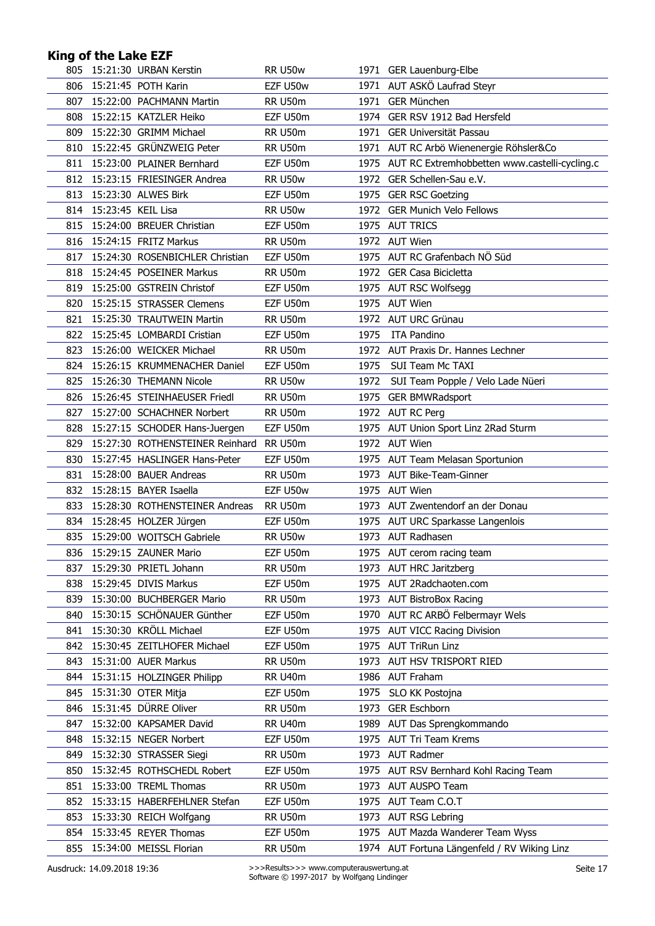| 805 |                        | 15:21:30 URBAN Kerstin              | <b>RR U50w</b> |      | 1971 GER Lauenburg-Elbe                            |
|-----|------------------------|-------------------------------------|----------------|------|----------------------------------------------------|
| 806 |                        | 15:21:45 POTH Karin                 | EZF U50w       |      | 1971 AUT ASKÖ Laufrad Steyr                        |
| 807 |                        | 15:22:00 PACHMANN Martin            | <b>RR U50m</b> |      | 1971 GER München                                   |
| 808 |                        | 15:22:15 KATZLER Heiko              | EZF U50m       |      | 1974 GER RSV 1912 Bad Hersfeld                     |
| 809 |                        | 15:22:30 GRIMM Michael              | <b>RR U50m</b> |      | 1971 GER Universität Passau                        |
| 810 |                        | 15:22:45 GRÜNZWEIG Peter            | <b>RR U50m</b> |      | 1971 AUT RC Arbö Wienenergie Röhsler&Co            |
|     |                        | 811 15:23:00 PLAINER Bernhard       | EZF U50m       |      | 1975 AUT RC Extremhobbetten www.castelli-cycling.c |
|     |                        | 812 15:23:15 FRIESINGER Andrea      | <b>RR U50w</b> |      | 1972 GER Schellen-Sau e.V.                         |
| 813 |                        | 15:23:30 ALWES Birk                 | EZF U50m       |      | 1975 GER RSC Goetzing                              |
|     | 814 15:23:45 KEIL Lisa |                                     | RR U50w        |      | 1972 GER Munich Velo Fellows                       |
| 815 |                        | 15:24:00 BREUER Christian           | EZF U50m       |      | 1975 AUT TRICS                                     |
|     |                        | 816 15:24:15 FRITZ Markus           | <b>RR U50m</b> |      | 1972 AUT Wien                                      |
|     |                        | 817 15:24:30 ROSENBICHLER Christian | EZF U50m       |      | 1975 AUT RC Grafenbach NO Süd                      |
|     |                        | 818 15:24:45 POSEINER Markus        | <b>RR U50m</b> |      | 1972 GER Casa Bicicletta                           |
|     |                        | 819 15:25:00 GSTREIN Christof       | EZF U50m       |      | 1975 AUT RSC Wolfsegg                              |
| 820 |                        | 15:25:15 STRASSER Clemens           | EZF U50m       |      | 1975 AUT Wien                                      |
| 821 |                        | 15:25:30 TRAUTWEIN Martin           | <b>RR U50m</b> |      | 1972 AUT URC Grünau                                |
|     |                        | 822 15:25:45 LOMBARDI Cristian      | EZF U50m       | 1975 | <b>ITA Pandino</b>                                 |
| 823 |                        | 15:26:00 WEICKER Michael            | <b>RR U50m</b> |      | 1972 AUT Praxis Dr. Hannes Lechner                 |
|     |                        | 824 15:26:15 KRUMMENACHER Daniel    | EZF U50m       | 1975 | <b>SUI Team Mc TAXI</b>                            |
| 825 |                        | 15:26:30 THEMANN Nicole             | RR U50w        | 1972 | SUI Team Popple / Velo Lade Nüeri                  |
| 826 |                        | 15:26:45 STEINHAEUSER Friedl        | <b>RR U50m</b> |      | 1975 GER BMWRadsport                               |
|     |                        | 827 15:27:00 SCHACHNER Norbert      | <b>RR U50m</b> |      | 1972 AUT RC Perg                                   |
| 828 |                        | 15:27:15 SCHODER Hans-Juergen       | EZF U50m       |      | 1975 AUT Union Sport Linz 2Rad Sturm               |
| 829 |                        | 15:27:30 ROTHENSTEINER Reinhard     | <b>RR U50m</b> |      | 1972 AUT Wien                                      |
| 830 |                        | 15:27:45 HASLINGER Hans-Peter       | EZF U50m       |      | 1975 AUT Team Melasan Sportunion                   |
| 831 |                        | 15:28:00 BAUER Andreas              | <b>RR U50m</b> |      | 1973 AUT Bike-Team-Ginner                          |
|     |                        | 832 15:28:15 BAYER Isaella          | EZF U50w       |      | 1975 AUT Wien                                      |
| 833 |                        | 15:28:30 ROTHENSTEINER Andreas      | <b>RR U50m</b> |      | 1973 AUT Zwentendorf an der Donau                  |
|     |                        | 834 15:28:45 HOLZER Jürgen          | EZF U50m       |      | 1975 AUT URC Sparkasse Langenlois                  |
| 835 |                        | 15:29:00 WOITSCH Gabriele           | RR U50w        |      | 1973 AUT Radhasen                                  |
|     |                        | 836 15:29:15 ZAUNER Mario           | EZF U50m       |      | 1975 AUT cerom racing team                         |
| 837 |                        | 15:29:30 PRIETL Johann              | <b>RR U50m</b> |      | 1973 AUT HRC Jaritzberg                            |
| 838 |                        | 15:29:45 DIVIS Markus               | EZF U50m       |      | 1975 AUT 2Radchaoten.com                           |
| 839 |                        | 15:30:00 BUCHBERGER Mario           | RR U50m        | 1973 | <b>AUT BistroBox Racing</b>                        |
| 840 |                        | 15:30:15 SCHÖNAUER Günther          | EZF U50m       |      | 1970 AUT RC ARBÖ Felbermayr Wels                   |
| 841 |                        | 15:30:30 KRÖLL Michael              | EZF U50m       |      | 1975 AUT VICC Racing Division                      |
| 842 |                        | 15:30:45 ZEITLHOFER Michael         | EZF U50m       | 1975 | <b>AUT TriRun Linz</b>                             |
| 843 |                        | 15:31:00 AUER Markus                | RR U50m        | 1973 | AUT HSV TRISPORT RIED                              |
| 844 |                        | 15:31:15 HOLZINGER Philipp          | RR U40m        |      | 1986 AUT Fraham                                    |
| 845 |                        | 15:31:30 OTER Mitja                 | EZF U50m       | 1975 | SLO KK Postojna                                    |
| 846 |                        | 15:31:45 DÜRRE Oliver               | RR U50m        | 1973 | <b>GER Eschborn</b>                                |
| 847 |                        | 15:32:00 KAPSAMER David             | <b>RR U40m</b> | 1989 | AUT Das Sprengkommando                             |
| 848 |                        | 15:32:15 NEGER Norbert              | EZF U50m       | 1975 | <b>AUT Tri Team Krems</b>                          |
| 849 |                        | 15:32:30 STRASSER Siegi             | RR U50m        | 1973 | <b>AUT Radmer</b>                                  |
| 850 |                        | 15:32:45 ROTHSCHEDL Robert          | EZF U50m       | 1975 | AUT RSV Bernhard Kohl Racing Team                  |
| 851 |                        | 15:33:00 TREML Thomas               | RR U50m        | 1973 | AUT AUSPO Team                                     |
| 852 |                        | 15:33:15 HABERFEHLNER Stefan        | EZF U50m       |      | 1975 AUT Team C.O.T                                |
| 853 |                        | 15:33:30 REICH Wolfgang             | RR U50m        | 1973 | <b>AUT RSG Lebring</b>                             |
| 854 |                        | 15:33:45 REYER Thomas               | EZF U50m       | 1975 | AUT Mazda Wanderer Team Wyss                       |
| 855 |                        | 15:34:00 MEISSL Florian             | RR U50m        |      | 1974 AUT Fortuna Längenfeld / RV Wiking Linz       |
|     |                        |                                     |                |      |                                                    |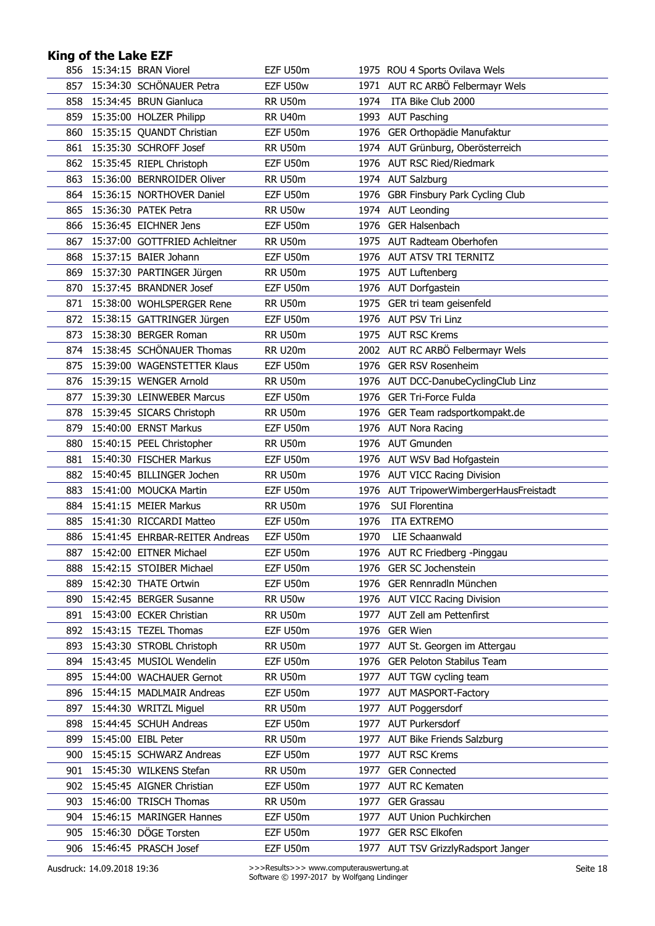| 856 | 15:34:15 BRAN Viorel           | EZF U50m       |      | 1975 ROU 4 Sports Ovilava Wels      |
|-----|--------------------------------|----------------|------|-------------------------------------|
| 857 | 15:34:30 SCHÖNAUER Petra       | EZF U50w       |      | 1971 AUT RC ARBÖ Felbermayr Wels    |
| 858 | 15:34:45 BRUN Gianluca         | <b>RR U50m</b> | 1974 | ITA Bike Club 2000                  |
| 859 | 15:35:00 HOLZER Philipp        | <b>RR U40m</b> |      | 1993 AUT Pasching                   |
| 860 | 15:35:15 QUANDT Christian      | EZF U50m       |      | 1976 GER Orthopädie Manufaktur      |
| 861 | 15:35:30 SCHROFF Josef         | <b>RR U50m</b> |      | 1974 AUT Grünburg, Oberösterreich   |
|     | 862 15:35:45 RIEPL Christoph   | EZF U50m       |      | 1976 AUT RSC Ried/Riedmark          |
| 863 | 15:36:00 BERNROIDER Oliver     | <b>RR U50m</b> |      | 1974 AUT Salzburg                   |
| 864 | 15:36:15 NORTHOVER Daniel      | EZF U50m       |      | 1976 GBR Finsbury Park Cycling Club |
| 865 | 15:36:30 PATEK Petra           | RR U50w        |      | 1974 AUT Leonding                   |
| 866 | 15:36:45 EICHNER Jens          | EZF U50m       | 1976 | <b>GER Halsenbach</b>               |
| 867 | 15:37:00 GOTTFRIED Achleitner  | <b>RR U50m</b> |      | 1975 AUT Radteam Oberhofen          |
| 868 | 15:37:15 BAIER Johann          | EZF U50m       |      | 1976 AUT ATSV TRI TERNITZ           |
| 869 | 15:37:30 PARTINGER Jürgen      | RR U50m        |      | 1975 AUT Luftenberg                 |
| 870 | 15:37:45 BRANDNER Josef        | EZF U50m       |      | 1976 AUT Dorfgastein                |
| 871 | 15:38:00 WOHLSPERGER Rene      | <b>RR U50m</b> |      | 1975 GER tri team geisenfeld        |
| 872 | 15:38:15 GATTRINGER Jürgen     | EZF U50m       |      | 1976 AUT PSV Tri Linz               |
| 873 | 15:38:30 BERGER Roman          | <b>RR U50m</b> |      | 1975 AUT RSC Krems                  |
| 874 | 15:38:45 SCHÖNAUER Thomas      | RR U20m        |      | 2002 AUT RC ARBÖ Felbermayr Wels    |
| 875 | 15:39:00 WAGENSTETTER Klaus    | EZF U50m       | 1976 | <b>GER RSV Rosenheim</b>            |
| 876 | 15:39:15 WENGER Arnold         | <b>RR U50m</b> |      | 1976 AUT DCC-DanubeCyclingClub Linz |
| 877 | 15:39:30 LEINWEBER Marcus      | EZF U50m       | 1976 | <b>GER Tri-Force Fulda</b>          |
| 878 | 15:39:45 SICARS Christoph      | <b>RR U50m</b> | 1976 | GER Team radsportkompakt.de         |
| 879 | 15:40:00 ERNST Markus          | EZF U50m       |      | 1976 AUT Nora Racing                |
| 880 | 15:40:15 PEEL Christopher      | <b>RR U50m</b> |      | 1976 AUT Gmunden                    |
| 881 | 15:40:30 FISCHER Markus        | EZF U50m       |      | 1976 AUT WSV Bad Hofgastein         |
| 882 | 15:40:45 BILLINGER Jochen      | <b>RR U50m</b> | 1976 | <b>AUT VICC Racing Division</b>     |
| 883 | 15:41:00 MOUCKA Martin         | EZF U50m       | 1976 | AUT TripowerWimbergerHausFreistadt  |
| 884 | 15:41:15 MEIER Markus          | <b>RR U50m</b> | 1976 | SUI Florentina                      |
| 885 | 15:41:30 RICCARDI Matteo       | EZF U50m       | 1976 | <b>ITA EXTREMO</b>                  |
| 886 | 15:41:45 EHRBAR-REITER Andreas | EZF U50m       | 1970 | LIE Schaanwald                      |
| 887 | 15:42:00 EITNER Michael        | EZF U50m       |      | 1976 AUT RC Friedberg -Pinggau      |
| 888 | 15:42:15 STOIBER Michael       | EZF U50m       |      | 1976 GER SC Jochenstein             |
| 889 | 15:42:30 THATE Ortwin          | EZF U50m       | 1976 | GER Rennradln München               |
| 890 | 15:42:45 BERGER Susanne        | RR U50w        |      | 1976 AUT VICC Racing Division       |
| 891 | 15:43:00 ECKER Christian       | RR U50m        | 1977 | AUT Zell am Pettenfirst             |
| 892 | 15:43:15 TEZEL Thomas          | EZF U50m       | 1976 | <b>GER Wien</b>                     |
| 893 | 15:43:30 STROBL Christoph      | RR U50m        | 1977 | AUT St. Georgen im Attergau         |
| 894 | 15:43:45 MUSIOL Wendelin       | EZF U50m       | 1976 | <b>GER Peloton Stabilus Team</b>    |
| 895 | 15:44:00 WACHAUER Gernot       | RR U50m        | 1977 | AUT TGW cycling team                |
| 896 | 15:44:15 MADLMAIR Andreas      | EZF U50m       | 1977 | <b>AUT MASPORT-Factory</b>          |
| 897 | 15:44:30 WRITZL Miguel         | RR U50m        | 1977 | AUT Poggersdorf                     |
| 898 | 15:44:45 SCHUH Andreas         | EZF U50m       | 1977 | AUT Purkersdorf                     |
| 899 | 15:45:00 EIBL Peter            | RR U50m        | 1977 | AUT Bike Friends Salzburg           |
| 900 | 15:45:15 SCHWARZ Andreas       | EZF U50m       | 1977 | <b>AUT RSC Krems</b>                |
| 901 | 15:45:30 WILKENS Stefan        | RR U50m        | 1977 | <b>GER Connected</b>                |
| 902 | 15:45:45 AIGNER Christian      | EZF U50m       | 1977 | <b>AUT RC Kematen</b>               |
| 903 | 15:46:00 TRISCH Thomas         | RR U50m        | 1977 | <b>GER Grassau</b>                  |
| 904 | 15:46:15 MARINGER Hannes       | EZF U50m       | 1977 | <b>AUT Union Puchkirchen</b>        |
| 905 | 15:46:30 DÖGE Torsten          | EZF U50m       | 1977 | <b>GER RSC Elkofen</b>              |
|     | 906 15:46:45 PRASCH Josef      | EZF U50m       |      | 1977 AUT TSV GrizzlyRadsport Janger |
|     |                                |                |      |                                     |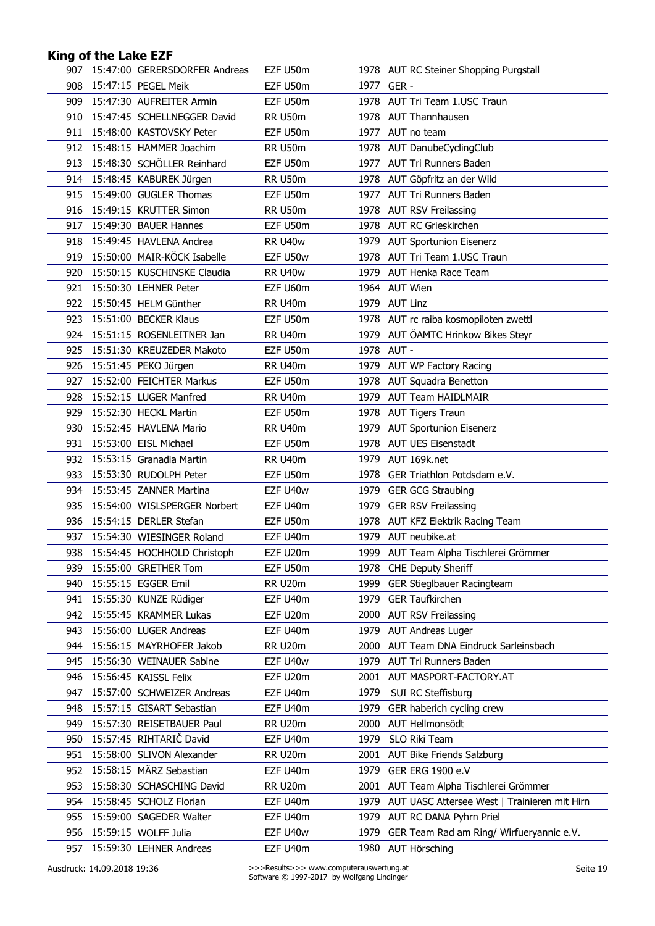| 907 | 15:47:00 GERERSDORFER Andreas    | EZF U50m       |      | 1978 AUT RC Steiner Shopping Purgstall       |
|-----|----------------------------------|----------------|------|----------------------------------------------|
| 908 | 15:47:15 PEGEL Meik              | EZF U50m       | 1977 | GER -                                        |
| 909 | 15:47:30 AUFREITER Armin         | EZF U50m       |      | 1978 AUT Tri Team 1.USC Traun                |
| 910 | 15:47:45 SCHELLNEGGER David      | <b>RR U50m</b> | 1978 | <b>AUT Thannhausen</b>                       |
| 911 | 15:48:00 KASTOVSKY Peter         | EZF U50m       |      | 1977 AUT no team                             |
|     | 912 15:48:15 HAMMER Joachim      | RR U50m        |      | 1978 AUT DanubeCyclingClub                   |
|     | 913 15:48:30 SCHÖLLER Reinhard   | EZF U50m       | 1977 | AUT Tri Runners Baden                        |
|     | 914 15:48:45 KABUREK Jürgen      | <b>RR U50m</b> | 1978 | AUT Göpfritz an der Wild                     |
|     | 915 15:49:00 GUGLER Thomas       | EZF U50m       | 1977 | AUT Tri Runners Baden                        |
| 916 | 15:49:15 KRUTTER Simon           | <b>RR U50m</b> |      | 1978 AUT RSV Freilassing                     |
| 917 | 15:49:30 BAUER Hannes            | EZF U50m       | 1978 | <b>AUT RC Grieskirchen</b>                   |
| 918 | 15:49:45 HAVLENA Andrea          | RR U40w        | 1979 | <b>AUT Sportunion Eisenerz</b>               |
| 919 | 15:50:00 MAIR-KÖCK Isabelle      | EZF U50w       | 1978 | AUT Tri Team 1.USC Traun                     |
|     | 920 15:50:15 KUSCHINSKE Claudia  | RR U40w        | 1979 | AUT Henka Race Team                          |
|     | 921 15:50:30 LEHNER Peter        | EZF U60m       |      | 1964 AUT Wien                                |
|     | 922 15:50:45 HELM Günther        | RR U40m        | 1979 | <b>AUT Linz</b>                              |
| 923 | 15:51:00 BECKER Klaus            | EZF U50m       |      | 1978 AUT rc raiba kosmopiloten zwettl        |
|     | 924 15:51:15 ROSENLEITNER Jan    | <b>RR U40m</b> | 1979 | AUT ÖAMTC Hrinkow Bikes Steyr                |
| 925 | 15:51:30 KREUZEDER Makoto        | EZF U50m       |      | 1978 AUT -                                   |
| 926 | 15:51:45 PEKO Jürgen             | RR U40m        | 1979 | AUT WP Factory Racing                        |
| 927 | 15:52:00 FEICHTER Markus         | EZF U50m       |      | 1978 AUT Squadra Benetton                    |
| 928 | 15:52:15 LUGER Manfred           | <b>RR U40m</b> | 1979 | <b>AUT Team HAIDLMAIR</b>                    |
| 929 | 15:52:30 HECKL Martin            | EZF U50m       |      | 1978 AUT Tigers Traun                        |
| 930 | 15:52:45 HAVLENA Mario           | <b>RR U40m</b> | 1979 | <b>AUT Sportunion Eisenerz</b>               |
| 931 | 15:53:00 EISL Michael            | EZF U50m       | 1978 | <b>AUT UES Eisenstadt</b>                    |
|     | 932 15:53:15 Granadia Martin     | <b>RR U40m</b> | 1979 | AUT 169k.net                                 |
| 933 | 15:53:30 RUDOLPH Peter           | EZF U50m       | 1978 | GER Triathlon Potdsdam e.V.                  |
|     | 934 15:53:45 ZANNER Martina      | EZF U40w       | 1979 | <b>GER GCG Straubing</b>                     |
|     | 935 15:54:00 WISLSPERGER Norbert | EZF U40m       | 1979 | <b>GER RSV Freilassing</b>                   |
| 936 | 15:54:15 DERLER Stefan           | EZF U50m       |      | 1978 AUT KFZ Elektrik Racing Team            |
| 937 | 15:54:30 WIESINGER Roland        | EZF U40m       | 1979 | AUT neubike.at                               |
|     | 938 15:54:45 HOCHHOLD Christoph  | EZF U20m       |      | 1999 AUT Team Alpha Tischlerei Grömmer       |
| 939 | 15:55:00 GRETHER Tom             | EZF U50m       |      | 1978 CHE Deputy Sheriff                      |
| 940 | 15:55:15 EGGER Emil              | RR U20m        | 1999 | <b>GER Stieglbauer Racingteam</b>            |
| 941 | 15:55:30 KUNZE Rüdiger           | EZF U40m       | 1979 | <b>GER Taufkirchen</b>                       |
| 942 | 15:55:45 KRAMMER Lukas           | EZF U20m       | 2000 | <b>AUT RSV Freilassing</b>                   |
| 943 | 15:56:00 LUGER Andreas           | EZF U40m       | 1979 | <b>AUT Andreas Luger</b>                     |
| 944 | 15:56:15 MAYRHOFER Jakob         | RR U20m        | 2000 | AUT Team DNA Eindruck Sarleinsbach           |
| 945 | 15:56:30 WEINAUER Sabine         | EZF U40w       | 1979 | AUT Tri Runners Baden                        |
| 946 | 15:56:45 KAISSL Felix            | EZF U20m       | 2001 | AUT MASPORT-FACTORY.AT                       |
| 947 | 15:57:00 SCHWEIZER Andreas       | EZF U40m       | 1979 | SUI RC Steffisburg                           |
| 948 | 15:57:15 GISART Sebastian        | EZF U40m       | 1979 | GER haberich cycling crew                    |
| 949 | 15:57:30 REISETBAUER Paul        | RR U20m        | 2000 | AUT Hellmonsödt                              |
| 950 | 15:57:45 RIHTARIČ David          | EZF U40m       | 1979 | SLO Riki Team                                |
|     | 15:58:00 SLIVON Alexander        | RR U20m        |      |                                              |
| 951 | 15:58:15 MÄRZ Sebastian          |                | 2001 | AUT Bike Friends Salzburg                    |
| 952 |                                  | EZF U40m       | 1979 | <b>GER ERG 1900 e.V</b>                      |
| 953 | 15:58:30 SCHASCHING David        | RR U20m        | 2001 | AUT Team Alpha Tischlerei Grömmer            |
| 954 | 15:58:45 SCHOLZ Florian          | EZF U40m       | 1979 | AUT UASC Attersee West   Trainieren mit Hirn |
| 955 | 15:59:00 SAGEDER Walter          | EZF U40m       | 1979 | AUT RC DANA Pyhrn Priel                      |
| 956 | 15:59:15 WOLFF Julia             | EZF U40w       | 1979 | GER Team Rad am Ring/ Wirfueryannic e.V.     |
|     | 957 15:59:30 LEHNER Andreas      | EZF U40m       |      | 1980 AUT Hörsching                           |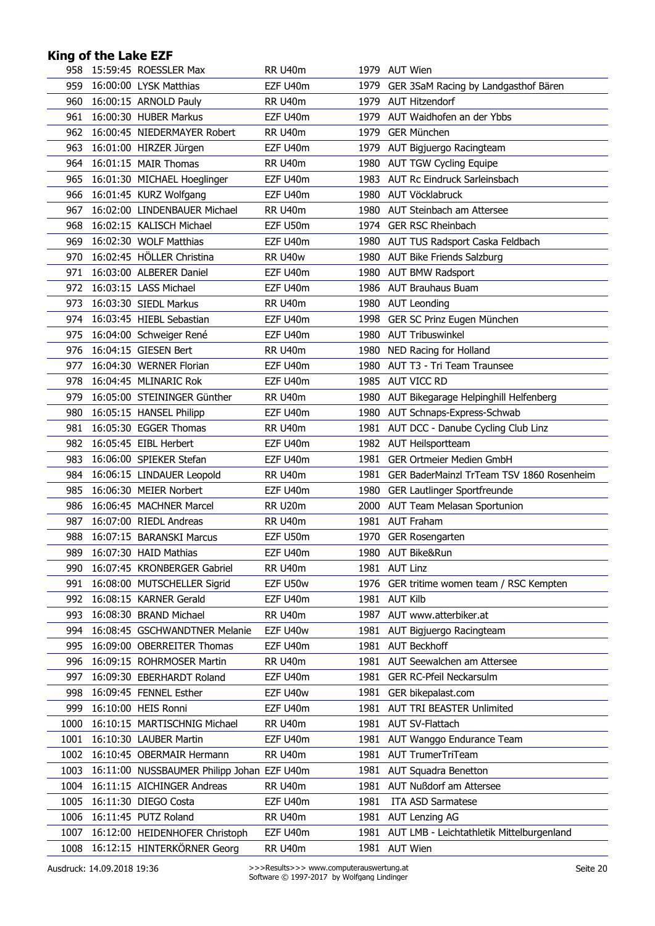| 958  | 15:59:45 ROESSLER Max                      | <b>RR U40m</b> |      | 1979 AUT Wien                                  |
|------|--------------------------------------------|----------------|------|------------------------------------------------|
| 959  | 16:00:00 LYSK Matthias                     | EZF U40m       |      | 1979 GER 3SaM Racing by Landgasthof Bären      |
| 960  | 16:00:15 ARNOLD Pauly                      | <b>RR U40m</b> |      | 1979 AUT Hitzendorf                            |
| 961  | 16:00:30 HUBER Markus                      | EZF U40m       | 1979 | AUT Waidhofen an der Ybbs                      |
| 962  | 16:00:45 NIEDERMAYER Robert                | <b>RR U40m</b> | 1979 | <b>GER München</b>                             |
| 963  | 16:01:00 HIRZER Jürgen                     | EZF U40m       |      | 1979 AUT Bigjuergo Racingteam                  |
| 964  | 16:01:15 MAIR Thomas                       | <b>RR U40m</b> | 1980 | <b>AUT TGW Cycling Equipe</b>                  |
| 965  | 16:01:30 MICHAEL Hoeglinger                | EZF U40m       | 1983 | AUT Rc Eindruck Sarleinsbach                   |
| 966  | 16:01:45 KURZ Wolfgang                     | EZF U40m       |      | 1980 AUT Vöcklabruck                           |
| 967  | 16:02:00 LINDENBAUER Michael               | <b>RR U40m</b> | 1980 | AUT Steinbach am Attersee                      |
| 968  | 16:02:15 KALISCH Michael                   | EZF U50m       | 1974 | <b>GER RSC Rheinbach</b>                       |
| 969  | 16:02:30 WOLF Matthias                     | EZF U40m       |      | 1980 AUT TUS Radsport Caska Feldbach           |
| 970  | 16:02:45 HÖLLER Christina                  | RR U40w        |      | 1980 AUT Bike Friends Salzburg                 |
| 971  | 16:03:00 ALBERER Daniel                    | EZF U40m       |      | 1980 AUT BMW Radsport                          |
| 972  | 16:03:15 LASS Michael                      | EZF U40m       |      | 1986 AUT Brauhaus Buam                         |
| 973  | 16:03:30 SIEDL Markus                      | <b>RR U40m</b> |      | 1980 AUT Leonding                              |
| 974  | 16:03:45 HIEBL Sebastian                   | EZF U40m       | 1998 | GER SC Prinz Eugen München                     |
|      |                                            |                | 1980 | <b>AUT Tribuswinkel</b>                        |
| 975  | 16:04:00 Schweiger René                    | EZF U40m       |      |                                                |
| 976  | 16:04:15 GIESEN Bert                       | <b>RR U40m</b> | 1980 | NED Racing for Holland                         |
| 977  | 16:04:30 WERNER Florian                    | EZF U40m       | 1980 | AUT T3 - Tri Team Traunsee                     |
| 978  | 16:04:45 MLINARIC Rok                      | EZF U40m       |      | 1985 AUT VICC RD                               |
| 979  | 16:05:00 STEININGER Günther                | <b>RR U40m</b> |      | 1980 AUT Bikegarage Helpinghill Helfenberg     |
| 980  | 16:05:15 HANSEL Philipp                    | EZF U40m       |      | 1980 AUT Schnaps-Express-Schwab                |
| 981  | 16:05:30 EGGER Thomas                      | <b>RR U40m</b> |      | 1981 AUT DCC - Danube Cycling Club Linz        |
| 982  | 16:05:45 EIBL Herbert                      | EZF U40m       |      | 1982 AUT Heilsportteam                         |
| 983  | 16:06:00 SPIEKER Stefan                    | EZF U40m       | 1981 | <b>GER Ortmeier Medien GmbH</b>                |
| 984  | 16:06:15 LINDAUER Leopold                  | <b>RR U40m</b> | 1981 | GER BaderMainzl TrTeam TSV 1860 Rosenheim      |
| 985  | 16:06:30 MEIER Norbert                     | EZF U40m       | 1980 | GER Lautlinger Sportfreunde                    |
| 986  | 16:06:45 MACHNER Marcel                    | <b>RR U20m</b> |      | 2000 AUT Team Melasan Sportunion               |
| 987  | 16:07:00 RIEDL Andreas                     | <b>RR U40m</b> |      | 1981 AUT Fraham                                |
| 988  | 16:07:15 BARANSKI Marcus                   | EZF U50m       | 1970 | <b>GER Rosengarten</b>                         |
| 989  | 16:07:30 HAID Mathias                      | EZF U40m       |      | 1980 AUT Bike&Run                              |
| 990  | 16:07:45 KRONBERGER Gabriel                | RR U40m        |      | 1981 AUT Linz                                  |
| 991  | 16:08:00 MUTSCHELLER Sigrid                | EZF U50w       | 1976 | GER tritime women team / RSC Kempten           |
| 992  | 16:08:15 KARNER Gerald                     | EZF U40m       |      | 1981 AUT Kilb                                  |
| 993  | 16:08:30 BRAND Michael                     | RR U40m        | 1987 | AUT www.atterbiker.at                          |
| 994  | 16:08:45 GSCHWANDTNER Melanie              | EZF U40w       |      | 1981 AUT Bigjuergo Racingteam                  |
| 995  | 16:09:00 OBERREITER Thomas                 | EZF U40m       | 1981 | <b>AUT Beckhoff</b>                            |
| 996  | 16:09:15 ROHRMOSER Martin                  | RR U40m        | 1981 | AUT Seewalchen am Attersee                     |
| 997  | 16:09:30 EBERHARDT Roland                  | EZF U40m       | 1981 | <b>GER RC-Pfeil Neckarsulm</b>                 |
| 998  | 16:09:45 FENNEL Esther                     | EZF U40w       | 1981 | GER bikepalast.com                             |
| 999  | 16:10:00 HEIS Ronni                        | EZF U40m       |      | 1981 AUT TRI BEASTER Unlimited                 |
| 1000 | 16:10:15 MARTISCHNIG Michael               | RR U40m        |      | 1981 AUT SV-Flattach                           |
| 1001 | 16:10:30 LAUBER Martin                     | EZF U40m       | 1981 | AUT Wanggo Endurance Team                      |
| 1002 | 16:10:45 OBERMAIR Hermann                  | RR U40m        |      | 1981 AUT TrumerTriTeam                         |
| 1003 | 16:11:00 NUSSBAUMER Philipp Johan EZF U40m |                | 1981 | AUT Squadra Benetton                           |
| 1004 | 16:11:15 AICHINGER Andreas                 | RR U40m        | 1981 | AUT Nußdorf am Attersee                        |
| 1005 | 16:11:30 DIEGO Costa                       | EZF U40m       | 1981 | <b>ITA ASD Sarmatese</b>                       |
| 1006 | 16:11:45 PUTZ Roland                       | <b>RR U40m</b> |      | 1981 AUT Lenzing AG                            |
| 1007 | 16:12:00 HEIDENHOFER Christoph             | EZF U40m       |      | 1981 AUT LMB - Leichtathletik Mittelburgenland |
|      |                                            |                |      |                                                |
| 1008 | 16:12:15 HINTERKÖRNER Georg                | RR U40m        |      | 1981 AUT Wien                                  |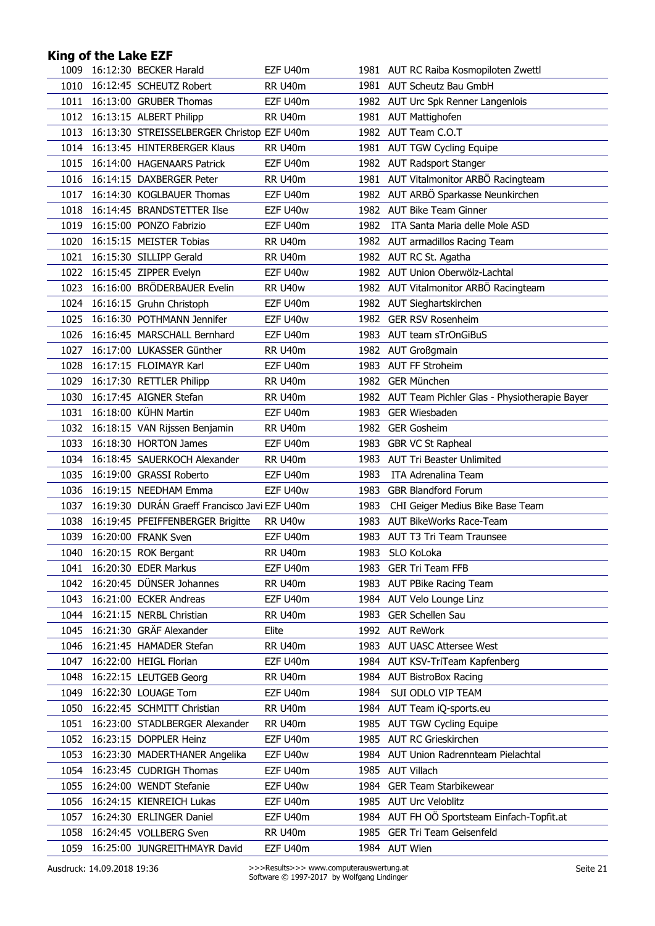| 1009 | 16:12:30 BECKER Harald                        | EZF U40m       |      | 1981 AUT RC Raiba Kosmopiloten Zwettl             |
|------|-----------------------------------------------|----------------|------|---------------------------------------------------|
| 1010 | 16:12:45 SCHEUTZ Robert                       | <b>RR U40m</b> |      | 1981 AUT Scheutz Bau GmbH                         |
| 1011 | 16:13:00 GRUBER Thomas                        | EZF U40m       |      | 1982 AUT Urc Spk Renner Langenlois                |
| 1012 | 16:13:15 ALBERT Philipp                       | <b>RR U40m</b> |      | 1981 AUT Mattighofen                              |
| 1013 | 16:13:30 STREISSELBERGER Christop EZF U40m    |                |      | 1982 AUT Team C.O.T                               |
| 1014 | 16:13:45 HINTERBERGER Klaus                   | RR U40m        |      | 1981 AUT TGW Cycling Equipe                       |
| 1015 | 16:14:00 HAGENAARS Patrick                    | EZF U40m       |      | 1982 AUT Radsport Stanger                         |
| 1016 | 16:14:15 DAXBERGER Peter                      | <b>RR U40m</b> |      | 1981 AUT Vitalmonitor ARBÖ Racingteam             |
| 1017 | 16:14:30 KOGLBAUER Thomas                     | EZF U40m       |      | 1982 AUT ARBÖ Sparkasse Neunkirchen               |
| 1018 | 16:14:45 BRANDSTETTER Ilse                    | EZF U40w       |      | 1982 AUT Bike Team Ginner                         |
| 1019 | 16:15:00 PONZO Fabrizio                       | EZF U40m       | 1982 | ITA Santa Maria delle Mole ASD                    |
| 1020 | 16:15:15 MEISTER Tobias                       | <b>RR U40m</b> |      | 1982 AUT armadillos Racing Team                   |
| 1021 | 16:15:30 SILLIPP Gerald                       | <b>RR U40m</b> |      | 1982 AUT RC St. Agatha                            |
| 1022 | 16:15:45 ZIPPER Evelyn                        | EZF U40w       |      | 1982 AUT Union Oberwölz-Lachtal                   |
| 1023 | 16:16:00 BRÖDERBAUER Evelin                   | RR U40w        |      | 1982 AUT Vitalmonitor ARBÖ Racingteam             |
| 1024 | 16:16:15 Gruhn Christoph                      | EZF U40m       |      | 1982 AUT Sieghartskirchen                         |
| 1025 | 16:16:30 POTHMANN Jennifer                    | EZF U40w       | 1982 | <b>GER RSV Rosenheim</b>                          |
| 1026 | 16:16:45 MARSCHALL Bernhard                   | EZF U40m       |      | 1983 AUT team sTrOnGiBuS                          |
| 1027 | 16:17:00 LUKASSER Günther                     |                |      |                                                   |
|      |                                               | <b>RR U40m</b> |      | 1982 AUT Großgmain                                |
| 1028 | 16:17:15 FLOIMAYR Karl                        | EZF U40m       | 1983 | <b>AUT FF Stroheim</b>                            |
| 1029 | 16:17:30 RETTLER Philipp                      | <b>RR U40m</b> |      | 1982 GER München                                  |
| 1030 | 16:17:45 AIGNER Stefan                        | <b>RR U40m</b> |      | 1982 AUT Team Pichler Glas - Physiotherapie Bayer |
| 1031 | 16:18:00 KÜHN Martin                          | EZF U40m       | 1983 | <b>GER Wiesbaden</b>                              |
| 1032 | 16:18:15 VAN Rijssen Benjamin                 | <b>RR U40m</b> | 1982 | <b>GER Gosheim</b>                                |
| 1033 | 16:18:30 HORTON James                         | EZF U40m       | 1983 | GBR VC St Rapheal                                 |
| 1034 | 16:18:45 SAUERKOCH Alexander                  | <b>RR U40m</b> | 1983 | <b>AUT Tri Beaster Unlimited</b>                  |
| 1035 | 16:19:00 GRASSI Roberto                       | EZF U40m       | 1983 | <b>ITA Adrenalina Team</b>                        |
| 1036 | 16:19:15 NEEDHAM Emma                         | EZF U40w       | 1983 | <b>GBR Blandford Forum</b>                        |
| 1037 | 16:19:30 DURÁN Graeff Francisco Javi EZF U40m |                | 1983 | CHI Geiger Medius Bike Base Team                  |
| 1038 | 16:19:45 PFEIFFENBERGER Brigitte              | RR U40w        | 1983 | AUT BikeWorks Race-Team                           |
| 1039 | 16:20:00 FRANK Sven                           | EZF U40m       | 1983 | <b>AUT T3 Tri Team Traunsee</b>                   |
| 1040 | 16:20:15 ROK Bergant                          | RR U40m        | 1983 | SLO KoLoka                                        |
| 1041 | 16:20:30 EDER Markus                          | EZF U40m       | 1983 | <b>GER Tri Team FFB</b>                           |
| 1042 | 16:20:45 DÜNSER Johannes                      | RR U40m        | 1983 | AUT PBike Racing Team                             |
| 1043 | 16:21:00 ECKER Andreas                        | EZF U40m       |      | 1984 AUT Velo Lounge Linz                         |
| 1044 | 16:21:15 NERBL Christian                      | RR U40m        | 1983 | GER Schellen Sau                                  |
| 1045 | 16:21:30 GRÄF Alexander                       | Elite          | 1992 | <b>AUT ReWork</b>                                 |
| 1046 | 16:21:45 HAMADER Stefan                       | RR U40m        | 1983 | <b>AUT UASC Attersee West</b>                     |
| 1047 | 16:22:00 HEIGL Florian                        | EZF U40m       | 1984 | AUT KSV-TriTeam Kapfenberg                        |
| 1048 | 16:22:15 LEUTGEB Georg                        | RR U40m        | 1984 | <b>AUT BistroBox Racing</b>                       |
| 1049 | 16:22:30 LOUAGE Tom                           | EZF U40m       | 1984 | SUI ODLO VIP TEAM                                 |
| 1050 | 16:22:45 SCHMITT Christian                    | RR U40m        | 1984 | AUT Team iQ-sports.eu                             |
| 1051 | 16:23:00 STADLBERGER Alexander                | <b>RR U40m</b> | 1985 | <b>AUT TGW Cycling Equipe</b>                     |
| 1052 | 16:23:15 DOPPLER Heinz                        | EZF U40m       | 1985 | <b>AUT RC Grieskirchen</b>                        |
| 1053 | 16:23:30 MADERTHANER Angelika                 | EZF U40w       | 1984 | AUT Union Radrennteam Pielachtal                  |
| 1054 | 16:23:45 CUDRIGH Thomas                       | EZF U40m       | 1985 | <b>AUT Villach</b>                                |
| 1055 | 16:24:00 WENDT Stefanie                       | EZF U40w       | 1984 | <b>GER Team Starbikewear</b>                      |
| 1056 | 16:24:15 KIENREICH Lukas                      | EZF U40m       | 1985 | <b>AUT Urc Veloblitz</b>                          |
| 1057 | 16:24:30 ERLINGER Daniel                      | EZF U40m       |      | 1984 AUT FH OÖ Sportsteam Einfach-Topfit.at       |
| 1058 | 16:24:45 VOLLBERG Sven                        | <b>RR U40m</b> | 1985 | <b>GER Tri Team Geisenfeld</b>                    |
| 1059 | 16:25:00 JUNGREITHMAYR David                  | EZF U40m       |      | 1984 AUT Wien                                     |
|      |                                               |                |      |                                                   |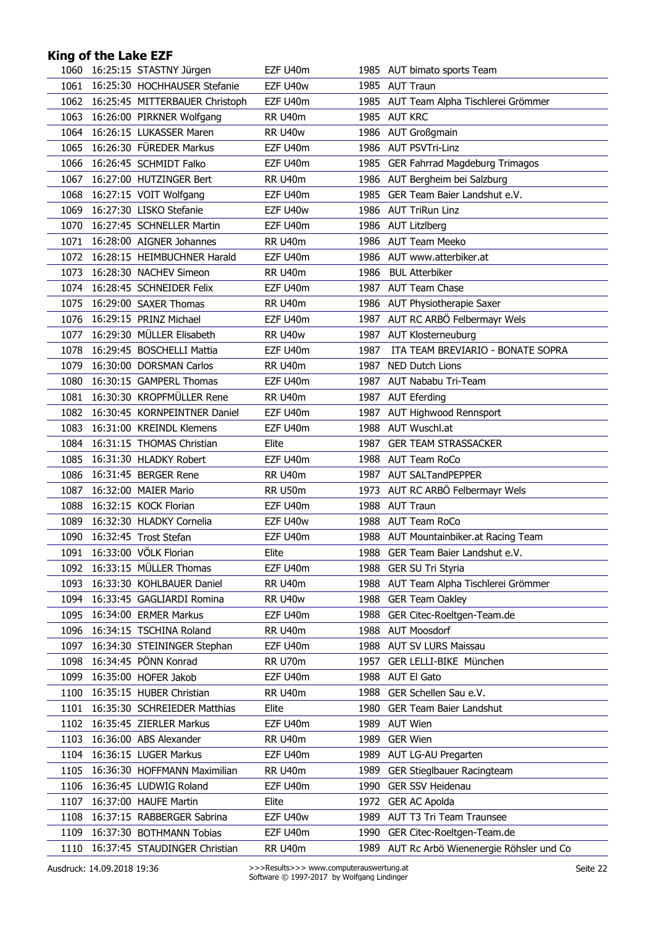| 1060 | 16:25:15 STASTNY Jürgen                       | EZF U40m                  |      | 1985 AUT bimato sports Team                   |
|------|-----------------------------------------------|---------------------------|------|-----------------------------------------------|
| 1061 | 16:25:30 HOCHHAUSER Stefanie                  | EZF U40w                  |      | 1985 AUT Traun                                |
| 1062 | 16:25:45 MITTERBAUER Christoph                | EZF U40m                  |      | 1985 AUT Team Alpha Tischlerei Grömmer        |
| 1063 | 16:26:00 PIRKNER Wolfgang                     | <b>RR U40m</b>            |      | 1985 AUT KRC                                  |
| 1064 | 16:26:15 LUKASSER Maren                       | RR U40w                   |      | 1986 AUT Großgmain                            |
| 1065 | 16:26:30 FÜREDER Markus                       | EZF U40m                  | 1986 | <b>AUT PSVTri-Linz</b>                        |
| 1066 | 16:26:45 SCHMIDT Falko                        | EZF U40m                  | 1985 | GER Fahrrad Magdeburg Trimagos                |
| 1067 | 16:27:00 HUTZINGER Bert                       | <b>RR U40m</b>            |      | 1986 AUT Bergheim bei Salzburg                |
| 1068 | 16:27:15 VOIT Wolfgang                        | EZF U40m                  | 1985 | GER Team Baier Landshut e.V.                  |
| 1069 | 16:27:30 LISKO Stefanie                       | EZF U40w                  |      | 1986 AUT TriRun Linz                          |
| 1070 | 16:27:45 SCHNELLER Martin                     | EZF U40m                  | 1986 | <b>AUT Litzlberg</b>                          |
| 1071 | 16:28:00 AIGNER Johannes                      | <b>RR U40m</b>            |      | 1986 AUT Team Meeko                           |
| 1072 | 16:28:15 HEIMBUCHNER Harald                   | EZF U40m                  |      | 1986 AUT www.atterbiker.at                    |
| 1073 | 16:28:30 NACHEV Simeon                        | <b>RR U40m</b>            | 1986 | <b>BUL Atterbiker</b>                         |
| 1074 | 16:28:45 SCHNEIDER Felix                      | EZF U40m                  |      | 1987 AUT Team Chase                           |
| 1075 | 16:29:00 SAXER Thomas                         | <b>RR U40m</b>            |      | 1986 AUT Physiotherapie Saxer                 |
| 1076 | 16:29:15 PRINZ Michael                        | EZF U40m                  | 1987 | AUT RC ARBÖ Felbermayr Wels                   |
| 1077 | 16:29:30 MÜLLER Elisabeth                     | RR U40w                   |      | 1987 AUT Klosterneuburg                       |
| 1078 | 16:29:45 BOSCHELLI Mattia                     | EZF U40m                  | 1987 | ITA TEAM BREVIARIO - BONATE SOPRA             |
| 1079 | 16:30:00 DORSMAN Carlos                       | RR U40m                   | 1987 | <b>NED Dutch Lions</b>                        |
| 1080 | 16:30:15 GAMPERL Thomas                       | EZF U40m                  | 1987 | AUT Nababu Tri-Team                           |
| 1081 | 16:30:30 KROPFMÜLLER Rene                     | <b>RR U40m</b>            |      | 1987 AUT Eferding                             |
| 1082 | 16:30:45 KORNPEINTNER Daniel                  | EZF U40m                  | 1987 | AUT Highwood Rennsport                        |
| 1083 | 16:31:00 KREINDL Klemens                      | EZF U40m                  |      | 1988 AUT Wuschl.at                            |
| 1084 | 16:31:15 THOMAS Christian                     | Elite                     | 1987 | <b>GER TEAM STRASSACKER</b>                   |
| 1085 | 16:31:30 HLADKY Robert                        | EZF U40m                  |      | 1988 AUT Team RoCo                            |
| 1086 | 16:31:45 BERGER Rene                          |                           | 1987 | <b>AUT SALTandPEPPER</b>                      |
| 1087 |                                               | <b>RR U40m</b><br>RR U50m |      |                                               |
|      | 16:32:00 MAIER Mario<br>16:32:15 KOCK Florian |                           | 1973 | AUT RC ARBÖ Felbermayr Wels<br>1988 AUT Traun |
| 1088 |                                               | EZF U40m                  |      |                                               |
| 1089 | 16:32:30 HLADKY Cornelia                      | EZF U40w                  |      | 1988 AUT Team RoCo                            |
| 1090 | 16:32:45 Trost Stefan                         | EZF U40m                  |      | 1988 AUT Mountainbiker.at Racing Team         |
| 1091 | 16:33:00 VÖLK Florian                         | Elite                     |      | 1988 GER Team Baier Landshut e.V.             |
| 1092 | 16:33:15 MÜLLER Thomas                        | EZF U40m                  |      | 1988 GER SU Tri Styria                        |
| 1093 | 16:33:30 KOHLBAUER Daniel                     | RR U40m                   |      | 1988 AUT Team Alpha Tischlerei Grömmer        |
| 1094 | 16:33:45 GAGLIARDI Romina                     | RR U40w                   | 1988 | <b>GER Team Oakley</b>                        |
| 1095 | 16:34:00 ERMER Markus                         | EZF U40m                  | 1988 | GER Citec-Roeltgen-Team.de                    |
| 1096 | 16:34:15 TSCHINA Roland                       | RR U40m                   | 1988 | <b>AUT Moosdorf</b>                           |
| 1097 | 16:34:30 STEININGER Stephan                   | EZF U40m                  | 1988 | <b>AUT SV LURS Maissau</b>                    |
| 1098 | 16:34:45 PÖNN Konrad                          | RR U70m                   | 1957 | GER LELLI-BIKE München                        |
| 1099 | 16:35:00 HOFER Jakob                          | EZF U40m                  | 1988 | AUT El Gato                                   |
| 1100 | 16:35:15 HUBER Christian                      | RR U40m                   | 1988 | GER Schellen Sau e.V.                         |
| 1101 | 16:35:30 SCHREIEDER Matthias                  | Elite                     | 1980 | <b>GER Team Baier Landshut</b>                |
| 1102 | 16:35:45 ZIERLER Markus                       | EZF U40m                  | 1989 | <b>AUT Wien</b>                               |
| 1103 | 16:36:00 ABS Alexander                        | <b>RR U40m</b>            | 1989 | <b>GER Wien</b>                               |
| 1104 | 16:36:15 LUGER Markus                         | EZF U40m                  | 1989 | AUT LG-AU Pregarten                           |
| 1105 | 16:36:30 HOFFMANN Maximilian                  | <b>RR U40m</b>            | 1989 | GER Stieglbauer Racingteam                    |
| 1106 | 16:36:45 LUDWIG Roland                        | EZF U40m                  | 1990 | <b>GER SSV Heidenau</b>                       |
| 1107 | 16:37:00 HAUFE Martin                         | Elite                     | 1972 | <b>GER AC Apolda</b>                          |
| 1108 | 16:37:15 RABBERGER Sabrina                    | EZF U40w                  | 1989 | AUT T3 Tri Team Traunsee                      |
| 1109 | 16:37:30 BOTHMANN Tobias                      | EZF U40m                  | 1990 | GER Citec-Roeltgen-Team.de                    |
| 1110 | 16:37:45 STAUDINGER Christian                 | RR U40m                   |      | 1989 AUT Rc Arbö Wienenergie Röhsler und Co   |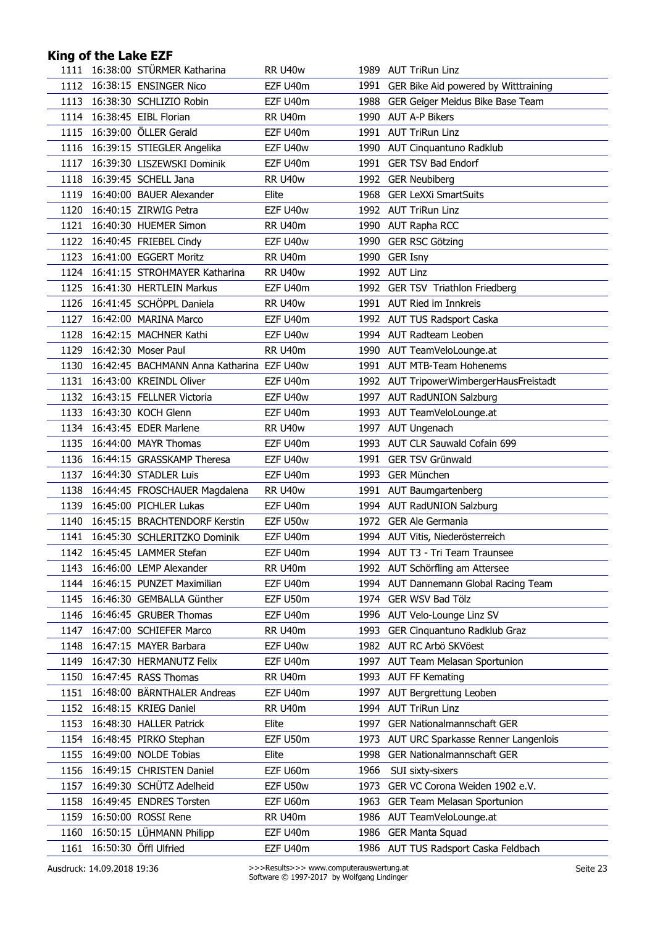|      | 1111 16:38:00 STURMER Katharina           | RR U40w        |      | 1989 AUT TriRun Linz                      |
|------|-------------------------------------------|----------------|------|-------------------------------------------|
| 1112 | 16:38:15 ENSINGER Nico                    | EZF U40m       |      | 1991 GER Bike Aid powered by Witttraining |
| 1113 | 16:38:30 SCHLIZIO Robin                   | EZF U40m       | 1988 | GER Geiger Meidus Bike Base Team          |
| 1114 | 16:38:45 EIBL Florian                     | <b>RR U40m</b> | 1990 | <b>AUT A-P Bikers</b>                     |
| 1115 | 16:39:00 ÖLLER Gerald                     | EZF U40m       |      | 1991 AUT TriRun Linz                      |
| 1116 | 16:39:15 STIEGLER Angelika                | EZF U40w       |      | 1990 AUT Cinquantuno Radklub              |
| 1117 | 16:39:30 LISZEWSKI Dominik                | EZF U40m       | 1991 | <b>GER TSV Bad Endorf</b>                 |
| 1118 | 16:39:45 SCHELL Jana                      | RR U40w        |      | 1992 GER Neubiberg                        |
| 1119 | 16:40:00 BAUER Alexander                  | Elite          | 1968 | <b>GER LeXXi SmartSuits</b>               |
| 1120 | 16:40:15 ZIRWIG Petra                     | EZF U40w       |      | 1992 AUT TriRun Linz                      |
| 1121 | 16:40:30 HUEMER Simon                     | <b>RR U40m</b> |      | 1990 AUT Rapha RCC                        |
|      | 1122 16:40:45 FRIEBEL Cindy               | EZF U40w       |      | 1990 GER RSC Götzing                      |
| 1123 | 16:41:00 EGGERT Moritz                    | <b>RR U40m</b> |      | 1990 GER Isny                             |
|      | 1124 16:41:15 STROHMAYER Katharina        | RR U40w        |      | 1992 AUT Linz                             |
| 1125 | 16:41:30 HERTLEIN Markus                  | EZF U40m       |      | 1992 GER TSV Triathlon Friedberg          |
| 1126 | 16:41:45 SCHÖPPL Daniela                  | RR U40w        |      | 1991 AUT Ried im Innkreis                 |
| 1127 | 16:42:00 MARINA Marco                     | EZF U40m       |      | 1992 AUT TUS Radsport Caska               |
| 1128 | 16:42:15 MACHNER Kathi                    | EZF U40w       |      | 1994 AUT Radteam Leoben                   |
| 1129 | 16:42:30 Moser Paul                       |                |      |                                           |
|      |                                           | RR U40m        |      | 1990 AUT TeamVeloLounge.at                |
| 1130 | 16:42:45 BACHMANN Anna Katharina EZF U40w |                |      | 1991 AUT MTB-Team Hohenems                |
| 1131 | 16:43:00 KREINDL Oliver                   | EZF U40m       |      | 1992 AUT TripowerWimbergerHausFreistadt   |
| 1132 | 16:43:15 FELLNER Victoria                 | EZF U40w       |      | 1997 AUT RadUNION Salzburg                |
| 1133 | 16:43:30 KOCH Glenn                       | EZF U40m       |      | 1993 AUT TeamVeloLounge.at                |
| 1134 | 16:43:45 EDER Marlene                     | RR U40w        |      | 1997 AUT Ungenach                         |
| 1135 | 16:44:00 MAYR Thomas                      | EZF U40m       | 1993 | AUT CLR Sauwald Cofain 699                |
| 1136 | 16:44:15 GRASSKAMP Theresa                | EZF U40w       | 1991 | <b>GER TSV Grünwald</b>                   |
|      | 1137 16:44:30 STADLER Luis                | EZF U40m       | 1993 | GER München                               |
| 1138 | 16:44:45 FROSCHAUER Magdalena             | RR U40w        |      | 1991 AUT Baumgartenberg                   |
| 1139 | 16:45:00 PICHLER Lukas                    | EZF U40m       |      | 1994 AUT RadUNION Salzburg                |
| 1140 | 16:45:15 BRACHTENDORF Kerstin             | EZF U50w       |      | 1972 GER Ale Germania                     |
| 1141 | 16:45:30 SCHLERITZKO Dominik              | EZF U40m       |      | 1994 AUT Vitis, Niederösterreich          |
|      | 1142 16:45:45 LAMMER Stefan               | EZF U40m       |      | 1994 AUT T3 - Tri Team Traunsee           |
| 1143 | 16:46:00 LEMP Alexander                   | <b>RR U40m</b> |      | 1992 AUT Schörfling am Attersee           |
| 1144 | 16:46:15 PUNZET Maximilian                | EZF U40m       | 1994 | AUT Dannemann Global Racing Team          |
| 1145 | 16:46:30 GEMBALLA Günther                 | EZF U50m       | 1974 | GER WSV Bad Tölz                          |
| 1146 | 16:46:45 GRUBER Thomas                    | EZF U40m       | 1996 | AUT Velo-Lounge Linz SV                   |
| 1147 | 16:47:00 SCHIEFER Marco                   | RR U40m        | 1993 | GER Cinquantuno Radklub Graz              |
| 1148 | 16:47:15 MAYER Barbara                    | EZF U40w       | 1982 | AUT RC Arbö SKVöest                       |
| 1149 | 16:47:30 HERMANUTZ Felix                  | EZF U40m       | 1997 | AUT Team Melasan Sportunion               |
| 1150 | 16:47:45 RASS Thomas                      | RR U40m        | 1993 | <b>AUT FF Kemating</b>                    |
| 1151 | 16:48:00 BÄRNTHALER Andreas               | EZF U40m       | 1997 | AUT Bergrettung Leoben                    |
| 1152 | 16:48:15 KRIEG Daniel                     | <b>RR U40m</b> | 1994 | <b>AUT TriRun Linz</b>                    |
| 1153 | 16:48:30 HALLER Patrick                   | Elite          | 1997 | <b>GER Nationalmannschaft GER</b>         |
| 1154 | 16:48:45 PIRKO Stephan                    | EZF U50m       | 1973 | AUT URC Sparkasse Renner Langenlois       |
| 1155 | 16:49:00 NOLDE Tobias                     | Elite          | 1998 | <b>GER Nationalmannschaft GER</b>         |
| 1156 | 16:49:15 CHRISTEN Daniel                  | EZF U60m       | 1966 | SUI sixty-sixers                          |
| 1157 | 16:49:30 SCHÜTZ Adelheid                  | EZF U50w       | 1973 | GER VC Corona Weiden 1902 e.V.            |
| 1158 | 16:49:45 ENDRES Torsten                   | EZF U60m       | 1963 | GER Team Melasan Sportunion               |
| 1159 | 16:50:00 ROSSI Rene                       | RR U40m        | 1986 | AUT TeamVeloLounge.at                     |
| 1160 | 16:50:15 LÜHMANN Philipp                  | EZF U40m       | 1986 | <b>GER Manta Squad</b>                    |
| 1161 | 16:50:30 Öffl Ulfried                     | EZF U40m       |      | 1986 AUT TUS Radsport Caska Feldbach      |
|      |                                           |                |      |                                           |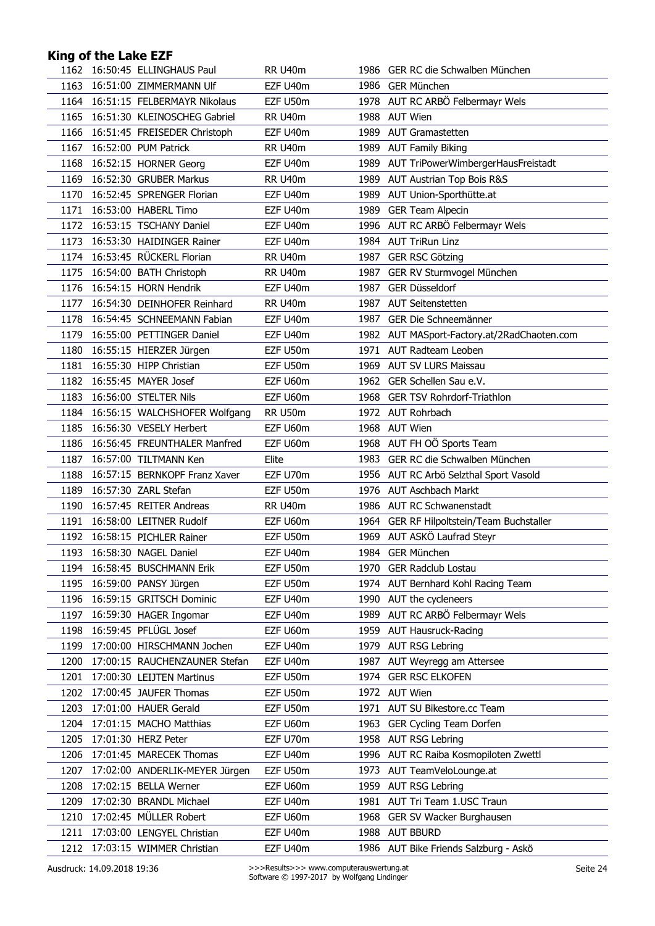|      | 1162 16:50:45 ELLINGHAUS Paul   | <b>RR U40m</b> |      | 1986 GER RC die Schwalben München                      |
|------|---------------------------------|----------------|------|--------------------------------------------------------|
| 1163 | 16:51:00 ZIMMERMANN Ulf         | EZF U40m       |      | 1986 GER München                                       |
| 1164 | 16:51:15 FELBERMAYR Nikolaus    | EZF U50m       |      | 1978 AUT RC ARBÖ Felbermayr Wels                       |
| 1165 | 16:51:30 KLEINOSCHEG Gabriel    | <b>RR U40m</b> |      | 1988 AUT Wien                                          |
| 1166 | 16:51:45 FREISEDER Christoph    | EZF U40m       |      | 1989 AUT Gramastetten                                  |
| 1167 | 16:52:00 PUM Patrick            | <b>RR U40m</b> | 1989 | <b>AUT Family Biking</b>                               |
| 1168 | 16:52:15 HORNER Georg           | EZF U40m       |      | 1989 AUT TriPowerWimbergerHausFreistadt                |
| 1169 | 16:52:30 GRUBER Markus          | <b>RR U40m</b> | 1989 | AUT Austrian Top Bois R&S                              |
| 1170 | 16:52:45 SPRENGER Florian       | EZF U40m       |      | 1989 AUT Union-Sporthütte.at                           |
| 1171 | 16:53:00 HABERL Timo            | EZF U40m       |      | 1989 GER Team Alpecin                                  |
| 1172 | 16:53:15 TSCHANY Daniel         | EZF U40m       |      | 1996 AUT RC ARBÖ Felbermayr Wels                       |
| 1173 | 16:53:30 HAIDINGER Rainer       | EZF U40m       |      | 1984 AUT TriRun Linz                                   |
| 1174 | 16:53:45 RÜCKERL Florian        | <b>RR U40m</b> | 1987 | <b>GER RSC Götzing</b>                                 |
| 1175 | 16:54:00 BATH Christoph         | <b>RR U40m</b> | 1987 | GER RV Sturmvogel München                              |
| 1176 | 16:54:15 HORN Hendrik           | EZF U40m       | 1987 | GER Düsseldorf                                         |
| 1177 | 16:54:30 DEINHOFER Reinhard     | <b>RR U40m</b> | 1987 | <b>AUT Seitenstetten</b>                               |
|      | 1178 16:54:45 SCHNEEMANN Fabian | EZF U40m       | 1987 | GER Die Schneemänner                                   |
| 1179 | 16:55:00 PETTINGER Daniel       | EZF U40m       |      | 1982 AUT MASport-Factory.at/2RadChaoten.com            |
| 1180 | 16:55:15 HIERZER Jürgen         | EZF U50m       |      | 1971 AUT Radteam Leoben                                |
| 1181 | 16:55:30 HIPP Christian         | EZF U50m       | 1969 | <b>AUT SV LURS Maissau</b>                             |
| 1182 | 16:55:45 MAYER Josef            | EZF U60m       |      | 1962 GER Schellen Sau e.V.                             |
| 1183 | 16:56:00 STELTER Nils           | EZF U60m       |      | 1968 GER TSV Rohrdorf-Triathlon                        |
| 1184 | 16:56:15 WALCHSHOFER Wolfgang   | RR U50m        |      | 1972 AUT Rohrbach                                      |
| 1185 | 16:56:30 VESELY Herbert         | EZF U60m       |      | 1968 AUT Wien                                          |
| 1186 | 16:56:45 FREUNTHALER Manfred    | EZF U60m       |      | 1968 AUT FH OÖ Sports Team                             |
| 1187 |                                 | Elite          |      | 1983 GER RC die Schwalben München                      |
|      | 16:57:00 TILTMANN Ken           |                |      |                                                        |
| 1188 | 16:57:15 BERNKOPF Franz Xaver   | EZF U70m       |      | 1956 AUT RC Arbö Selzthal Sport Vasold                 |
| 1189 | 16:57:30 ZARL Stefan            | EZF U50m       | 1976 | <b>AUT Aschbach Markt</b><br>1986 AUT RC Schwanenstadt |
| 1190 | 16:57:45 REITER Andreas         | <b>RR U40m</b> |      |                                                        |
| 1191 | 16:58:00 LEITNER Rudolf         | EZF U60m       |      | 1964 GER RF Hilpoltstein/Team Buchstaller              |
| 1192 | 16:58:15 PICHLER Rainer         | EZF U50m       | 1969 | AUT ASKÖ Laufrad Steyr                                 |
| 1193 | 16:58:30 NAGEL Daniel           | EZF U40m       |      | 1984 GER München                                       |
| 1194 | 16:58:45 BUSCHMANN Erik         | EZF U50m       |      | 1970 GER Radclub Lostau                                |
| 1195 | 16:59:00 PANSY Jürgen           | EZF U50m       |      | 1974 AUT Bernhard Kohl Racing Team                     |
| 1196 | 16:59:15 GRITSCH Dominic        | EZF U40m       | 1990 | AUT the cycleneers                                     |
| 1197 | 16:59:30 HAGER Ingomar          | EZF U40m       | 1989 | AUT RC ARBÖ Felbermayr Wels                            |
| 1198 | 16:59:45 PFLÜGL Josef           | EZF U60m       | 1959 | <b>AUT Hausruck-Racing</b>                             |
| 1199 | 17:00:00 HIRSCHMANN Jochen      | EZF U40m       | 1979 | <b>AUT RSG Lebring</b>                                 |
| 1200 | 17:00:15 RAUCHENZAUNER Stefan   | EZF U40m       | 1987 | AUT Weyregg am Attersee                                |
| 1201 | 17:00:30 LEIJTEN Martinus       | EZF U50m       | 1974 | <b>GER RSC ELKOFEN</b>                                 |
| 1202 | 17:00:45 JAUFER Thomas          | EZF U50m       |      | 1972 AUT Wien                                          |
| 1203 | 17:01:00 HAUER Gerald           | EZF U50m       | 1971 | AUT SU Bikestore.cc Team                               |
| 1204 | 17:01:15 MACHO Matthias         | EZF U60m       | 1963 | GER Cycling Team Dorfen                                |
| 1205 | 17:01:30 HERZ Peter             | EZF U70m       | 1958 | <b>AUT RSG Lebring</b>                                 |
| 1206 | 17:01:45 MARECEK Thomas         | EZF U40m       | 1996 | AUT RC Raiba Kosmopiloten Zwettl                       |
| 1207 | 17:02:00 ANDERLIK-MEYER Jürgen  | EZF U50m       | 1973 | AUT TeamVeloLounge.at                                  |
| 1208 | 17:02:15 BELLA Werner           | EZF U60m       | 1959 | <b>AUT RSG Lebring</b>                                 |
| 1209 | 17:02:30 BRANDL Michael         | EZF U40m       |      | 1981 AUT Tri Team 1.USC Traun                          |
| 1210 | 17:02:45 MÜLLER Robert          | EZF U60m       | 1968 | GER SV Wacker Burghausen                               |
| 1211 | 17:03:00 LENGYEL Christian      | EZF U40m       | 1988 | <b>AUT BBURD</b>                                       |
| 1212 | 17:03:15 WIMMER Christian       | EZF U40m       |      | 1986 AUT Bike Friends Salzburg - Askö                  |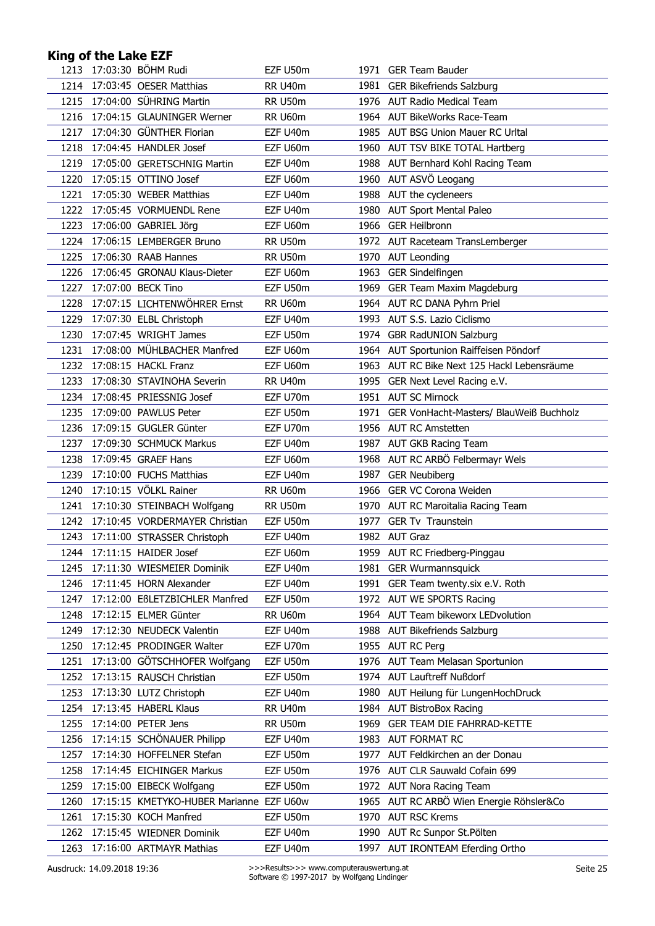| 1213 | 17:03:30 BOHM Rudi                             | EZF U50m       |      | 1971 GER Team Bauder                         |
|------|------------------------------------------------|----------------|------|----------------------------------------------|
| 1214 | 17:03:45 OESER Matthias                        | RR U40m        |      | 1981 GER Bikefriends Salzburg                |
| 1215 | 17:04:00 SÜHRING Martin                        | <b>RR U50m</b> |      | 1976 AUT Radio Medical Team                  |
| 1216 | 17:04:15 GLAUNINGER Werner                     | RR U60m        |      | 1964 AUT BikeWorks Race-Team                 |
| 1217 | 17:04:30 GÜNTHER Florian                       | EZF U40m       |      | 1985 AUT BSG Union Mauer RC Urltal           |
| 1218 | 17:04:45 HANDLER Josef                         | EZF U60m       |      | 1960 AUT TSV BIKE TOTAL Hartberg             |
| 1219 | 17:05:00 GERETSCHNIG Martin                    | EZF U40m       | 1988 | AUT Bernhard Kohl Racing Team                |
| 1220 | 17:05:15 OTTINO Josef                          | EZF U60m       | 1960 | AUT ASVÖ Leogang                             |
| 1221 | 17:05:30 WEBER Matthias                        | EZF U40m       |      | 1988 AUT the cycleneers                      |
| 1222 | 17:05:45 VORMUENDL Rene                        | EZF U40m       | 1980 | <b>AUT Sport Mental Paleo</b>                |
| 1223 | 17:06:00 GABRIEL Jörg                          | EZF U60m       | 1966 | <b>GER Heilbronn</b>                         |
| 1224 | 17:06:15 LEMBERGER Bruno                       | <b>RR U50m</b> |      | 1972 AUT Raceteam TransLemberger             |
| 1225 | 17:06:30 RAAB Hannes                           | <b>RR U50m</b> |      | 1970 AUT Leonding                            |
| 1226 | 17:06:45 GRONAU Klaus-Dieter                   | EZF U60m       | 1963 | <b>GER Sindelfingen</b>                      |
| 1227 | 17:07:00 BECK Tino                             | EZF U50m       |      | 1969 GER Team Maxim Magdeburg                |
| 1228 | 17:07:15 LICHTENWÖHRER Ernst                   | RR U60m        |      | 1964 AUT RC DANA Pyhrn Priel                 |
| 1229 | 17:07:30 ELBL Christoph                        | EZF U40m       |      | 1993 AUT S.S. Lazio Ciclismo                 |
| 1230 | 17:07:45 WRIGHT James                          | EZF U50m       |      | 1974 GBR RadUNION Salzburg                   |
| 1231 | 17:08:00 MÜHLBACHER Manfred                    | EZF U60m       |      | 1964 AUT Sportunion Raiffeisen Pöndorf       |
|      | 1232 17:08:15 HACKL Franz                      | EZF U60m       |      | 1963 AUT RC Bike Next 125 Hackl Lebensräume  |
| 1233 | 17:08:30 STAVINOHA Severin                     | <b>RR U40m</b> |      | 1995 GER Next Level Racing e.V.              |
|      | 1234 17:08:45 PRIESSNIG Josef                  | EZF U70m       |      | 1951 AUT SC Mirnock                          |
| 1235 | 17:09:00 PAWLUS Peter                          | EZF U50m       |      | 1971 GER VonHacht-Masters/ BlauWeiß Buchholz |
| 1236 | 17:09:15 GUGLER Günter                         | EZF U70m       |      | 1956 AUT RC Amstetten                        |
| 1237 | 17:09:30 SCHMUCK Markus                        | EZF U40m       | 1987 |                                              |
|      |                                                |                |      | AUT GKB Racing Team                          |
| 1238 | 17:09:45 GRAEF Hans<br>17:10:00 FUCHS Matthias | EZF U60m       |      | 1968 AUT RC ARBÖ Felbermayr Wels             |
| 1239 |                                                | EZF U40m       | 1987 | <b>GER Neubiberg</b>                         |
| 1240 | 17:10:15 VÖLKL Rainer                          | RR U60m        | 1966 | GER VC Corona Weiden                         |
| 1241 | 17:10:30 STEINBACH Wolfgang                    | <b>RR U50m</b> |      | 1970 AUT RC Maroitalia Racing Team           |
|      | 1242 17:10:45 VORDERMAYER Christian            | EZF U50m       |      | 1977 GER Tv Traunstein                       |
| 1243 | 17:11:00 STRASSER Christoph                    | EZF U40m       |      | 1982 AUT Graz                                |
| 1244 | 17:11:15 HAIDER Josef                          | EZF U60m       |      | 1959 AUT RC Friedberg-Pinggau                |
| 1245 | 17:11:30 WIESMEIER Dominik                     | EZF U40m       |      | 1981 GER Wurmannsquick                       |
| 1246 | 17:11:45 HORN Alexander                        | EZF U40m       |      | 1991 GER Team twenty.six e.V. Roth           |
| 1247 | 17:12:00 EBLETZBICHLER Manfred                 | EZF U50m       |      | 1972 AUT WE SPORTS Racing                    |
| 1248 | 17:12:15 ELMER Günter                          | RR U60m        |      | 1964 AUT Team bikeworx LEDvolution           |
| 1249 | 17:12:30 NEUDECK Valentin                      | EZF U40m       |      | 1988 AUT Bikefriends Salzburg                |
| 1250 | 17:12:45 PRODINGER Walter                      | EZF U70m       |      | 1955 AUT RC Perg                             |
| 1251 | 17:13:00 GÖTSCHHOFER Wolfgang                  | EZF U50m       | 1976 | AUT Team Melasan Sportunion                  |
| 1252 | 17:13:15 RAUSCH Christian                      | EZF U50m       |      | 1974 AUT Lauftreff Nußdorf                   |
| 1253 | 17:13:30 LUTZ Christoph                        | EZF U40m       | 1980 | AUT Heilung für LungenHochDruck              |
| 1254 | 17:13:45 HABERL Klaus                          | <b>RR U40m</b> | 1984 | <b>AUT BistroBox Racing</b>                  |
| 1255 | 17:14:00 PETER Jens                            | RR U50m        | 1969 | GER TEAM DIE FAHRRAD-KETTE                   |
| 1256 | 17:14:15 SCHÖNAUER Philipp                     | EZF U40m       | 1983 | AUT FORMAT RC                                |
| 1257 | 17:14:30 HOFFELNER Stefan                      | EZF U50m       | 1977 | AUT Feldkirchen an der Donau                 |
| 1258 | 17:14:45 EICHINGER Markus                      | EZF U50m       | 1976 | AUT CLR Sauwald Cofain 699                   |
| 1259 | 17:15:00 EIBECK Wolfgang                       | EZF U50m       |      | 1972 AUT Nora Racing Team                    |
| 1260 | 17:15:15 KMETYKO-HUBER Marianne EZF U60w       |                | 1965 | AUT RC ARBÖ Wien Energie Röhsler&Co          |
| 1261 | 17:15:30 KOCH Manfred                          | EZF U50m       | 1970 | <b>AUT RSC Krems</b>                         |
| 1262 | 17:15:45 WIEDNER Dominik                       | EZF U40m       | 1990 | AUT Rc Sunpor St.Pölten                      |
| 1263 | 17:16:00 ARTMAYR Mathias                       | EZF U40m       |      | 1997 AUT IRONTEAM Eferding Ortho             |